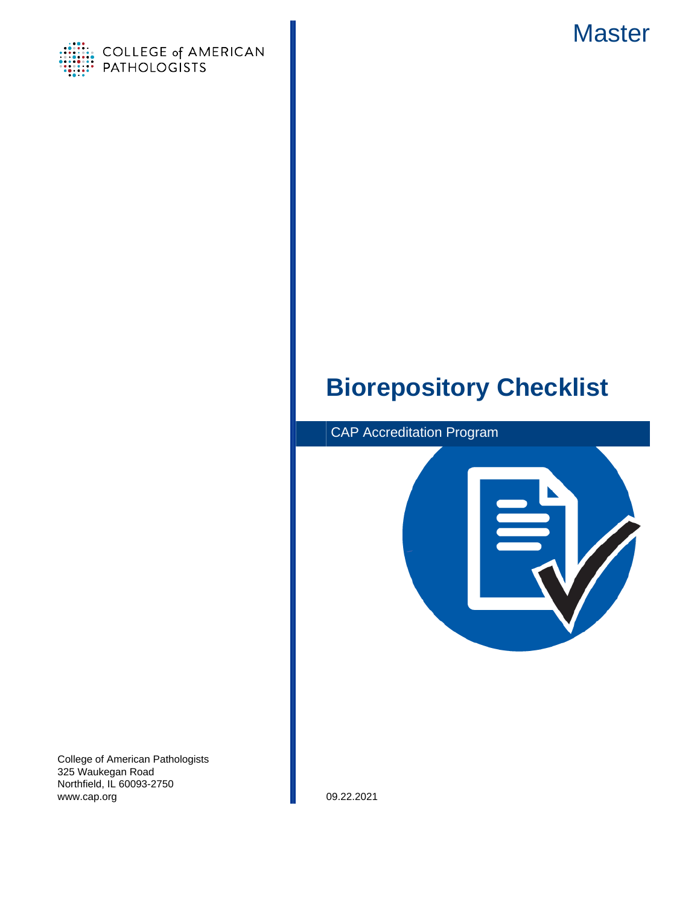

<span id="page-0-0"></span>

# **Biorepository Checklist**



College of American Pathologists 325 Waukegan Road Northfield, IL 60093-2750 www.cap.org 09.22.2021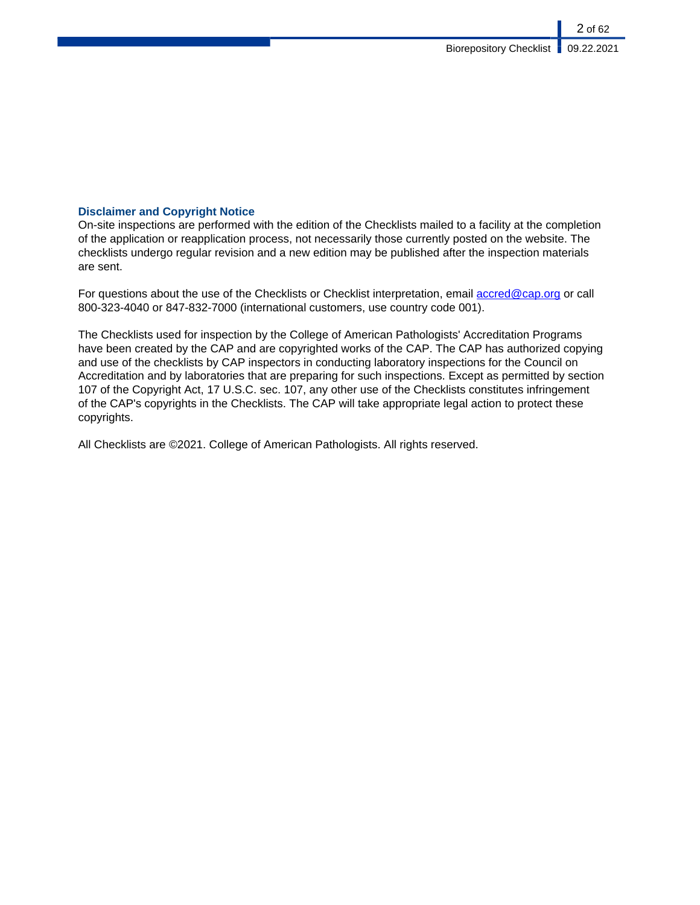# **Disclaimer and Copyright Notice**

On-site inspections are performed with the edition of the Checklists mailed to a facility at the completion of the application or reapplication process, not necessarily those currently posted on the website. The checklists undergo regular revision and a new edition may be published after the inspection materials are sent.

For questions about the use of the Checklists or Checklist interpretation, email [accred@cap.org](mailto:accred@cap.org) or call 800-323-4040 or 847-832-7000 (international customers, use country code 001).

The Checklists used for inspection by the College of American Pathologists' Accreditation Programs have been created by the CAP and are copyrighted works of the CAP. The CAP has authorized copying and use of the checklists by CAP inspectors in conducting laboratory inspections for the Council on Accreditation and by laboratories that are preparing for such inspections. Except as permitted by section 107 of the Copyright Act, 17 U.S.C. sec. 107, any other use of the Checklists constitutes infringement of the CAP's copyrights in the Checklists. The CAP will take appropriate legal action to protect these copyrights.

All Checklists are ©2021. College of American Pathologists. All rights reserved.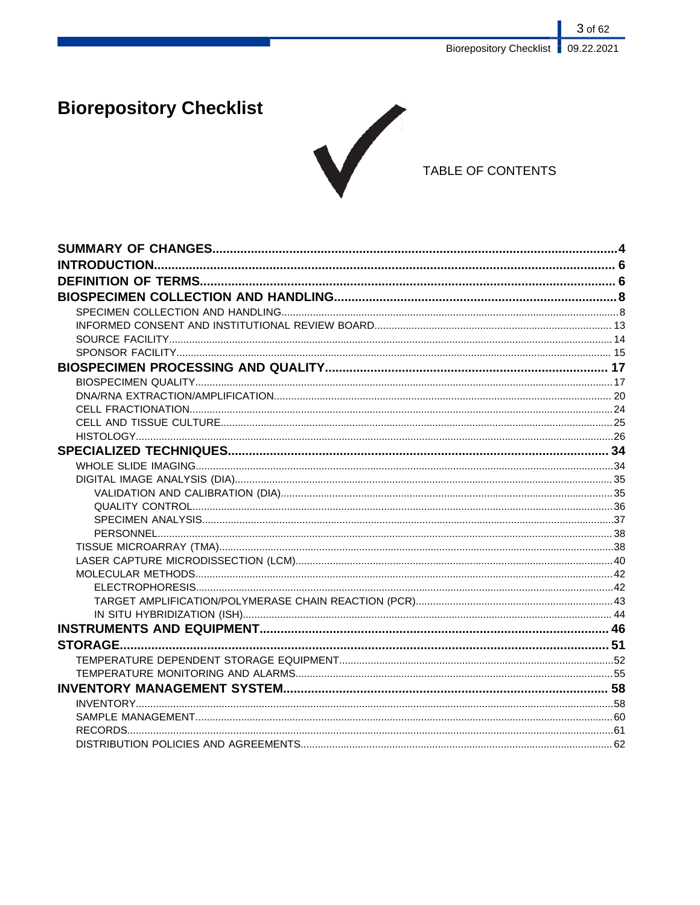# **Biorepository Checklist**



# TABLE OF CONTENTS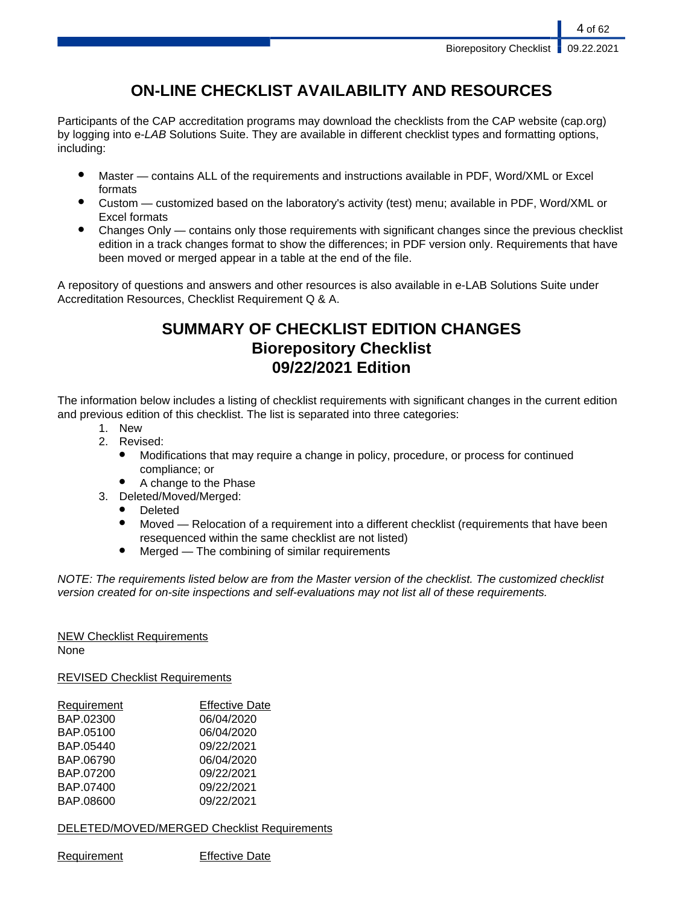# **ON-LINE CHECKLIST AVAILABILITY AND RESOURCES**

Participants of the CAP accreditation programs may download the checklists from the CAP website (cap.org) by logging into e-LAB Solutions Suite. They are available in different checklist types and formatting options, including:

- Master contains ALL of the requirements and instructions available in PDF, Word/XML or Excel formats
- Custom customized based on the laboratory's activity (test) menu; available in PDF, Word/XML or Excel formats
- Changes Only contains only those requirements with significant changes since the previous checklist edition in a track changes format to show the differences; in PDF version only. Requirements that have been moved or merged appear in a table at the end of the file.

A repository of questions and answers and other resources is also available in e-LAB Solutions Suite under Accreditation Resources, Checklist Requirement Q & A.

# **SUMMARY OF CHECKLIST EDITION CHANGES Biorepository Checklist 09/22/2021 Edition**

The information below includes a listing of checklist requirements with significant changes in the current edition and previous edition of this checklist. The list is separated into three categories:

- 1. New
- 2. Revised:
	- Modifications that may require a change in policy, procedure, or process for continued compliance; or
	- A change to the Phase
- 3. Deleted/Moved/Merged:
	- Deleted
	- Moved Relocation of a requirement into a different checklist (requirements that have been resequenced within the same checklist are not listed)
	- $Mered$  The combining of similar requirements

NOTE: The requirements listed below are from the Master version of the checklist. The customized checklist version created for on-site inspections and self-evaluations may not list all of these requirements.

# NEW Checklist Requirements

None

REVISED Checklist Requirements

| Requirement | <b>Effective Date</b> |
|-------------|-----------------------|
| BAP.02300   | 06/04/2020            |
| BAP.05100   | 06/04/2020            |
| BAP.05440   | 09/22/2021            |
| BAP.06790   | 06/04/2020            |
| BAP.07200   | 09/22/2021            |
| BAP.07400   | 09/22/2021            |
| BAP.08600   | 09/22/2021            |
|             |                       |

DELETED/MOVED/MERGED Checklist Requirements

Requirement Effective Date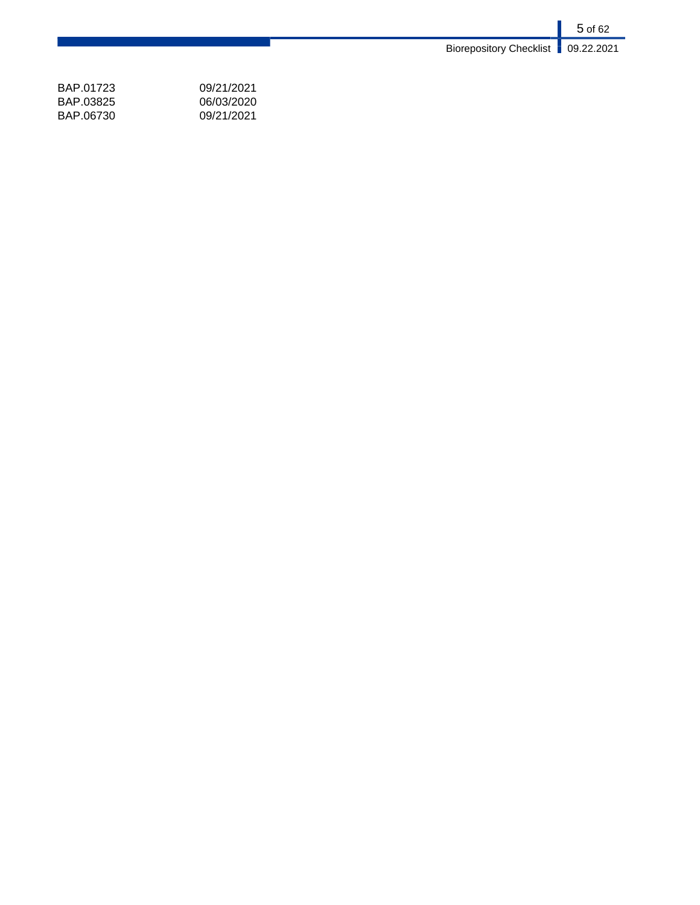5 of 62 Biorepository Checklist **09.22.2021** 

| BAP 01723 | 09/21/2021 |
|-----------|------------|
| BAP 03825 | 06/03/2020 |
| BAP.06730 | 09/21/2021 |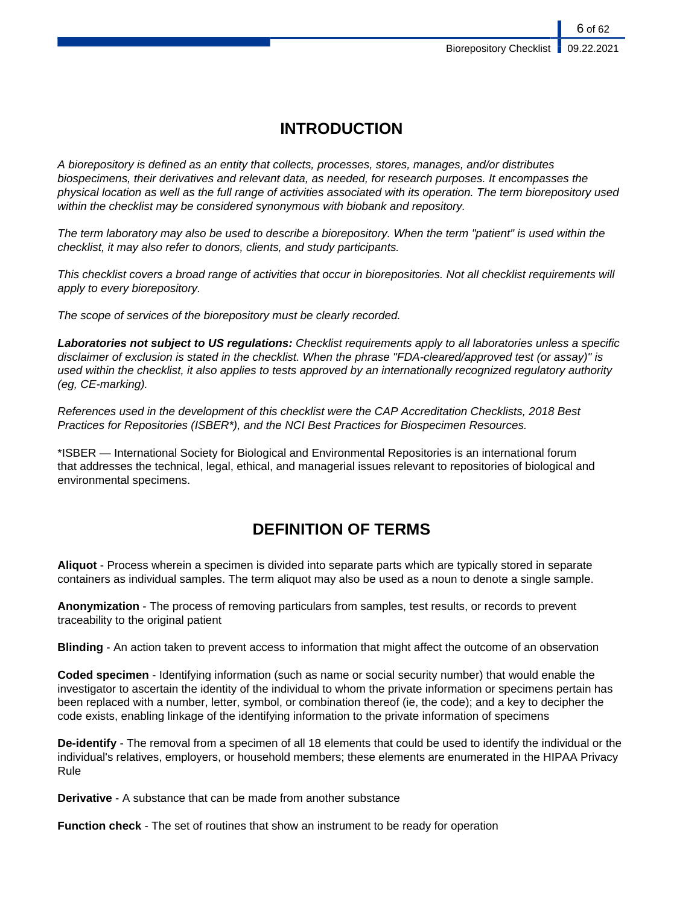6 of 62

# **INTRODUCTION**

A biorepository is defined as an entity that collects, processes, stores, manages, and/or distributes biospecimens, their derivatives and relevant data, as needed, for research purposes. It encompasses the physical location as well as the full range of activities associated with its operation. The term biorepository used within the checklist may be considered synonymous with biobank and repository.

The term laboratory may also be used to describe a biorepository. When the term "patient" is used within the checklist, it may also refer to donors, clients, and study participants.

This checklist covers a broad range of activities that occur in biorepositories. Not all checklist requirements will apply to every biorepository.

The scope of services of the biorepository must be clearly recorded.

**Laboratories not subject to US regulations:** Checklist requirements apply to all laboratories unless a specific disclaimer of exclusion is stated in the checklist. When the phrase "FDA-cleared/approved test (or assay)" is used within the checklist, it also applies to tests approved by an internationally recognized regulatory authority (eg, CE-marking).

References used in the development of this checklist were the CAP Accreditation Checklists, 2018 Best Practices for Repositories (ISBER\*), and the NCI Best Practices for Biospecimen Resources.

\*ISBER — International Society for Biological and Environmental Repositories is an international forum that addresses the technical, legal, ethical, and managerial issues relevant to repositories of biological and environmental specimens.

# **DEFINITION OF TERMS**

**Aliquot** - Process wherein a specimen is divided into separate parts which are typically stored in separate containers as individual samples. The term aliquot may also be used as a noun to denote a single sample.

**Anonymization** - The process of removing particulars from samples, test results, or records to prevent traceability to the original patient

**Blinding** - An action taken to prevent access to information that might affect the outcome of an observation

**Coded specimen** - Identifying information (such as name or social security number) that would enable the investigator to ascertain the identity of the individual to whom the private information or specimens pertain has been replaced with a number, letter, symbol, or combination thereof (ie, the code); and a key to decipher the code exists, enabling linkage of the identifying information to the private information of specimens

**De-identify** - The removal from a specimen of all 18 elements that could be used to identify the individual or the individual's relatives, employers, or household members; these elements are enumerated in the HIPAA Privacy Rule

**Derivative** - A substance that can be made from another substance

**Function check** - The set of routines that show an instrument to be ready for operation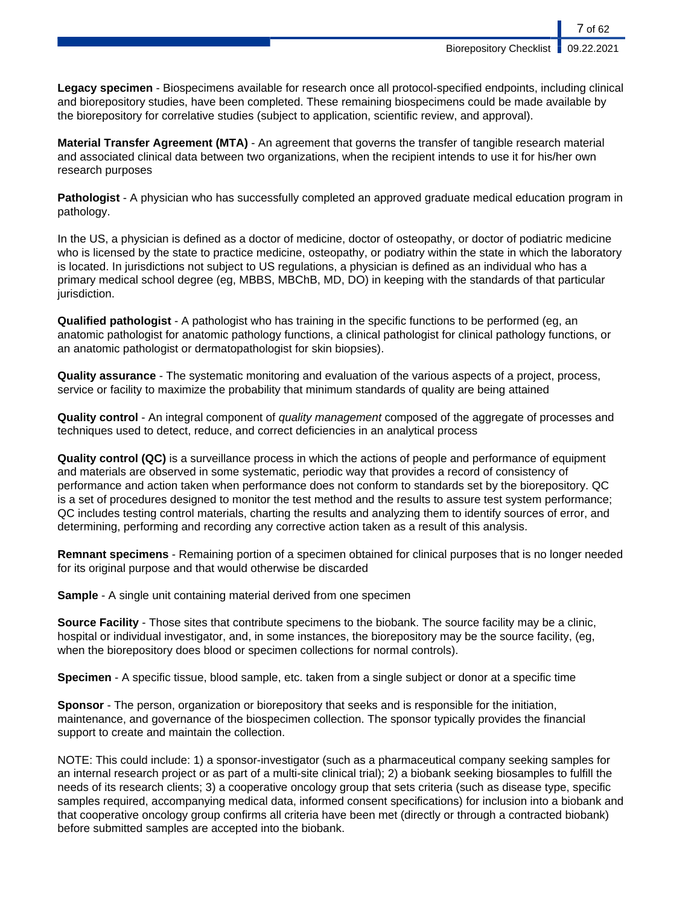**Biorepository Checklist** 

7 of 62

**Legacy specimen** - Biospecimens available for research once all protocol-specified endpoints, including clinical and biorepository studies, have been completed. These remaining biospecimens could be made available by the biorepository for correlative studies (subject to application, scientific review, and approval).

**Material Transfer Agreement (MTA)** - An agreement that governs the transfer of tangible research material and associated clinical data between two organizations, when the recipient intends to use it for his/her own research purposes

**Pathologist** - A physician who has successfully completed an approved graduate medical education program in pathology.

In the US, a physician is defined as a doctor of medicine, doctor of osteopathy, or doctor of podiatric medicine who is licensed by the state to practice medicine, osteopathy, or podiatry within the state in which the laboratory is located. In jurisdictions not subject to US regulations, a physician is defined as an individual who has a primary medical school degree (eg, MBBS, MBChB, MD, DO) in keeping with the standards of that particular jurisdiction.

**Qualified pathologist** - A pathologist who has training in the specific functions to be performed (eg, an anatomic pathologist for anatomic pathology functions, a clinical pathologist for clinical pathology functions, or an anatomic pathologist or dermatopathologist for skin biopsies).

**Quality assurance** - The systematic monitoring and evaluation of the various aspects of a project, process, service or facility to maximize the probability that minimum standards of quality are being attained

**Quality control** - An integral component of quality management composed of the aggregate of processes and techniques used to detect, reduce, and correct deficiencies in an analytical process

**Quality control (QC)** is a surveillance process in which the actions of people and performance of equipment and materials are observed in some systematic, periodic way that provides a record of consistency of performance and action taken when performance does not conform to standards set by the biorepository. QC is a set of procedures designed to monitor the test method and the results to assure test system performance; QC includes testing control materials, charting the results and analyzing them to identify sources of error, and determining, performing and recording any corrective action taken as a result of this analysis.

**Remnant specimens** - Remaining portion of a specimen obtained for clinical purposes that is no longer needed for its original purpose and that would otherwise be discarded

**Sample** - A single unit containing material derived from one specimen

**Source Facility** - Those sites that contribute specimens to the biobank. The source facility may be a clinic, hospital or individual investigator, and, in some instances, the biorepository may be the source facility, (eg, when the biorepository does blood or specimen collections for normal controls).

**Specimen** - A specific tissue, blood sample, etc. taken from a single subject or donor at a specific time

**Sponsor** - The person, organization or biorepository that seeks and is responsible for the initiation, maintenance, and governance of the biospecimen collection. The sponsor typically provides the financial support to create and maintain the collection.

NOTE: This could include: 1) a sponsor-investigator (such as a pharmaceutical company seeking samples for an internal research project or as part of a multi-site clinical trial); 2) a biobank seeking biosamples to fulfill the needs of its research clients; 3) a cooperative oncology group that sets criteria (such as disease type, specific samples required, accompanying medical data, informed consent specifications) for inclusion into a biobank and that cooperative oncology group confirms all criteria have been met (directly or through a contracted biobank) before submitted samples are accepted into the biobank.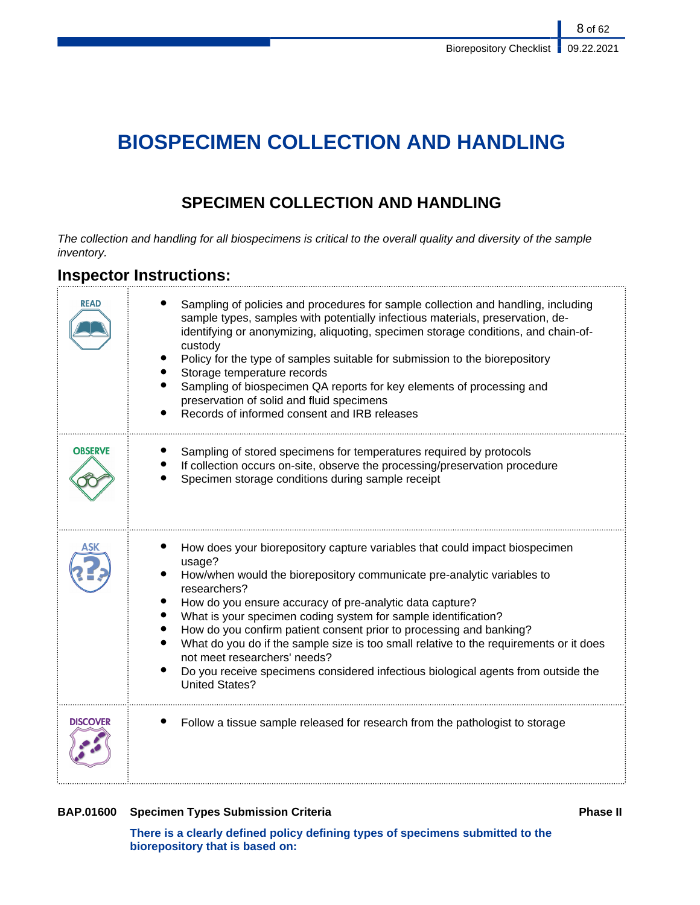# **BIOSPECIMEN COLLECTION AND HANDLING**

# **SPECIMEN COLLECTION AND HANDLING**

The collection and handling for all biospecimens is critical to the overall quality and diversity of the sample inventory.

# **Inspector Instructions:**

| READ           | Sampling of policies and procedures for sample collection and handling, including<br>sample types, samples with potentially infectious materials, preservation, de-<br>identifying or anonymizing, aliquoting, specimen storage conditions, and chain-of-<br>custody<br>Policy for the type of samples suitable for submission to the biorepository<br>Storage temperature records<br>Sampling of biospecimen QA reports for key elements of processing and<br>preservation of solid and fluid specimens<br>Records of informed consent and IRB releases                                                                     |
|----------------|------------------------------------------------------------------------------------------------------------------------------------------------------------------------------------------------------------------------------------------------------------------------------------------------------------------------------------------------------------------------------------------------------------------------------------------------------------------------------------------------------------------------------------------------------------------------------------------------------------------------------|
| <b>OBSERVE</b> | Sampling of stored specimens for temperatures required by protocols<br>If collection occurs on-site, observe the processing/preservation procedure<br>Specimen storage conditions during sample receipt                                                                                                                                                                                                                                                                                                                                                                                                                      |
|                | How does your biorepository capture variables that could impact biospecimen<br>usage?<br>How/when would the biorepository communicate pre-analytic variables to<br>researchers?<br>How do you ensure accuracy of pre-analytic data capture?<br>What is your specimen coding system for sample identification?<br>How do you confirm patient consent prior to processing and banking?<br>What do you do if the sample size is too small relative to the requirements or it does<br>not meet researchers' needs?<br>Do you receive specimens considered infectious biological agents from outside the<br><b>United States?</b> |
| DISCOVF        | Follow a tissue sample released for research from the pathologist to storage                                                                                                                                                                                                                                                                                                                                                                                                                                                                                                                                                 |

# **BAP.01600** Specimen Types Submission Criteria **Phase II Phase II**

**There is a clearly defined policy defining types of specimens submitted to the biorepository that is based on:**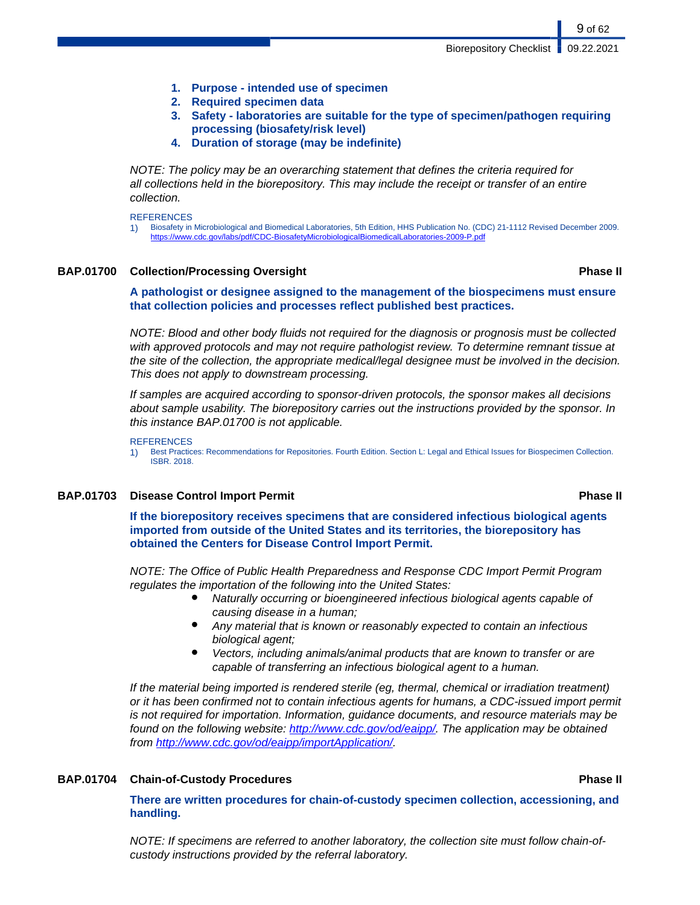- **1. Purpose intended use of specimen**
- **2. Required specimen data**
- **3. Safety laboratories are suitable for the type of specimen/pathogen requiring processing (biosafety/risk level)**
- **4. Duration of storage (may be indefinite)**

NOTE: The policy may be an overarching statement that defines the criteria required for all collections held in the biorepository. This may include the receipt or transfer of an entire collection.

#### **REFERENCES**

1) Biosafety in Microbiological and Biomedical Laboratories, 5th Edition, HHS Publication No. (CDC) 21-1112 Revised December 2009. [https://www.cdc.gov/labs/pdf/CDC-BiosafetyMicrobiologicalBiomedicalLaboratories-2009-P.pdf](#page-0-0)

### **BAP.01700 Collection/Processing Oversight Phase II**

9 of 62

**A pathologist or designee assigned to the management of the biospecimens must ensure that collection policies and processes reflect published best practices.**

NOTE: Blood and other body fluids not required for the diagnosis or prognosis must be collected with approved protocols and may not require pathologist review. To determine remnant tissue at the site of the collection, the appropriate medical/legal designee must be involved in the decision. This does not apply to downstream processing.

If samples are acquired according to sponsor-driven protocols, the sponsor makes all decisions about sample usability. The biorepository carries out the instructions provided by the sponsor. In this instance BAP.01700 is not applicable.

#### **REFERENCES**

1) Best Practices: Recommendations for Repositories. Fourth Edition. Section L: Legal and Ethical Issues for Biospecimen Collection. ISBR. 2018.

## **BAP.01703 Disease Control Import Permit Phase II**

**If the biorepository receives specimens that are considered infectious biological agents imported from outside of the United States and its territories, the biorepository has obtained the Centers for Disease Control Import Permit.**

NOTE: The Office of Public Health Preparedness and Response CDC Import Permit Program regulates the importation of the following into the United States:

- Naturally occurring or bioengineered infectious biological agents capable of causing disease in a human;
- Any material that is known or reasonably expected to contain an infectious biological agent;
- Vectors, including animals/animal products that are known to transfer or are capable of transferring an infectious biological agent to a human.

If the material being imported is rendered sterile (eg, thermal, chemical or irradiation treatment) or it has been confirmed not to contain infectious agents for humans, a CDC-issued import permit is not required for importation. Information, guidance documents, and resource materials may be found on the following website:<http://www.cdc.gov/od/eaipp/>. The application may be obtained from [http://www.cdc.gov/od/eaipp/importApplication/.](http://www.cdc.gov/od/eaipp/importApplication/)

### **BAP.01704 Chain-of-Custody Procedures Phase II**

**There are written procedures for chain-of-custody specimen collection, accessioning, and handling.**

NOTE: If specimens are referred to another laboratory, the collection site must follow chain-ofcustody instructions provided by the referral laboratory.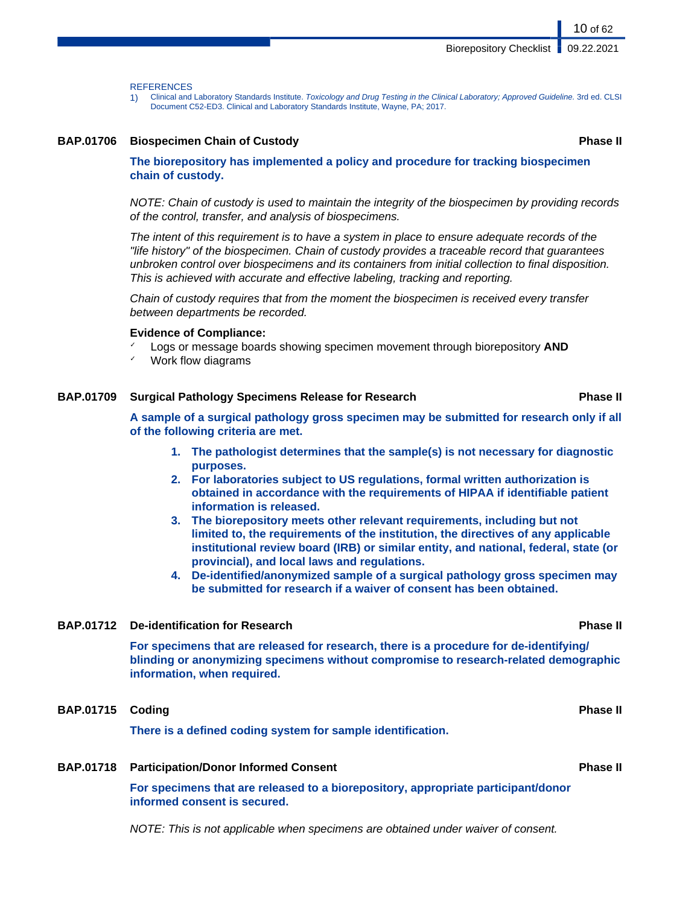**REFERENCES** 

1) Clinical and Laboratory Standards Institute. Toxicology and Drug Testing in the Clinical Laboratory; Approved Guideline. 3rd ed. CLSI Document C52-ED3. Clinical and Laboratory Standards Institute, Wayne, PA; 2017.

### **BAP.01706 Biospecimen Chain of Custody Phase II**

**The biorepository has implemented a policy and procedure for tracking biospecimen chain of custody.**

NOTE: Chain of custody is used to maintain the integrity of the biospecimen by providing records of the control, transfer, and analysis of biospecimens.

The intent of this requirement is to have a system in place to ensure adequate records of the "life history" of the biospecimen. Chain of custody provides a traceable record that guarantees unbroken control over biospecimens and its containers from initial collection to final disposition. This is achieved with accurate and effective labeling, tracking and reporting.

Chain of custody requires that from the moment the biospecimen is received every transfer between departments be recorded.

#### **Evidence of Compliance:**

- Logs or message boards showing specimen movement through biorepository **AND**
- Work flow diagrams

## **BAP.01709 Surgical Pathology Specimens Release for Research Phase II**

**A sample of a surgical pathology gross specimen may be submitted for research only if all of the following criteria are met.**

- **1. The pathologist determines that the sample(s) is not necessary for diagnostic purposes.**
- **2. For laboratories subject to US regulations, formal written authorization is obtained in accordance with the requirements of HIPAA if identifiable patient information is released.**
- **3. The biorepository meets other relevant requirements, including but not limited to, the requirements of the institution, the directives of any applicable institutional review board (IRB) or similar entity, and national, federal, state (or provincial), and local laws and regulations.**
- **4. De-identified/anonymized sample of a surgical pathology gross specimen may be submitted for research if a waiver of consent has been obtained.**

### **BAP.01712 De-identification for Research Phase II**

**For specimens that are released for research, there is a procedure for de-identifying/ blinding or anonymizing specimens without compromise to research-related demographic information, when required.**

# **BAP.01715 Coding Phase II**

**There is a defined coding system for sample identification.**

### **BAP.01718 Participation/Donor Informed Consent Phase II**

**For specimens that are released to a biorepository, appropriate participant/donor informed consent is secured.**

NOTE: This is not applicable when specimens are obtained under waiver of consent.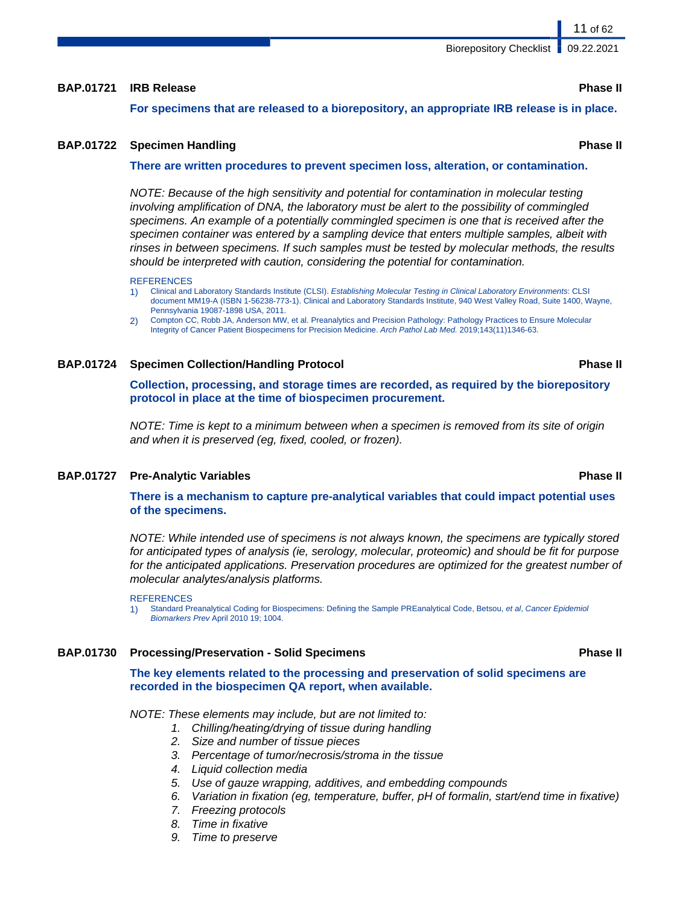# **BAP.01721 IRB Release Phase II**

**For specimens that are released to a biorepository, an appropriate IRB release is in place.**

# **BAP.01722 Specimen Handling Phase II**

# **There are written procedures to prevent specimen loss, alteration, or contamination.**

NOTE: Because of the high sensitivity and potential for contamination in molecular testing involving amplification of DNA, the laboratory must be alert to the possibility of commingled specimens. An example of a potentially commingled specimen is one that is received after the specimen container was entered by a sampling device that enters multiple samples, albeit with rinses in between specimens. If such samples must be tested by molecular methods, the results should be interpreted with caution, considering the potential for contamination.

#### **REFERENCES**

- 1) Clinical and Laboratory Standards Institute (CLSI). Establishing Molecular Testing in Clinical Laboratory Environments: CLSI document MM19-A (ISBN 1-56238-773-1). Clinical and Laboratory Standards Institute, 940 West Valley Road, Suite 1400, Wayne, Pennsylvania 19087-1898 USA, 2011.
- 2) Compton CC, Robb JA, Anderson MW, et al. Preanalytics and Precision Pathology: Pathology Practices to Ensure Molecular Integrity of Cancer Patient Biospecimens for Precision Medicine. Arch Pathol Lab Med. 2019;143(11)1346-63.

## **BAP.01724 Specimen Collection/Handling Protocol Phase II**

**Collection, processing, and storage times are recorded, as required by the biorepository protocol in place at the time of biospecimen procurement.**

NOTE: Time is kept to a minimum between when a specimen is removed from its site of origin and when it is preserved (eg, fixed, cooled, or frozen).

### **BAP.01727 Pre-Analytic Variables Phase II**

**There is a mechanism to capture pre-analytical variables that could impact potential uses of the specimens.**

NOTE: While intended use of specimens is not always known, the specimens are typically stored for anticipated types of analysis (ie, serology, molecular, proteomic) and should be fit for purpose for the anticipated applications. Preservation procedures are optimized for the greatest number of molecular analytes/analysis platforms.

#### **REFERENCES**

1) Standard Preanalytical Coding for Biospecimens: Defining the Sample PREanalytical Code, Betsou, et al, Cancer Epidemiol Biomarkers Prev April 2010 19; 1004.

### **BAP.01730 Processing/Preservation - Solid Specimens Phase II**

**The key elements related to the processing and preservation of solid specimens are recorded in the biospecimen QA report, when available.**

NOTE: These elements may include, but are not limited to:

- 1. Chilling/heating/drying of tissue during handling
- 2. Size and number of tissue pieces
- 3. Percentage of tumor/necrosis/stroma in the tissue
- 4. Liquid collection media
- 5. Use of gauze wrapping, additives, and embedding compounds
- 6. Variation in fixation (eg, temperature, buffer, pH of formalin, start/end time in fixative)
- 7. Freezing protocols
- 8. Time in fixative
- 9. Time to preserve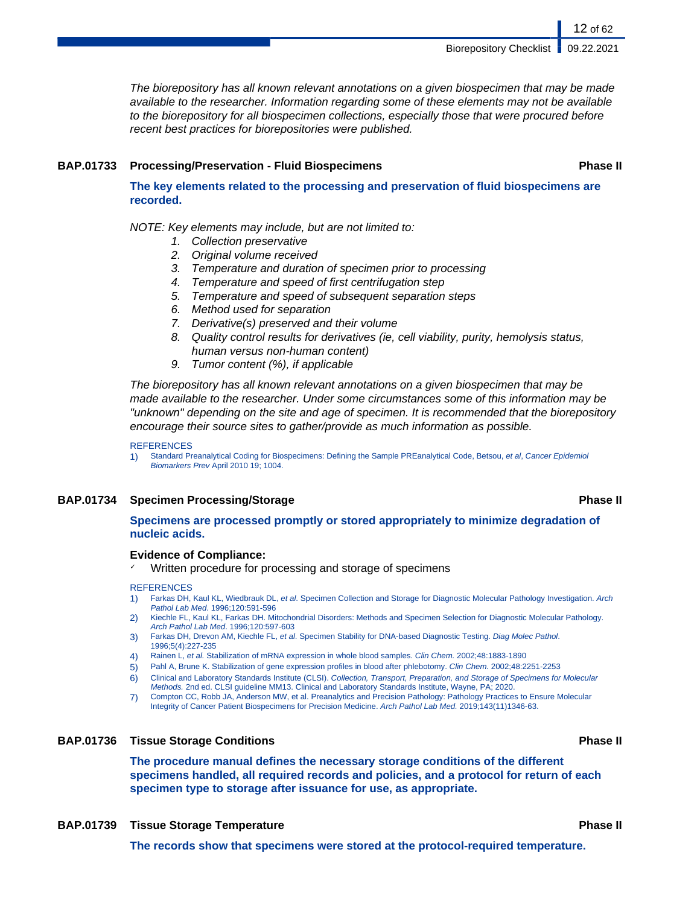The biorepository has all known relevant annotations on a given biospecimen that may be made available to the researcher. Information regarding some of these elements may not be available to the biorepository for all biospecimen collections, especially those that were procured before recent best practices for biorepositories were published.

#### **BAP.01733 Processing/Preservation - Fluid Biospecimens Phase II**

**The key elements related to the processing and preservation of fluid biospecimens are recorded.**

NOTE: Key elements may include, but are not limited to:

- 1. Collection preservative
- 2. Original volume received
- 3. Temperature and duration of specimen prior to processing
- 4. Temperature and speed of first centrifugation step
- 5. Temperature and speed of subsequent separation steps
- 6. Method used for separation
- 7. Derivative(s) preserved and their volume
- 8. Quality control results for derivatives (ie, cell viability, purity, hemolysis status, human versus non-human content)
- 9. Tumor content (%), if applicable

The biorepository has all known relevant annotations on a given biospecimen that may be made available to the researcher. Under some circumstances some of this information may be "unknown" depending on the site and age of specimen. It is recommended that the biorepository encourage their source sites to gather/provide as much information as possible.

#### **REFERENCES**

1) Standard Preanalytical Coding for Biospecimens: Defining the Sample PREanalytical Code, Betsou, et al, Cancer Epidemiol Biomarkers Prev April 2010 19; 1004.

### **BAP.01734 Specimen Processing/Storage Phase II**

# **Specimens are processed promptly or stored appropriately to minimize degradation of nucleic acids.**

### **Evidence of Compliance:**

Written procedure for processing and storage of specimens

#### **REFERENCES**

- 1) Farkas DH, Kaul KL, Wiedbrauk DL, et al. Specimen Collection and Storage for Diagnostic Molecular Pathology Investigation. Arch Pathol Lab Med. 1996;120:591-596
- 2) Kiechle FL, Kaul KL, Farkas DH. Mitochondrial Disorders: Methods and Specimen Selection for Diagnostic Molecular Pathology. Arch Pathol Lab Med. 1996;120:597-603
- 3) Farkas DH, Drevon AM, Kiechle FL, et al. Specimen Stability for DNA-based Diagnostic Testing. Diag Molec Pathol. 1996;5(4):227-235
- Rainen L, et al. Stabilization of mRNA expression in whole blood samples. Clin Chem. 2002;48:1883-1890
- 5) Pahl A, Brune K. Stabilization of gene expression profiles in blood after phlebotomy. Clin Chem. 2002;48:2251-2253
- 6) Clinical and Laboratory Standards Institute (CLSI). Collection, Transport, Preparation, and Storage of Specimens for Molecular Methods. 2nd ed. CLSI guideline MM13. Clinical and Laboratory Standards Institute, Wayne, PA; 2020.
- 7) Compton CC, Robb JA, Anderson MW, et al. Preanalytics and Precision Pathology: Pathology Practices to Ensure Molecular Integrity of Cancer Patient Biospecimens for Precision Medicine. Arch Pathol Lab Med. 2019;143(11)1346-63.

# **BAP.01736 Tissue Storage Conditions Phase II**

**The procedure manual defines the necessary storage conditions of the different specimens handled, all required records and policies, and a protocol for return of each specimen type to storage after issuance for use, as appropriate.**

**BAP.01739 Tissue Storage Temperature Phase II**

**The records show that specimens were stored at the protocol-required temperature.**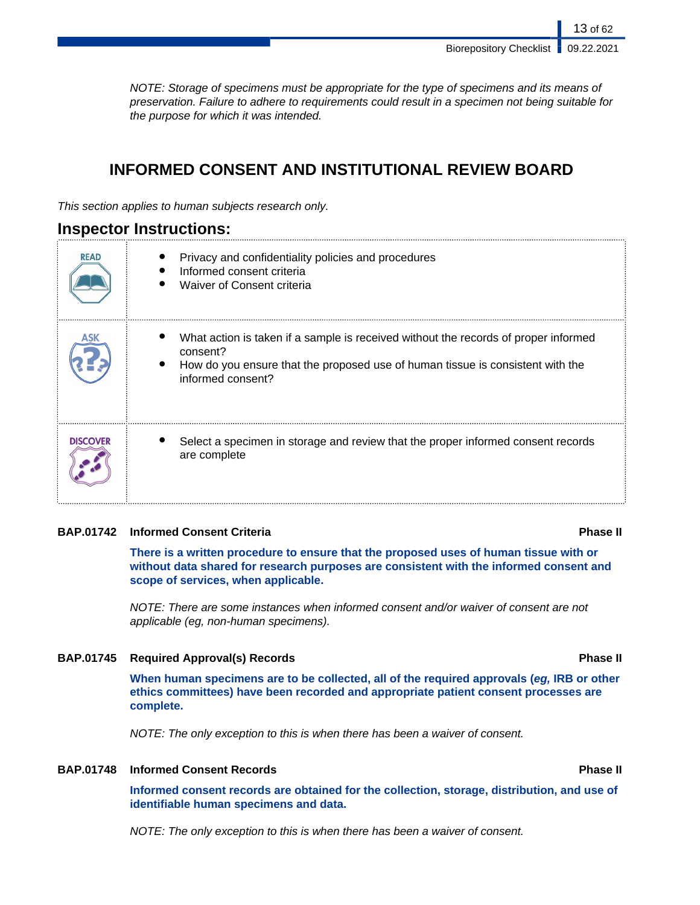13 of 62

NOTE: Storage of specimens must be appropriate for the type of specimens and its means of preservation. Failure to adhere to requirements could result in a specimen not being suitable for the purpose for which it was intended.

# **INFORMED CONSENT AND INSTITUTIONAL REVIEW BOARD**

This section applies to human subjects research only.

# **Inspector Instructions:**

| <b>READ</b>     | Privacy and confidentiality policies and procedures<br>Informed consent criteria<br>Waiver of Consent criteria                                                                                         |
|-----------------|--------------------------------------------------------------------------------------------------------------------------------------------------------------------------------------------------------|
|                 | What action is taken if a sample is received without the records of proper informed<br>consent?<br>How do you ensure that the proposed use of human tissue is consistent with the<br>informed consent? |
| <b>DISCOVER</b> | Select a specimen in storage and review that the proper informed consent records<br>are complete                                                                                                       |

## **BAP.01742 Informed Consent Criteria Phase II**

**There is a written procedure to ensure that the proposed uses of human tissue with or without data shared for research purposes are consistent with the informed consent and scope of services, when applicable.**

NOTE: There are some instances when informed consent and/or waiver of consent are not applicable (eg, non-human specimens).

## **BAP.01745 Required Approval(s) Records Phase II**

**When human specimens are to be collected, all of the required approvals (eg, IRB or other ethics committees) have been recorded and appropriate patient consent processes are complete.**

NOTE: The only exception to this is when there has been a waiver of consent.

# **BAP.01748 Informed Consent Records Phase II**

**Informed consent records are obtained for the collection, storage, distribution, and use of identifiable human specimens and data.**

NOTE: The only exception to this is when there has been a waiver of consent.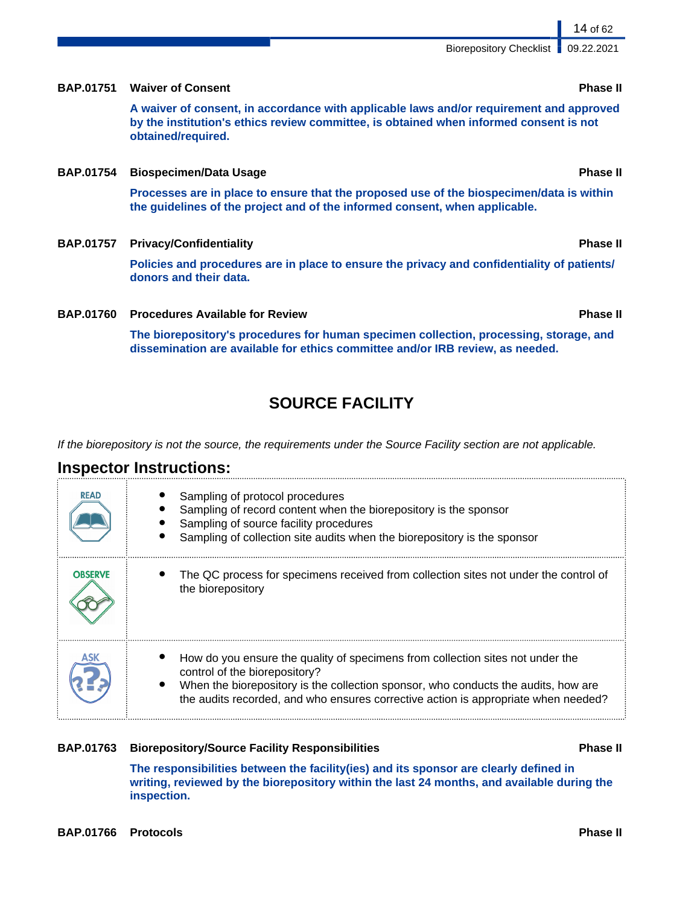**inspection.**

# Biorepository Checklist | 09.22.2021

# **BAP.01751 Waiver of Consent Phase II**

**A waiver of consent, in accordance with applicable laws and/or requirement and approved by the institution's ethics review committee, is obtained when informed consent is not obtained/required.**

## **BAP.01754 Biospecimen/Data Usage Phase II**

**Processes are in place to ensure that the proposed use of the biospecimen/data is within the guidelines of the project and of the informed consent, when applicable.**

**BAP.01757 Privacy/Confidentiality Phase II**

**Policies and procedures are in place to ensure the privacy and confidentiality of patients/ donors and their data.**

**BAP.01760 Procedures Available for Review Phase II**

**The biorepository's procedures for human specimen collection, processing, storage, and dissemination are available for ethics committee and/or IRB review, as needed.**

# **SOURCE FACILITY**

If the biorepository is not the source, the requirements under the Source Facility section are not applicable.

# **Inspector Instructions:**

| <b>READ</b>    | Sampling of protocol procedures<br>Sampling of record content when the biorepository is the sponsor<br>Sampling of source facility procedures<br>Sampling of collection site audits when the biorepository is the sponsor                                                                   |
|----------------|---------------------------------------------------------------------------------------------------------------------------------------------------------------------------------------------------------------------------------------------------------------------------------------------|
| <b>OBSERVE</b> | The QC process for specimens received from collection sites not under the control of<br>the biorepository                                                                                                                                                                                   |
|                | How do you ensure the quality of specimens from collection sites not under the<br>control of the biorepository?<br>When the biorepository is the collection sponsor, who conducts the audits, how are<br>the audits recorded, and who ensures corrective action is appropriate when needed? |

**The responsibilities between the facility(ies) and its sponsor are clearly defined in**

**writing, reviewed by the biorepository within the last 24 months, and available during the**

## **BAP.01763 Biorepository/Source Facility Responsibilities Phase II**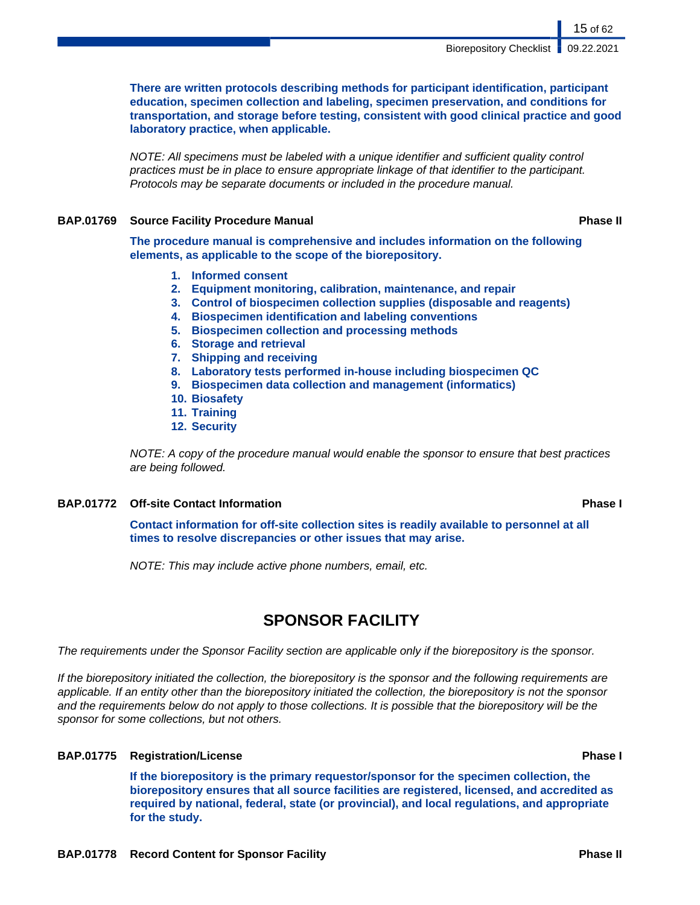**There are written protocols describing methods for participant identification, participant education, specimen collection and labeling, specimen preservation, and conditions for transportation, and storage before testing, consistent with good clinical practice and good laboratory practice, when applicable.**

NOTE: All specimens must be labeled with a unique identifier and sufficient quality control practices must be in place to ensure appropriate linkage of that identifier to the participant. Protocols may be separate documents or included in the procedure manual.

# **BAP.01769 Source Facility Procedure Manual Phase II**

**The procedure manual is comprehensive and includes information on the following elements, as applicable to the scope of the biorepository.**

- **1. Informed consent**
- **2. Equipment monitoring, calibration, maintenance, and repair**
- **3. Control of biospecimen collection supplies (disposable and reagents)**
- **4. Biospecimen identification and labeling conventions**
- **5. Biospecimen collection and processing methods**
- **6. Storage and retrieval**
- **7. Shipping and receiving**
- **8. Laboratory tests performed in-house including biospecimen QC**
- **9. Biospecimen data collection and management (informatics)**
- **10. Biosafety**
- **11. Training**
- **12. Security**

NOTE: A copy of the procedure manual would enable the sponsor to ensure that best practices are being followed.

## **BAP.01772 Off-site Contact Information Phase I**

**Contact information for off-site collection sites is readily available to personnel at all times to resolve discrepancies or other issues that may arise.**

NOTE: This may include active phone numbers, email, etc.

# **SPONSOR FACILITY**

The requirements under the Sponsor Facility section are applicable only if the biorepository is the sponsor.

If the biorepository initiated the collection, the biorepository is the sponsor and the following requirements are applicable. If an entity other than the biorepository initiated the collection, the biorepository is not the sponsor and the requirements below do not apply to those collections. It is possible that the biorepository will be the sponsor for some collections, but not others.

# **BAP.01775 Registration/License Phase I**

**If the biorepository is the primary requestor/sponsor for the specimen collection, the biorepository ensures that all source facilities are registered, licensed, and accredited as required by national, federal, state (or provincial), and local regulations, and appropriate for the study.**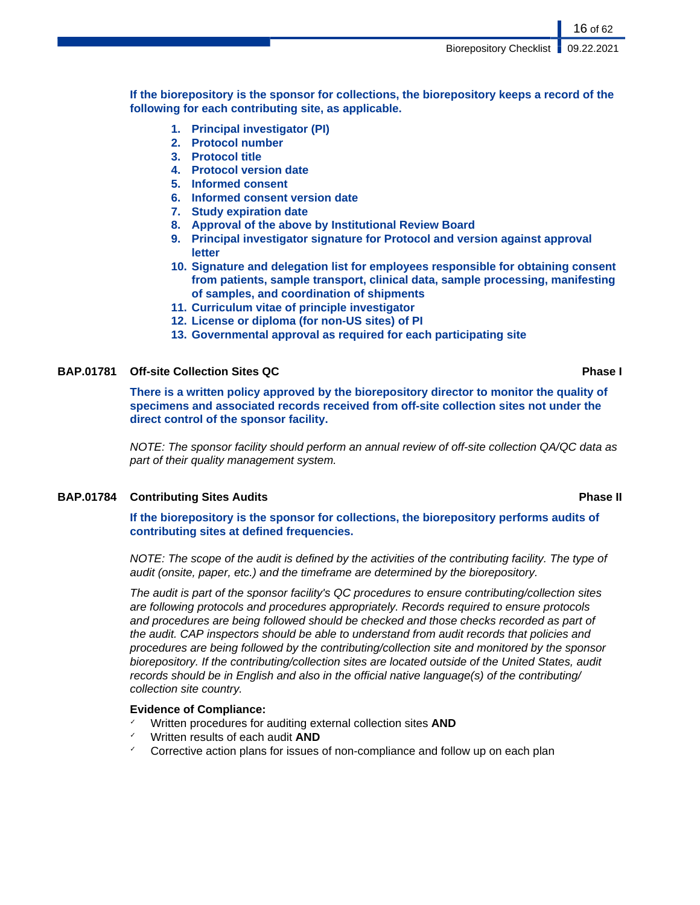16 of 62

**If the biorepository is the sponsor for collections, the biorepository keeps a record of the following for each contributing site, as applicable.**

- **1. Principal investigator (PI)**
- **2. Protocol number**
- **3. Protocol title**
- **4. Protocol version date**
- **5. Informed consent**
- **6. Informed consent version date**
- **7. Study expiration date**
- **8. Approval of the above by Institutional Review Board**
- **9. Principal investigator signature for Protocol and version against approval letter**
- **10. Signature and delegation list for employees responsible for obtaining consent from patients, sample transport, clinical data, sample processing, manifesting of samples, and coordination of shipments**
- **11. Curriculum vitae of principle investigator**
- **12. License or diploma (for non-US sites) of PI**
- **13. Governmental approval as required for each participating site**

## **BAP.01781 Off-site Collection Sites QC Phase I**

**There is a written policy approved by the biorepository director to monitor the quality of specimens and associated records received from off-site collection sites not under the direct control of the sponsor facility.**

NOTE: The sponsor facility should perform an annual review of off-site collection QA/QC data as part of their quality management system.

## **BAP.01784 Contributing Sites Audits Phase II**

**If the biorepository is the sponsor for collections, the biorepository performs audits of contributing sites at defined frequencies.**

NOTE: The scope of the audit is defined by the activities of the contributing facility. The type of audit (onsite, paper, etc.) and the timeframe are determined by the biorepository.

The audit is part of the sponsor facility's QC procedures to ensure contributing/collection sites are following protocols and procedures appropriately. Records required to ensure protocols and procedures are being followed should be checked and those checks recorded as part of the audit. CAP inspectors should be able to understand from audit records that policies and procedures are being followed by the contributing/collection site and monitored by the sponsor biorepository. If the contributing/collection sites are located outside of the United States, audit records should be in English and also in the official native language(s) of the contributing/ collection site country.

# **Evidence of Compliance:**

- Written procedures for auditing external collection sites **AND**
- ✓ Written results of each audit **AND**
- $\checkmark$  Corrective action plans for issues of non-compliance and follow up on each plan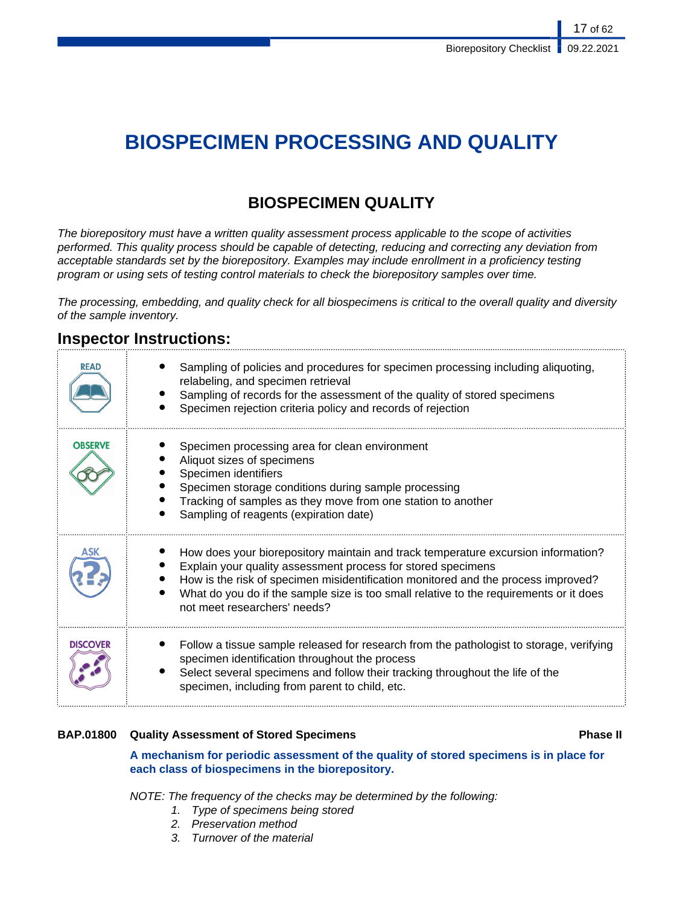# **BIOSPECIMEN PROCESSING AND QUALITY**

# **BIOSPECIMEN QUALITY**

The biorepository must have a written quality assessment process applicable to the scope of activities performed. This quality process should be capable of detecting, reducing and correcting any deviation from acceptable standards set by the biorepository. Examples may include enrollment in a proficiency testing program or using sets of testing control materials to check the biorepository samples over time.

The processing, embedding, and quality check for all biospecimens is critical to the overall quality and diversity of the sample inventory.

# **Inspector Instructions:**

| READ            | Sampling of policies and procedures for specimen processing including aliquoting,<br>relabeling, and specimen retrieval<br>Sampling of records for the assessment of the quality of stored specimens<br>Specimen rejection criteria policy and records of rejection                                                                                              |
|-----------------|------------------------------------------------------------------------------------------------------------------------------------------------------------------------------------------------------------------------------------------------------------------------------------------------------------------------------------------------------------------|
| <b>OBSERVE</b>  | Specimen processing area for clean environment<br>Aliquot sizes of specimens<br>Specimen identifiers<br>Specimen storage conditions during sample processing<br>Tracking of samples as they move from one station to another<br>Sampling of reagents (expiration date)                                                                                           |
| ASK             | How does your biorepository maintain and track temperature excursion information?<br>Explain your quality assessment process for stored specimens<br>How is the risk of specimen misidentification monitored and the process improved?<br>What do you do if the sample size is too small relative to the requirements or it does<br>not meet researchers' needs? |
| <b>DISCOVER</b> | Follow a tissue sample released for research from the pathologist to storage, verifying<br>specimen identification throughout the process<br>Select several specimens and follow their tracking throughout the life of the<br>specimen, including from parent to child, etc.                                                                                     |

# **BAP.01800 Quality Assessment of Stored Specimens Phase II**

**A mechanism for periodic assessment of the quality of stored specimens is in place for each class of biospecimens in the biorepository.**

NOTE: The frequency of the checks may be determined by the following:

- 1. Type of specimens being stored
- 2. Preservation method
- 3. Turnover of the material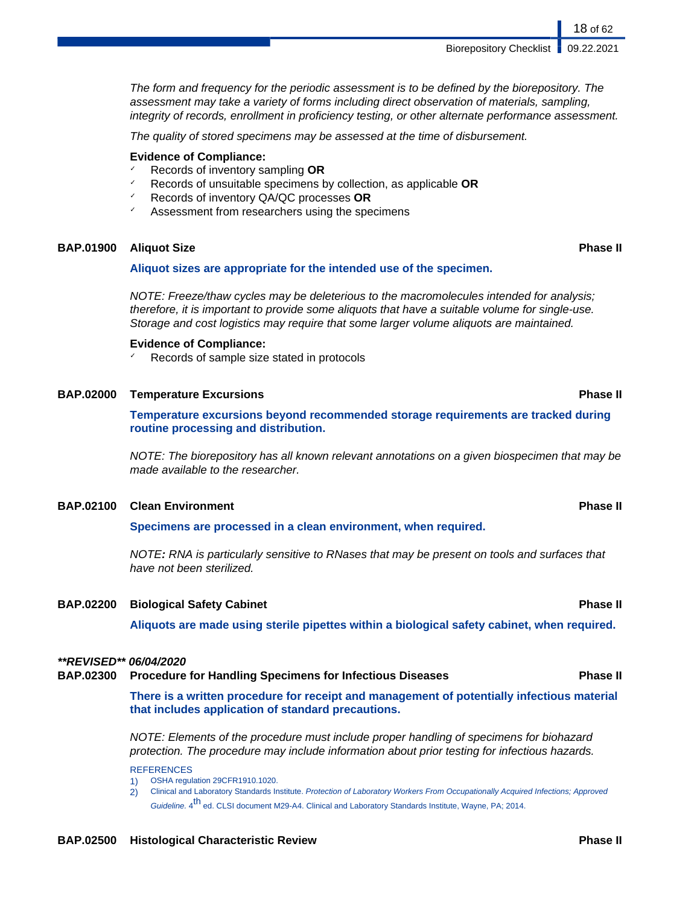The form and frequency for the periodic assessment is to be defined by the biorepository. The assessment may take a variety of forms including direct observation of materials, sampling, integrity of records, enrollment in proficiency testing, or other alternate performance assessment.

The quality of stored specimens may be assessed at the time of disbursement.

#### **Evidence of Compliance:**

- ✓ Records of inventory sampling **OR**
- ✓ Records of unsuitable specimens by collection, as applicable **OR**
- ✓ Records of inventory QA/QC processes **OR**
- Assessment from researchers using the specimens

### **BAP.01900 Aliquot Size Phase II**

#### **Aliquot sizes are appropriate for the intended use of the specimen.**

NOTE: Freeze/thaw cycles may be deleterious to the macromolecules intended for analysis; therefore, it is important to provide some aliquots that have a suitable volume for single-use. Storage and cost logistics may require that some larger volume aliquots are maintained.

#### **Evidence of Compliance:**

Records of sample size stated in protocols

#### **BAP.02000 Temperature Excursions Phase II**

**Temperature excursions beyond recommended storage requirements are tracked during routine processing and distribution.**

NOTE: The biorepository has all known relevant annotations on a given biospecimen that may be made available to the researcher.

#### **BAP.02100 Clean Environment Phase II**

**Specimens are processed in a clean environment, when required.**

NOTE**:** RNA is particularly sensitive to RNases that may be present on tools and surfaces that have not been sterilized.

### **BAP.02200 Biological Safety Cabinet Phase II**

**Aliquots are made using sterile pipettes within a biological safety cabinet, when required.**

#### **\*\*REVISED\*\* 06/04/2020**

|  | <b>BAP.02300 Procedure for Handling Specimens for Infectious Diseases</b> | <b>Phase II</b> |
|--|---------------------------------------------------------------------------|-----------------|
|--|---------------------------------------------------------------------------|-----------------|

**There is a written procedure for receipt and management of potentially infectious material that includes application of standard precautions.**

NOTE: Elements of the procedure must include proper handling of specimens for biohazard protection. The procedure may include information about prior testing for infectious hazards.

**REFERENCES** 

1) OSHA regulation 29CFR1910.1020.

2) Clinical and Laboratory Standards Institute. Protection of Laboratory Workers From Occupationally Acquired Infections; Approved Guideline. 4<sup>th</sup> ed. CLSI document M29-A4. Clinical and Laboratory Standards Institute, Wayne, PA; 2014.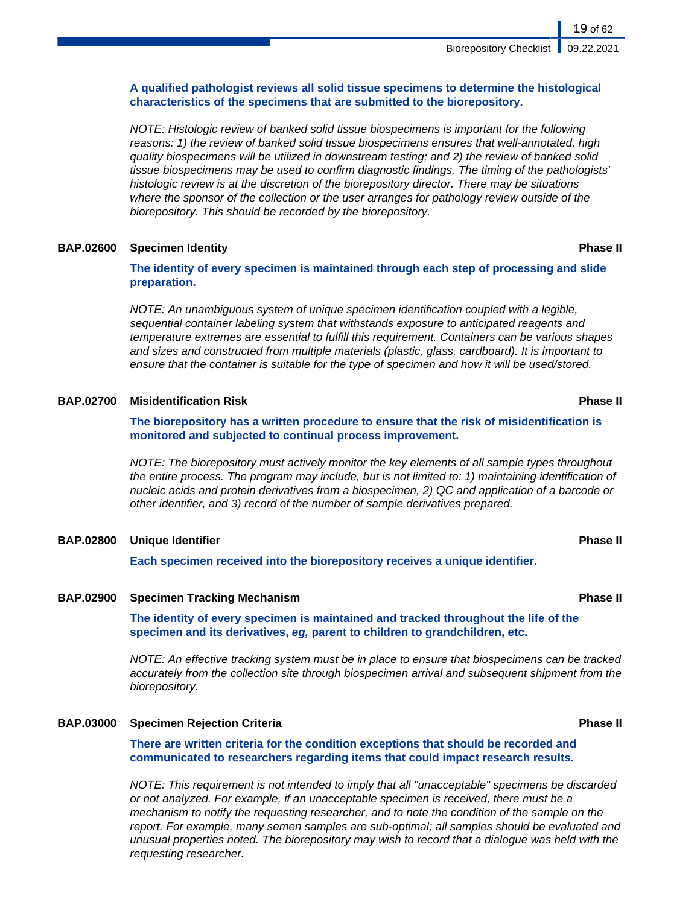## **A qualified pathologist reviews all solid tissue specimens to determine the histological characteristics of the specimens that are submitted to the biorepository.**

NOTE: Histologic review of banked solid tissue biospecimens is important for the following reasons: 1) the review of banked solid tissue biospecimens ensures that well-annotated, high quality biospecimens will be utilized in downstream testing; and 2) the review of banked solid tissue biospecimens may be used to confirm diagnostic findings. The timing of the pathologists' histologic review is at the discretion of the biorepository director. There may be situations where the sponsor of the collection or the user arranges for pathology review outside of the biorepository. This should be recorded by the biorepository.

### **BAP.02600 Specimen Identity Phase II**

**The identity of every specimen is maintained through each step of processing and slide preparation.**

NOTE: An unambiguous system of unique specimen identification coupled with a legible, sequential container labeling system that withstands exposure to anticipated reagents and temperature extremes are essential to fulfill this requirement. Containers can be various shapes and sizes and constructed from multiple materials (plastic, glass, cardboard). It is important to ensure that the container is suitable for the type of specimen and how it will be used/stored.

### **BAP.02700 Misidentification Risk Phase II**

**The biorepository has a written procedure to ensure that the risk of misidentification is monitored and subjected to continual process improvement.**

NOTE: The biorepository must actively monitor the key elements of all sample types throughout the entire process. The program may include, but is not limited to: 1) maintaining identification of nucleic acids and protein derivatives from a biospecimen, 2) QC and application of a barcode or other identifier, and 3) record of the number of sample derivatives prepared.

### **BAP.02800 Unique Identifier Phase II**

**Each specimen received into the biorepository receives a unique identifier.**

#### **BAP.02900 Specimen Tracking Mechanism Phase II**

**The identity of every specimen is maintained and tracked throughout the life of the specimen and its derivatives, eg, parent to children to grandchildren, etc.**

NOTE: An effective tracking system must be in place to ensure that biospecimens can be tracked accurately from the collection site through biospecimen arrival and subsequent shipment from the biorepository.

## **BAP.03000 Specimen Rejection Criteria Phase II**

**There are written criteria for the condition exceptions that should be recorded and communicated to researchers regarding items that could impact research results.**

NOTE: This requirement is not intended to imply that all "unacceptable" specimens be discarded or not analyzed. For example, if an unacceptable specimen is received, there must be a mechanism to notify the requesting researcher, and to note the condition of the sample on the report. For example, many semen samples are sub-optimal; all samples should be evaluated and unusual properties noted. The biorepository may wish to record that a dialogue was held with the requesting researcher.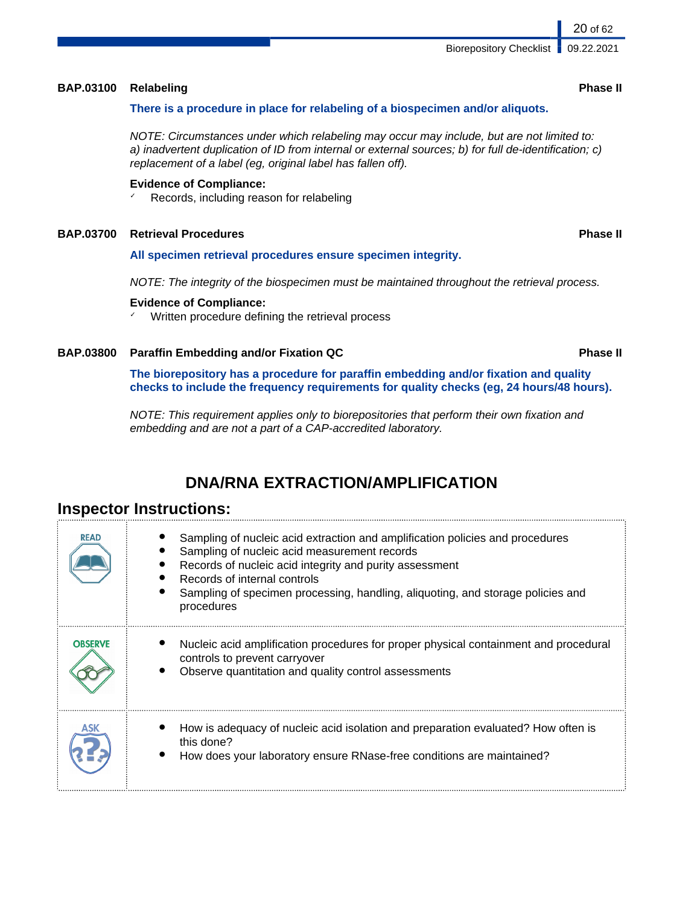## **BAP.03100 Relabeling Phase II**

## **There is a procedure in place for relabeling of a biospecimen and/or aliquots.**

NOTE: Circumstances under which relabeling may occur may include, but are not limited to: a) inadvertent duplication of ID from internal or external sources; b) for full de-identification; c) replacement of a label (eg, original label has fallen off).

## **Evidence of Compliance:**

✓ Records, including reason for relabeling

## **BAP.03700 Retrieval Procedures Phase II**

## **All specimen retrieval procedures ensure specimen integrity.**

NOTE: The integrity of the biospecimen must be maintained throughout the retrieval process.

## **Evidence of Compliance:**

✓ Written procedure defining the retrieval process

## **BAP.03800 Paraffin Embedding and/or Fixation QC Phase II**

**The biorepository has a procedure for paraffin embedding and/or fixation and quality checks to include the frequency requirements for quality checks (eg, 24 hours/48 hours).**

NOTE: This requirement applies only to biorepositories that perform their own fixation and embedding and are not a part of a CAP-accredited laboratory.

# **DNA/RNA EXTRACTION/AMPLIFICATION**

# **Inspector Instructions:**

| <b>READ</b>    | Sampling of nucleic acid extraction and amplification policies and procedures<br>Sampling of nucleic acid measurement records<br>Records of nucleic acid integrity and purity assessment<br>Records of internal controls<br>Sampling of specimen processing, handling, aliquoting, and storage policies and<br>procedures |
|----------------|---------------------------------------------------------------------------------------------------------------------------------------------------------------------------------------------------------------------------------------------------------------------------------------------------------------------------|
| <b>OBSERVE</b> | Nucleic acid amplification procedures for proper physical containment and procedural<br>controls to prevent carryover<br>Observe quantitation and quality control assessments                                                                                                                                             |
|                | How is adequacy of nucleic acid isolation and preparation evaluated? How often is<br>this done?<br>How does your laboratory ensure RNase-free conditions are maintained?                                                                                                                                                  |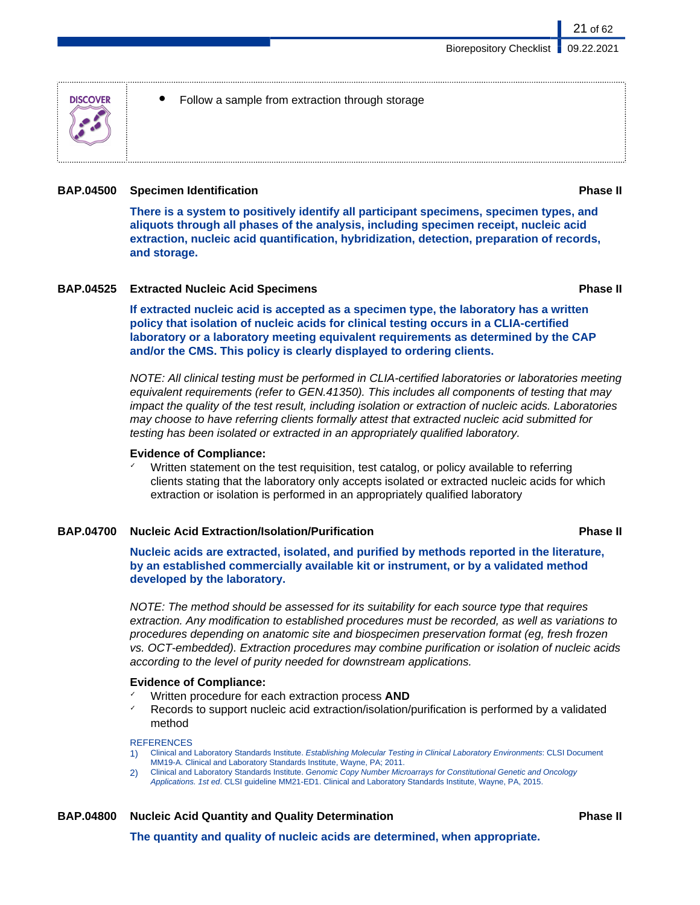

Follow a sample from extraction through storage

### **BAP.04500 Specimen Identification Phase II**

**There is a system to positively identify all participant specimens, specimen types, and aliquots through all phases of the analysis, including specimen receipt, nucleic acid extraction, nucleic acid quantification, hybridization, detection, preparation of records, and storage.**

### **BAP.04525 Extracted Nucleic Acid Specimens Phase II**

21 of 62

**If extracted nucleic acid is accepted as a specimen type, the laboratory has a written policy that isolation of nucleic acids for clinical testing occurs in a CLIA-certified laboratory or a laboratory meeting equivalent requirements as determined by the CAP and/or the CMS. This policy is clearly displayed to ordering clients.**

NOTE: All clinical testing must be performed in CLIA-certified laboratories or laboratories meeting equivalent requirements (refer to GEN.41350). This includes all components of testing that may impact the quality of the test result, including isolation or extraction of nucleic acids. Laboratories may choose to have referring clients formally attest that extracted nucleic acid submitted for testing has been isolated or extracted in an appropriately qualified laboratory.

### **Evidence of Compliance:**

Written statement on the test requisition, test catalog, or policy available to referring clients stating that the laboratory only accepts isolated or extracted nucleic acids for which extraction or isolation is performed in an appropriately qualified laboratory

## **BAP.04700 Nucleic Acid Extraction/Isolation/Purification Phase II**

**Nucleic acids are extracted, isolated, and purified by methods reported in the literature, by an established commercially available kit or instrument, or by a validated method developed by the laboratory.**

NOTE: The method should be assessed for its suitability for each source type that requires extraction. Any modification to established procedures must be recorded, as well as variations to procedures depending on anatomic site and biospecimen preservation format (eg, fresh frozen vs. OCT-embedded). Extraction procedures may combine purification or isolation of nucleic acids according to the level of purity needed for downstream applications.

### **Evidence of Compliance:**

- ✓ Written procedure for each extraction process **AND**
- Records to support nucleic acid extraction/isolation/purification is performed by a validated method

#### **REFERENCES**

- 1) Clinical and Laboratory Standards Institute. Establishing Molecular Testing in Clinical Laboratory Environments: CLSI Document MM19-A. Clinical and Laboratory Standards Institute, Wayne, PA; 2011.
- 2) Clinical and Laboratory Standards Institute. Genomic Copy Number Microarrays for Constitutional Genetic and Oncology Applications. 1st ed. CLSI guideline MM21-ED1. Clinical and Laboratory Standards Institute, Wayne, PA, 2015.

# **BAP.04800 Nucleic Acid Quantity and Quality Determination Phase II**

**The quantity and quality of nucleic acids are determined, when appropriate.**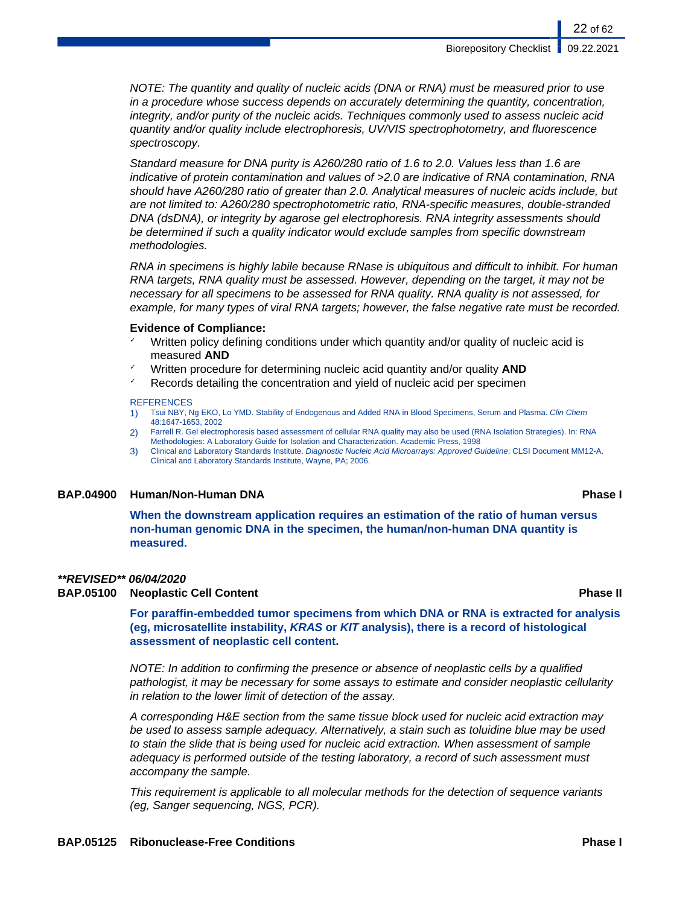NOTE: The quantity and quality of nucleic acids (DNA or RNA) must be measured prior to use in a procedure whose success depends on accurately determining the quantity, concentration, integrity, and/or purity of the nucleic acids. Techniques commonly used to assess nucleic acid quantity and/or quality include electrophoresis, UV/VIS spectrophotometry, and fluorescence spectroscopy.

Standard measure for DNA purity is A260/280 ratio of 1.6 to 2.0. Values less than 1.6 are indicative of protein contamination and values of >2.0 are indicative of RNA contamination, RNA should have A260/280 ratio of greater than 2.0. Analytical measures of nucleic acids include, but are not limited to: A260/280 spectrophotometric ratio, RNA-specific measures, double-stranded DNA (dsDNA), or integrity by agarose gel electrophoresis. RNA integrity assessments should be determined if such a quality indicator would exclude samples from specific downstream methodologies.

RNA in specimens is highly labile because RNase is ubiquitous and difficult to inhibit. For human RNA targets, RNA quality must be assessed. However, depending on the target, it may not be necessary for all specimens to be assessed for RNA quality. RNA quality is not assessed, for example, for many types of viral RNA targets; however, the false negative rate must be recorded.

#### **Evidence of Compliance:**

- Written policy defining conditions under which quantity and/or quality of nucleic acid is measured **AND**
- Written procedure for determining nucleic acid quantity and/or quality **AND**
- $\textdegree$  Records detailing the concentration and yield of nucleic acid per specimen

#### **REFERENCES**

- 1) Tsui NBY, Ng EKO, Lo YMD. Stability of Endogenous and Added RNA in Blood Specimens, Serum and Plasma. Clin Chem 48:1647-1653, 2002
- 2) Farrell R. Gel electrophoresis based assessment of cellular RNA quality may also be used (RNA Isolation Strategies). In: RNA Methodologies: A Laboratory Guide for Isolation and Characterization. Academic Press, 1998
- 3) Clinical and Laboratory Standards Institute. Diagnostic Nucleic Acid Microarrays: Approved Guideline; CLSI Document MM12-A. Clinical and Laboratory Standards Institute, Wayne, PA; 2006.

#### **BAP.04900 Human/Non-Human DNA Phase I**

**When the downstream application requires an estimation of the ratio of human versus non-human genomic DNA in the specimen, the human/non-human DNA quantity is measured.**

#### **\*\*REVISED\*\* 06/04/2020**

### **BAP.05100 Neoplastic Cell Content Phase II**

**For paraffin-embedded tumor specimens from which DNA or RNA is extracted for analysis (eg, microsatellite instability, KRAS or KIT analysis), there is a record of histological assessment of neoplastic cell content.**

NOTE: In addition to confirming the presence or absence of neoplastic cells by a qualified pathologist, it may be necessary for some assays to estimate and consider neoplastic cellularity in relation to the lower limit of detection of the assay.

A corresponding H&E section from the same tissue block used for nucleic acid extraction may be used to assess sample adequacy. Alternatively, a stain such as toluidine blue may be used to stain the slide that is being used for nucleic acid extraction. When assessment of sample adequacy is performed outside of the testing laboratory, a record of such assessment must accompany the sample.

This requirement is applicable to all molecular methods for the detection of sequence variants (eg, Sanger sequencing, NGS, PCR).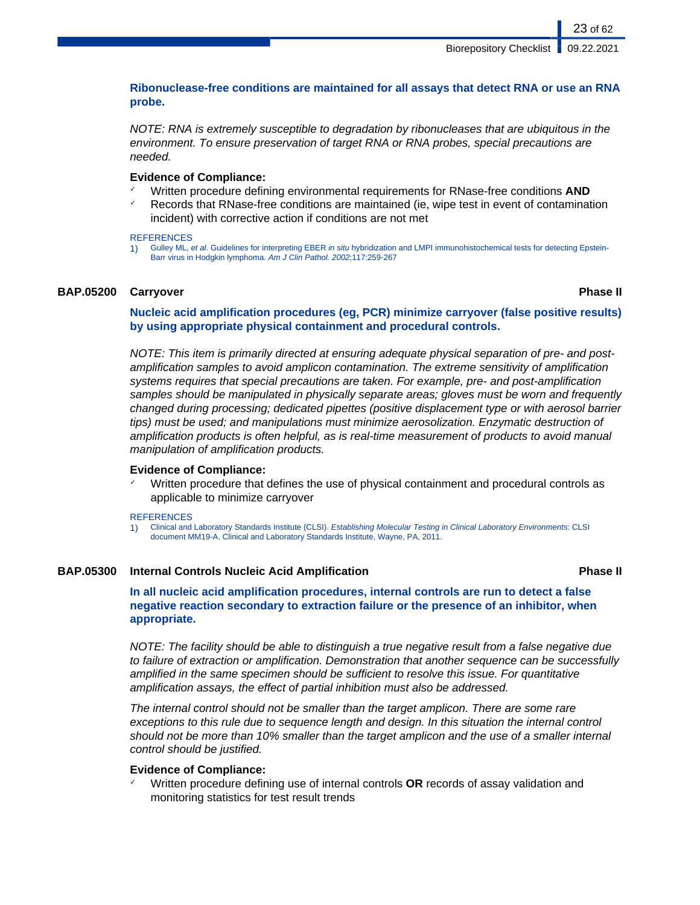**Ribonuclease-free conditions are maintained for all assays that detect RNA or use an RNA probe.**

NOTE: RNA is extremely susceptible to degradation by ribonucleases that are ubiquitous in the environment. To ensure preservation of target RNA or RNA probes, special precautions are needed.

### **Evidence of Compliance:**

- ✓ Written procedure defining environmental requirements for RNase-free conditions **AND**
- Records that RNase-free conditions are maintained (ie, wipe test in event of contamination incident) with corrective action if conditions are not met

#### **REFERENCES**

1) Gulley ML, et al. Guidelines for interpreting EBER in situ hybridization and LMPI immunohistochemical tests for detecting Epstein-Barr virus in Hodgkin lymphoma. Am J Clin Pathol. 2002;117:259-267

### **BAP.05200 Carryover Phase II**

**Nucleic acid amplification procedures (eg, PCR) minimize carryover (false positive results) by using appropriate physical containment and procedural controls.**

NOTE: This item is primarily directed at ensuring adequate physical separation of pre- and postamplification samples to avoid amplicon contamination. The extreme sensitivity of amplification systems requires that special precautions are taken. For example, pre- and post-amplification samples should be manipulated in physically separate areas; gloves must be worn and frequently changed during processing; dedicated pipettes (positive displacement type or with aerosol barrier tips) must be used; and manipulations must minimize aerosolization. Enzymatic destruction of amplification products is often helpful, as is real-time measurement of products to avoid manual manipulation of amplification products.

### **Evidence of Compliance:**

Written procedure that defines the use of physical containment and procedural controls as applicable to minimize carryover

#### **REFERENCES**

## **BAP.05300 Internal Controls Nucleic Acid Amplification Phase II**

**In all nucleic acid amplification procedures, internal controls are run to detect a false negative reaction secondary to extraction failure or the presence of an inhibitor, when appropriate.**

NOTE: The facility should be able to distinguish a true negative result from a false negative due to failure of extraction or amplification. Demonstration that another sequence can be successfully amplified in the same specimen should be sufficient to resolve this issue. For quantitative amplification assays, the effect of partial inhibition must also be addressed.

The internal control should not be smaller than the target amplicon. There are some rare exceptions to this rule due to sequence length and design. In this situation the internal control should not be more than 10% smaller than the target amplicon and the use of a smaller internal control should be justified.

### **Evidence of Compliance:**

✓ Written procedure defining use of internal controls **OR** records of assay validation and monitoring statistics for test result trends

<sup>1)</sup> Clinical and Laboratory Standards Institute (CLSI). Establishing Molecular Testing in Clinical Laboratory Environments: CLSI document MM19-A. Clinical and Laboratory Standards Institute, Wayne, PA, 2011.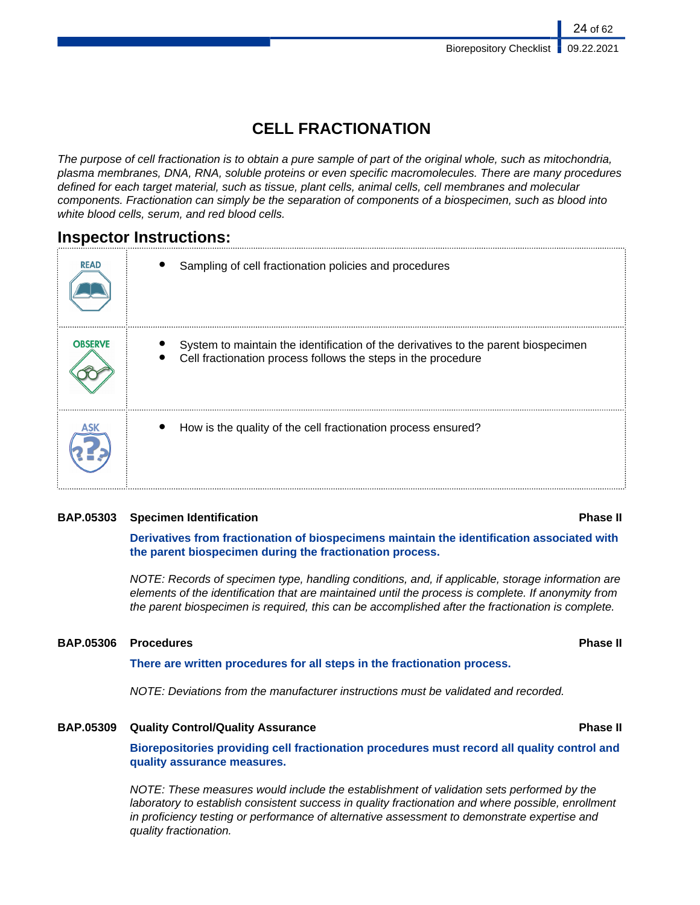# **CELL FRACTIONATION**

The purpose of cell fractionation is to obtain a pure sample of part of the original whole, such as mitochondria, plasma membranes, DNA, RNA, soluble proteins or even specific macromolecules. There are many procedures defined for each target material, such as tissue, plant cells, animal cells, cell membranes and molecular components. Fractionation can simply be the separation of components of a biospecimen, such as blood into white blood cells, serum, and red blood cells.

# **Inspector Instructions:**

| <b>READ</b>    | Sampling of cell fractionation policies and procedures                                                                                              |
|----------------|-----------------------------------------------------------------------------------------------------------------------------------------------------|
| <b>OBSERVE</b> | System to maintain the identification of the derivatives to the parent biospecimen<br>Cell fractionation process follows the steps in the procedure |
|                | How is the quality of the cell fractionation process ensured?                                                                                       |

# **BAP.05303 Specimen Identification Phase II**

**Derivatives from fractionation of biospecimens maintain the identification associated with the parent biospecimen during the fractionation process.**

NOTE: Records of specimen type, handling conditions, and, if applicable, storage information are elements of the identification that are maintained until the process is complete. If anonymity from the parent biospecimen is required, this can be accomplished after the fractionation is complete.

# **BAP.05306 Procedures Phase II**

# **There are written procedures for all steps in the fractionation process.**

NOTE: Deviations from the manufacturer instructions must be validated and recorded.

# **BAP.05309 Quality Control/Quality Assurance Phase II**

**Biorepositories providing cell fractionation procedures must record all quality control and quality assurance measures.**

NOTE: These measures would include the establishment of validation sets performed by the laboratory to establish consistent success in quality fractionation and where possible, enrollment in proficiency testing or performance of alternative assessment to demonstrate expertise and quality fractionation.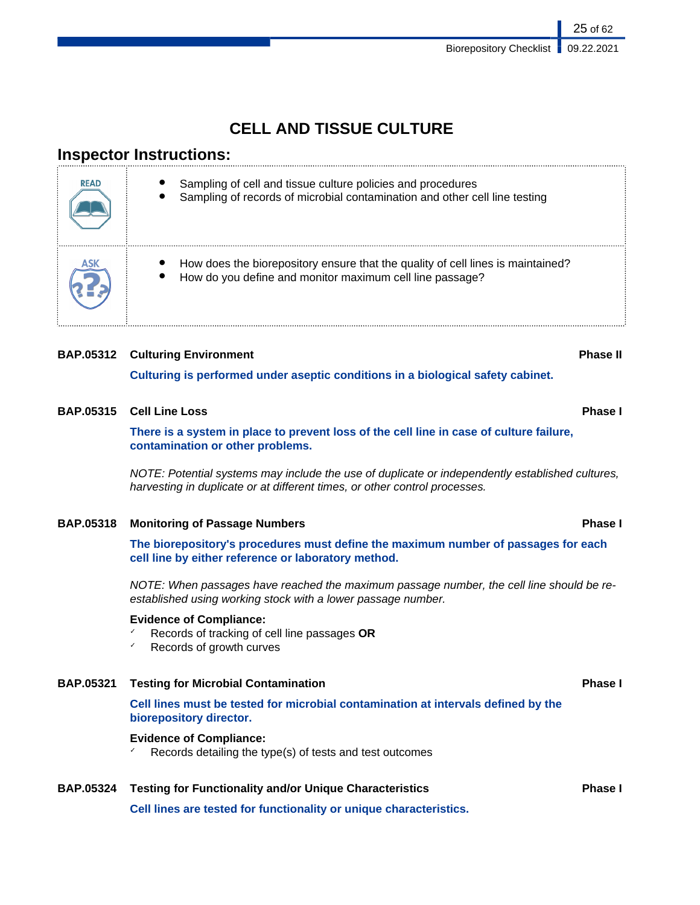25 of 62

# **CELL AND TISSUE CULTURE**

# **Inspector Instructions:**

| <b>READ</b> | Sampling of cell and tissue culture policies and procedures<br>Sampling of records of microbial contamination and other cell line testing   |
|-------------|---------------------------------------------------------------------------------------------------------------------------------------------|
| ASK         | How does the biorepository ensure that the quality of cell lines is maintained?<br>How do you define and monitor maximum cell line passage? |

# **BAP.05312 Culturing Environment Phase II**

**Culturing is performed under aseptic conditions in a biological safety cabinet.**

# **BAP.05315 Cell Line Loss Phase I**

**There is a system in place to prevent loss of the cell line in case of culture failure, contamination or other problems.**

NOTE: Potential systems may include the use of duplicate or independently established cultures, harvesting in duplicate or at different times, or other control processes.

# **BAP.05318 Monitoring of Passage Numbers Phase I**

**The biorepository's procedures must define the maximum number of passages for each cell line by either reference or laboratory method.**

NOTE: When passages have reached the maximum passage number, the cell line should be reestablished using working stock with a lower passage number.

## **Evidence of Compliance:**

- ✓ Records of tracking of cell line passages **OR**
- Records of growth curves

## **BAP.05321 Testing for Microbial Contamination Phase I**

**Cell lines must be tested for microbial contamination at intervals defined by the biorepository director.**

## **Evidence of Compliance:**

Records detailing the type(s) of tests and test outcomes

# **BAP.05324 Testing for Functionality and/or Unique Characteristics Phase I**

**Cell lines are tested for functionality or unique characteristics.**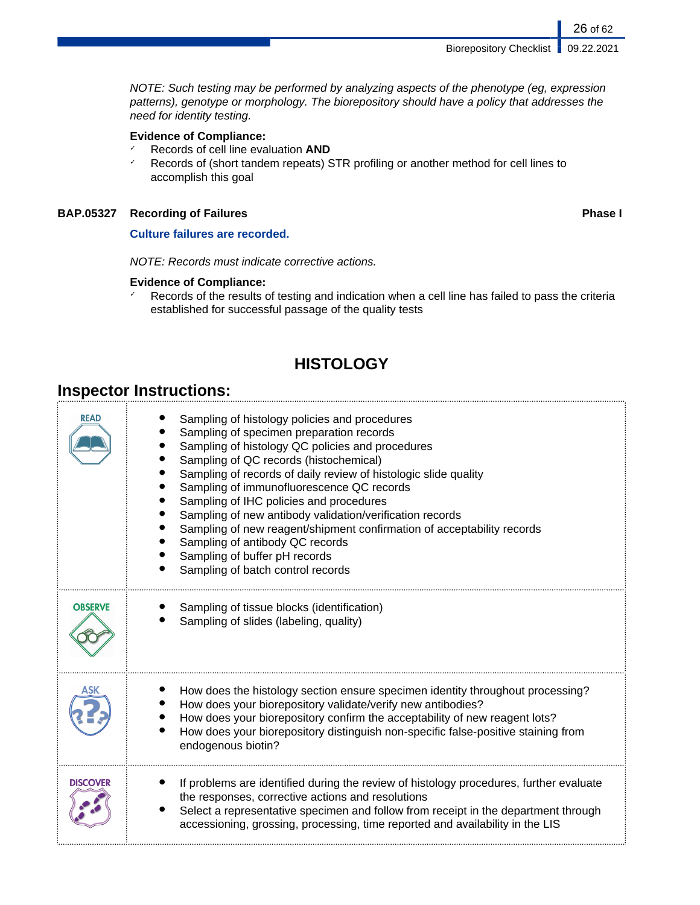NOTE: Such testing may be performed by analyzing aspects of the phenotype (eg, expression patterns), genotype or morphology. The biorepository should have a policy that addresses the need for identity testing.

# **Evidence of Compliance:**

- ✓ Records of cell line evaluation **AND**
- ✓ Records of (short tandem repeats) STR profiling or another method for cell lines to accomplish this goal

# **BAP.05327 Recording of Failures Phase I**

**Culture failures are recorded.**

NOTE: Records must indicate corrective actions.

# **Evidence of Compliance:**

✓ Records of the results of testing and indication when a cell line has failed to pass the criteria established for successful passage of the quality tests

# **HISTOLOGY**

# **Inspector Instructions:**

| <b>READ</b>     | Sampling of histology policies and procedures<br>Sampling of specimen preparation records<br>Sampling of histology QC policies and procedures<br>Sampling of QC records (histochemical)<br>Sampling of records of daily review of histologic slide quality<br>Sampling of immunofluorescence QC records<br>Sampling of IHC policies and procedures<br>Sampling of new antibody validation/verification records<br>Sampling of new reagent/shipment confirmation of acceptability records<br>Sampling of antibody QC records<br>Sampling of buffer pH records<br>Sampling of batch control records |
|-----------------|---------------------------------------------------------------------------------------------------------------------------------------------------------------------------------------------------------------------------------------------------------------------------------------------------------------------------------------------------------------------------------------------------------------------------------------------------------------------------------------------------------------------------------------------------------------------------------------------------|
| <b>OBSERVE</b>  | Sampling of tissue blocks (identification)<br>Sampling of slides (labeling, quality)                                                                                                                                                                                                                                                                                                                                                                                                                                                                                                              |
|                 | How does the histology section ensure specimen identity throughout processing?<br>How does your biorepository validate/verify new antibodies?<br>How does your biorepository confirm the acceptability of new reagent lots?<br>How does your biorepository distinguish non-specific false-positive staining from<br>endogenous biotin?                                                                                                                                                                                                                                                            |
| <b>DISCOVER</b> | If problems are identified during the review of histology procedures, further evaluate<br>the responses, corrective actions and resolutions<br>Select a representative specimen and follow from receipt in the department through<br>accessioning, grossing, processing, time reported and availability in the LIS                                                                                                                                                                                                                                                                                |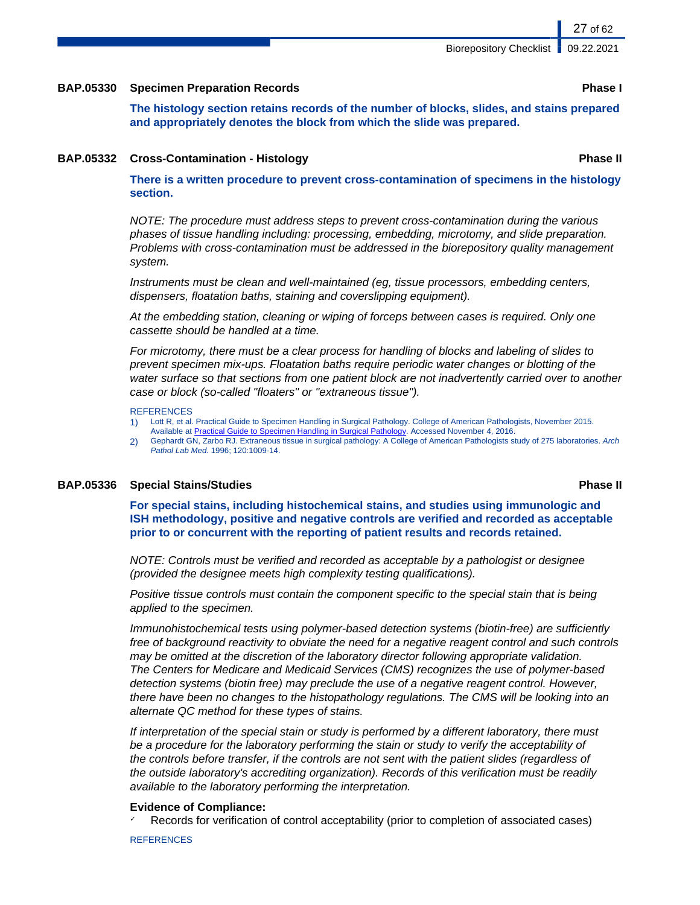## **BAP.05330 Specimen Preparation Records Phase I**

**The histology section retains records of the number of blocks, slides, and stains prepared and appropriately denotes the block from which the slide was prepared.**

#### **BAP.05332 Cross-Contamination - Histology Phase II**

**There is a written procedure to prevent cross-contamination of specimens in the histology section.**

NOTE: The procedure must address steps to prevent cross-contamination during the various phases of tissue handling including: processing, embedding, microtomy, and slide preparation. Problems with cross-contamination must be addressed in the biorepository quality management system.

Instruments must be clean and well-maintained (eg, tissue processors, embedding centers, dispensers, floatation baths, staining and coverslipping equipment).

At the embedding station, cleaning or wiping of forceps between cases is required. Only one cassette should be handled at a time.

For microtomy, there must be a clear process for handling of blocks and labeling of slides to prevent specimen mix-ups. Floatation baths require periodic water changes or blotting of the water surface so that sections from one patient block are not inadvertently carried over to another case or block (so-called "floaters" or "extraneous tissue").

#### **REFERENCES**

- 1) Lott R, et al. Practical Guide to Specimen Handling in Surgical Pathology. College of American Pathologists, November 2015.
- Available at [Practical Guide to Specimen Handling in Surgical Pathology](http://www.cap.org/ShowProperty?nodePath=/UCMCon/Contribution%20Folders/WebContent/pdf/practical-guide-specimen-handling.pdf). Accessed November 4, 2016.
- 2) Gephardt GN, Zarbo RJ. Extraneous tissue in surgical pathology: A College of American Pathologists study of 275 laboratories. Arch Pathol Lab Med. 1996; 120:1009-14.

### **BAP.05336 Special Stains/Studies Phase II**

**For special stains, including histochemical stains, and studies using immunologic and ISH methodology, positive and negative controls are verified and recorded as acceptable**

NOTE: Controls must be verified and recorded as acceptable by a pathologist or designee (provided the designee meets high complexity testing qualifications).

**prior to or concurrent with the reporting of patient results and records retained.**

Positive tissue controls must contain the component specific to the special stain that is being applied to the specimen.

Immunohistochemical tests using polymer-based detection systems (biotin-free) are sufficiently free of background reactivity to obviate the need for a negative reagent control and such controls may be omitted at the discretion of the laboratory director following appropriate validation. The Centers for Medicare and Medicaid Services (CMS) recognizes the use of polymer-based detection systems (biotin free) may preclude the use of a negative reagent control. However, there have been no changes to the histopathology regulations. The CMS will be looking into an alternate QC method for these types of stains.

If interpretation of the special stain or study is performed by a different laboratory, there must be a procedure for the laboratory performing the stain or study to verify the acceptability of the controls before transfer, if the controls are not sent with the patient slides (regardless of the outside laboratory's accrediting organization). Records of this verification must be readily available to the laboratory performing the interpretation.

# **Evidence of Compliance:**

Records for verification of control acceptability (prior to completion of associated cases)

**REFERENCES**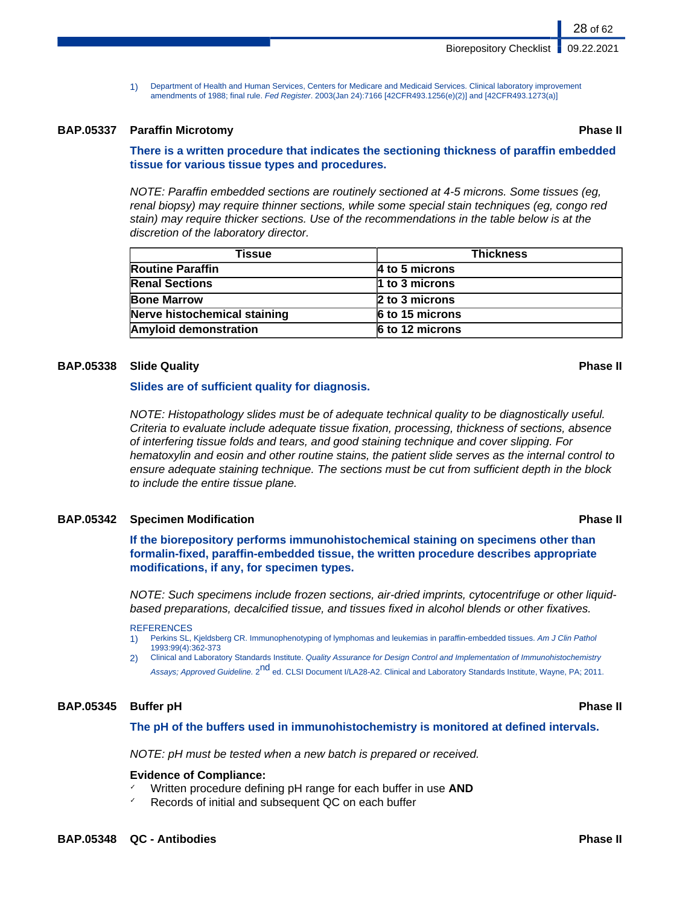1) Department of Health and Human Services, Centers for Medicare and Medicaid Services. Clinical laboratory improvement amendments of 1988; final rule. Fed Register. 2003(Jan 24):7166 [42CFR493.1256(e)(2)] and [42CFR493.1273(a)]

## **BAP.05337 Paraffin Microtomy Phase II**

## **There is a written procedure that indicates the sectioning thickness of paraffin embedded tissue for various tissue types and procedures.**

NOTE: Paraffin embedded sections are routinely sectioned at 4-5 microns. Some tissues (eg, renal biopsy) may require thinner sections, while some special stain techniques (eg, congo red stain) may require thicker sections. Use of the recommendations in the table below is at the discretion of the laboratory director.

| Tissue                       | <b>Thickness</b>       |  |
|------------------------------|------------------------|--|
| <b>Routine Paraffin</b>      | 4 to 5 microns         |  |
| <b>Renal Sections</b>        | $\vert$ 1 to 3 microns |  |
| <b>Bone Marrow</b>           | 2 to 3 microns         |  |
| Nerve histochemical staining | $6$ to 15 microns      |  |
| <b>Amyloid demonstration</b> | $6$ to 12 microns      |  |

### **BAP.05338 Slide Quality Phase II**

## **Slides are of sufficient quality for diagnosis.**

NOTE: Histopathology slides must be of adequate technical quality to be diagnostically useful. Criteria to evaluate include adequate tissue fixation, processing, thickness of sections, absence of interfering tissue folds and tears, and good staining technique and cover slipping. For hematoxylin and eosin and other routine stains, the patient slide serves as the internal control to ensure adequate staining technique. The sections must be cut from sufficient depth in the block to include the entire tissue plane.

## **BAP.05342 Specimen Modification Phase II**

**If the biorepository performs immunohistochemical staining on specimens other than formalin-fixed, paraffin-embedded tissue, the written procedure describes appropriate modifications, if any, for specimen types.**

NOTE: Such specimens include frozen sections, air-dried imprints, cytocentrifuge or other liquidbased preparations, decalcified tissue, and tissues fixed in alcohol blends or other fixatives.

#### **REFERENCES**

- 1) Perkins SL, Kjeldsberg CR. Immunophenotyping of lymphomas and leukemias in paraffin-embedded tissues. Am J Clin Pathol 1993:99(4):362-373
- 2) Clinical and Laboratory Standards Institute. Quality Assurance for Design Control and Implementation of Immunohistochemistry Assays; Approved Guideline. 2<sup>nd</sup> ed. CLSI Document I/LA28-A2. Clinical and Laboratory Standards Institute, Wayne, PA; 2011.

### **BAP.05345 Buffer pH Phase II**

### **The pH of the buffers used in immunohistochemistry is monitored at defined intervals.**

NOTE: pH must be tested when a new batch is prepared or received.

### **Evidence of Compliance:**

- Written procedure defining pH range for each buffer in use **AND**
- Records of initial and subsequent QC on each buffer

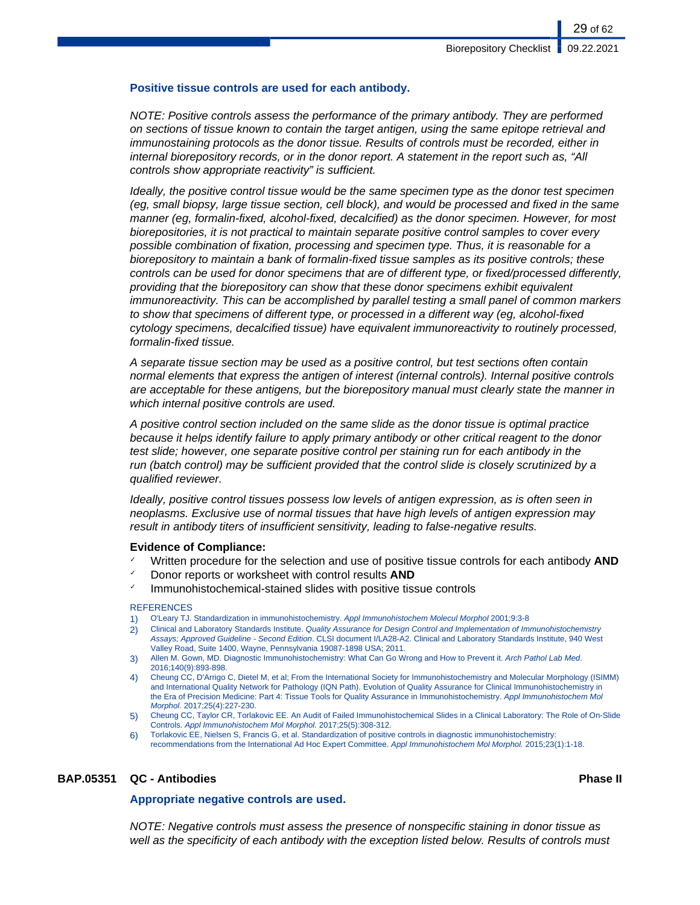#### **Positive tissue controls are used for each antibody.**

NOTE: Positive controls assess the performance of the primary antibody. They are performed on sections of tissue known to contain the target antigen, using the same epitope retrieval and immunostaining protocols as the donor tissue. Results of controls must be recorded, either in internal biorepository records, or in the donor report. A statement in the report such as, "All controls show appropriate reactivity" is sufficient.

Ideally, the positive control tissue would be the same specimen type as the donor test specimen (eg, small biopsy, large tissue section, cell block), and would be processed and fixed in the same manner (eg, formalin-fixed, alcohol-fixed, decalcified) as the donor specimen. However, for most biorepositories, it is not practical to maintain separate positive control samples to cover every possible combination of fixation, processing and specimen type. Thus, it is reasonable for a biorepository to maintain a bank of formalin-fixed tissue samples as its positive controls; these controls can be used for donor specimens that are of different type, or fixed/processed differently, providing that the biorepository can show that these donor specimens exhibit equivalent immunoreactivity. This can be accomplished by parallel testing a small panel of common markers to show that specimens of different type, or processed in a different way (eg, alcohol-fixed cytology specimens, decalcified tissue) have equivalent immunoreactivity to routinely processed, formalin-fixed tissue.

A separate tissue section may be used as a positive control, but test sections often contain normal elements that express the antigen of interest (internal controls). Internal positive controls are acceptable for these antigens, but the biorepository manual must clearly state the manner in which internal positive controls are used.

A positive control section included on the same slide as the donor tissue is optimal practice because it helps identify failure to apply primary antibody or other critical reagent to the donor test slide; however, one separate positive control per staining run for each antibody in the run (batch control) may be sufficient provided that the control slide is closely scrutinized by a qualified reviewer.

Ideally, positive control tissues possess low levels of antigen expression, as is often seen in neoplasms. Exclusive use of normal tissues that have high levels of antigen expression may result in antibody titers of insufficient sensitivity, leading to false-negative results.

### **Evidence of Compliance:**

- ✓ Written procedure for the selection and use of positive tissue controls for each antibody **AND**
- ✓ Donor reports or worksheet with control results **AND**
- ✓ Immunohistochemical-stained slides with positive tissue controls

#### **REFERENCES**

- 1) O'Leary TJ. Standardization in immunohistochemistry. Appl Immunohistochem Molecul Morphol 2001;9:3-8
- 2) Clinical and Laboratory Standards Institute. Quality Assurance for Design Control and Implementation of Immunohistochemistry Assays; Approved Guideline - Second Edition. CLSI document I/LA28-A2. Clinical and Laboratory Standards Institute, 940 West Valley Road, Suite 1400, Wayne, Pennsylvania 19087-1898 USA; 2011.
- 3) Allen M. Gown, MD. Diagnostic Immunohistochemistry: What Can Go Wrong and How to Prevent it. Arch Pathol Lab Med. 2016;140(9):893-898.
- 4) Cheung CC, D'Arrigo C, Dietel M, et al; From the International Society for Immunohistochemistry and Molecular Morphology (ISIMM) and International Quality Network for Pathology (IQN Path). Evolution of Quality Assurance for Clinical Immunohistochemistry in the Era of Precision Medicine: Part 4: Tissue Tools for Quality Assurance in Immunohistochemistry. Appl Immunohistochem Mol Morphol. 2017;25(4):227-230.
- 5) Cheung CC, Taylor CR, Torlakovic EE. An Audit of Failed Immunohistochemical Slides in a Clinical Laboratory: The Role of On-Slide Controls. Appl Immunohistochem Mol Morphol. 2017;25(5):308-312.
- 6) Torlakovic EE, Nielsen S, Francis G, et al. Standardization of positive controls in diagnostic immunohistochemistry: recommendations from the International Ad Hoc Expert Committee. Appl Immunohistochem Mol Morphol. 2015;23(1):1-18.

### **BAP.05351 QC - Antibodies Phase II**

#### **Appropriate negative controls are used.**

NOTE: Negative controls must assess the presence of nonspecific staining in donor tissue as well as the specificity of each antibody with the exception listed below. Results of controls must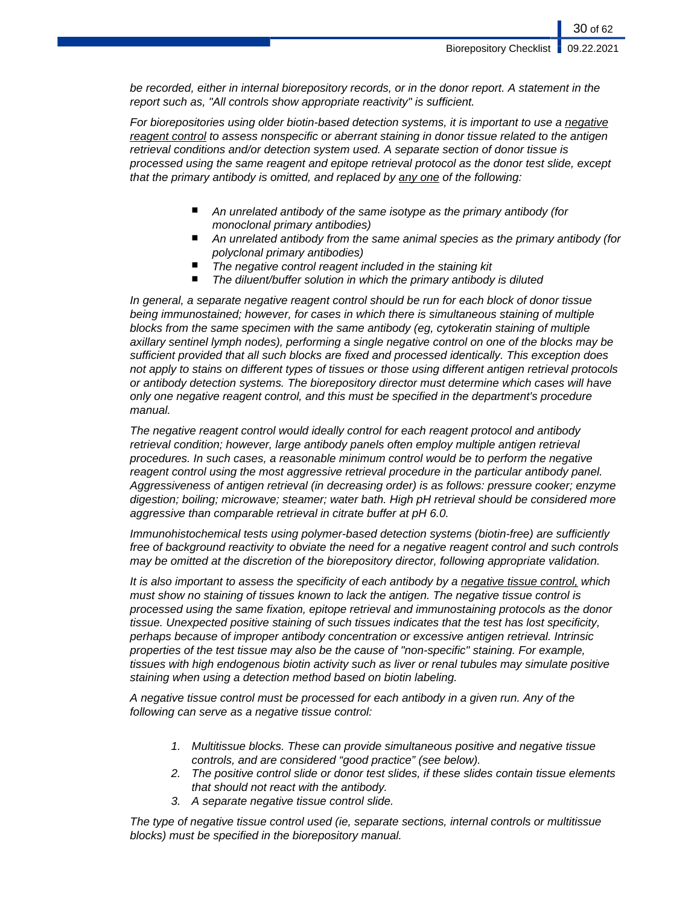be recorded, either in internal biorepository records, or in the donor report. A statement in the report such as, "All controls show appropriate reactivity" is sufficient.

For biorepositories using older biotin-based detection systems, it is important to use a negative reagent control to assess nonspecific or aberrant staining in donor tissue related to the antigen retrieval conditions and/or detection system used. A separate section of donor tissue is processed using the same reagent and epitope retrieval protocol as the donor test slide, except that the primary antibody is omitted, and replaced by any one of the following:

- An unrelated antibody of the same isotype as the primary antibody (for monoclonal primary antibodies)
- An unrelated antibody from the same animal species as the primary antibody (for polyclonal primary antibodies)
- The negative control reagent included in the staining kit
- The diluent/buffer solution in which the primary antibody is diluted

In general, a separate negative reagent control should be run for each block of donor tissue being immunostained; however, for cases in which there is simultaneous staining of multiple blocks from the same specimen with the same antibody (eg, cytokeratin staining of multiple axillary sentinel lymph nodes), performing a single negative control on one of the blocks may be sufficient provided that all such blocks are fixed and processed identically. This exception does not apply to stains on different types of tissues or those using different antigen retrieval protocols or antibody detection systems. The biorepository director must determine which cases will have only one negative reagent control, and this must be specified in the department's procedure manual.

The negative reagent control would ideally control for each reagent protocol and antibody retrieval condition; however, large antibody panels often employ multiple antigen retrieval procedures. In such cases, a reasonable minimum control would be to perform the negative reagent control using the most aggressive retrieval procedure in the particular antibody panel. Aggressiveness of antigen retrieval (in decreasing order) is as follows: pressure cooker; enzyme digestion; boiling; microwave; steamer; water bath. High pH retrieval should be considered more aggressive than comparable retrieval in citrate buffer at pH 6.0.

Immunohistochemical tests using polymer-based detection systems (biotin-free) are sufficiently free of background reactivity to obviate the need for a negative reagent control and such controls may be omitted at the discretion of the biorepository director, following appropriate validation.

It is also important to assess the specificity of each antibody by a negative tissue control, which must show no staining of tissues known to lack the antigen. The negative tissue control is processed using the same fixation, epitope retrieval and immunostaining protocols as the donor tissue. Unexpected positive staining of such tissues indicates that the test has lost specificity, perhaps because of improper antibody concentration or excessive antigen retrieval. Intrinsic properties of the test tissue may also be the cause of "non-specific" staining. For example, tissues with high endogenous biotin activity such as liver or renal tubules may simulate positive staining when using a detection method based on biotin labeling.

A negative tissue control must be processed for each antibody in a given run. Any of the following can serve as a negative tissue control:

- 1. Multitissue blocks. These can provide simultaneous positive and negative tissue controls, and are considered "good practice" (see below).
- 2. The positive control slide or donor test slides, if these slides contain tissue elements that should not react with the antibody.
- 3. A separate negative tissue control slide.

The type of negative tissue control used (ie, separate sections, internal controls or multitissue blocks) must be specified in the biorepository manual.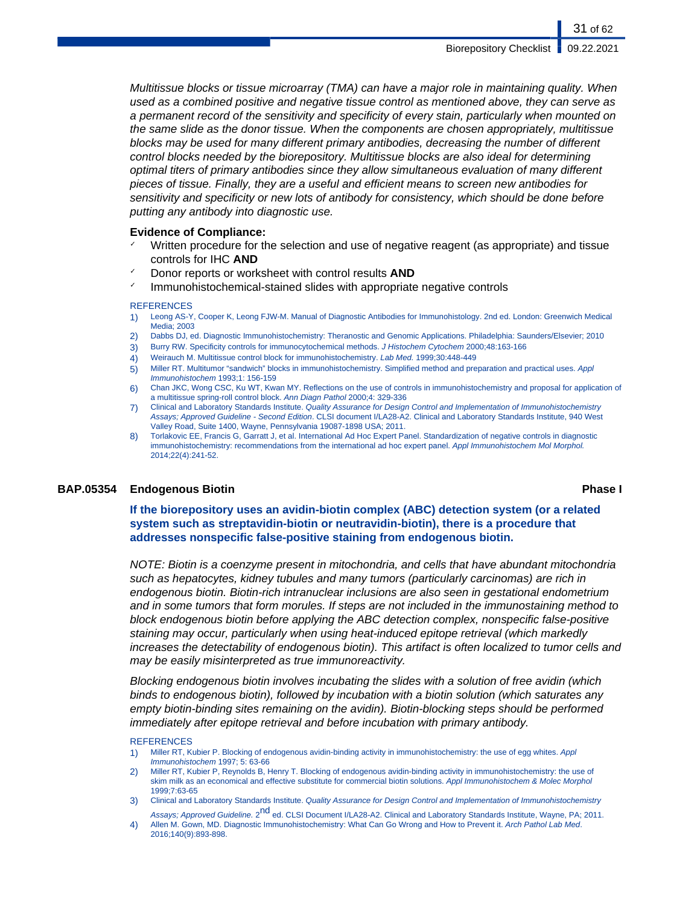31 of 62

Multitissue blocks or tissue microarray (TMA) can have a major role in maintaining quality. When used as a combined positive and negative tissue control as mentioned above, they can serve as a permanent record of the sensitivity and specificity of every stain, particularly when mounted on the same slide as the donor tissue. When the components are chosen appropriately, multitissue blocks may be used for many different primary antibodies, decreasing the number of different control blocks needed by the biorepository. Multitissue blocks are also ideal for determining optimal titers of primary antibodies since they allow simultaneous evaluation of many different pieces of tissue. Finally, they are a useful and efficient means to screen new antibodies for sensitivity and specificity or new lots of antibody for consistency, which should be done before putting any antibody into diagnostic use.

#### **Evidence of Compliance:**

- Written procedure for the selection and use of negative reagent (as appropriate) and tissue controls for IHC **AND**
- Donor reports or worksheet with control results **AND**
- ✓ Immunohistochemical-stained slides with appropriate negative controls

#### **REFERENCES**

- 1) Leong AS-Y, Cooper K, Leong FJW-M. Manual of Diagnostic Antibodies for Immunohistology. 2nd ed. London: Greenwich Medical Media; 2003
- 2) Dabbs DJ, ed. Diagnostic Immunohistochemistry: Theranostic and Genomic Applications. Philadelphia: Saunders/Elsevier; 2010
- 3) Burry RW. Specificity controls for immunocytochemical methods. J Histochem Cytochem 2000;48:163-166
- 4) Weirauch M. Multitissue control block for immunohistochemistry. Lab Med. 1999;30:448-449
- 5) Miller RT. Multitumor "sandwich" blocks in immunohistochemistry. Simplified method and preparation and practical uses. Appl Immunohistochem 1993;1: 156-159
- 6) Chan JKC, Wong CSC, Ku WT, Kwan MY. Reflections on the use of controls in immunohistochemistry and proposal for application of a multitissue spring-roll control block. Ann Diagn Pathol 2000;4: 329-336
- 7) Clinical and Laboratory Standards Institute. Quality Assurance for Design Control and Implementation of Immunohistochemistry Assays; Approved Guideline - Second Edition. CLSI document I/LA28-A2. Clinical and Laboratory Standards Institute, 940 West Valley Road, Suite 1400, Wayne, Pennsylvania 19087-1898 USA; 2011.
- 8) Torlakovic EE, Francis G, Garratt J, et al. International Ad Hoc Expert Panel. Standardization of negative controls in diagnostic immunohistochemistry: recommendations from the international ad hoc expert panel. Appl Immunohistochem Mol Morphol. 2014;22(4):241-52.

### **BAP.05354 Endogenous Biotin Phase I**

**If the biorepository uses an avidin-biotin complex (ABC) detection system (or a related system such as streptavidin-biotin or neutravidin-biotin), there is a procedure that addresses nonspecific false-positive staining from endogenous biotin.**

NOTE: Biotin is a coenzyme present in mitochondria, and cells that have abundant mitochondria such as hepatocytes, kidney tubules and many tumors (particularly carcinomas) are rich in endogenous biotin. Biotin-rich intranuclear inclusions are also seen in gestational endometrium and in some tumors that form morules. If steps are not included in the immunostaining method to block endogenous biotin before applying the ABC detection complex, nonspecific false-positive staining may occur, particularly when using heat-induced epitope retrieval (which markedly increases the detectability of endogenous biotin). This artifact is often localized to tumor cells and may be easily misinterpreted as true immunoreactivity.

Blocking endogenous biotin involves incubating the slides with a solution of free avidin (which binds to endogenous biotin), followed by incubation with a biotin solution (which saturates any empty biotin-binding sites remaining on the avidin). Biotin-blocking steps should be performed immediately after epitope retrieval and before incubation with primary antibody.

#### **REFERENCES**

- 1) Miller RT, Kubier P. Blocking of endogenous avidin-binding activity in immunohistochemistry: the use of egg whites. Appl Immunohistochem 1997; 5: 63-66
- 2) Miller RT, Kubier P, Reynolds B, Henry T. Blocking of endogenous avidin-binding activity in immunohistochemistry: the use of skim milk as an economical and effective substitute for commercial biotin solutions. Appl Immunohistochem & Molec Morphol 1999;7:63-65
- 3) Clinical and Laboratory Standards Institute. Quality Assurance for Design Control and Implementation of Immunohistochemistry Assays; Approved Guideline. 2<sup>nd</sup> ed. CLSI Document I/LA28-A2. Clinical and Laboratory Standards Institute, Wayne, PA; 2011.
- 4) Allen M. Gown, MD. Diagnostic Immunohistochemistry: What Can Go Wrong and How to Prevent it. Arch Pathol Lab Med. 2016;140(9):893-898.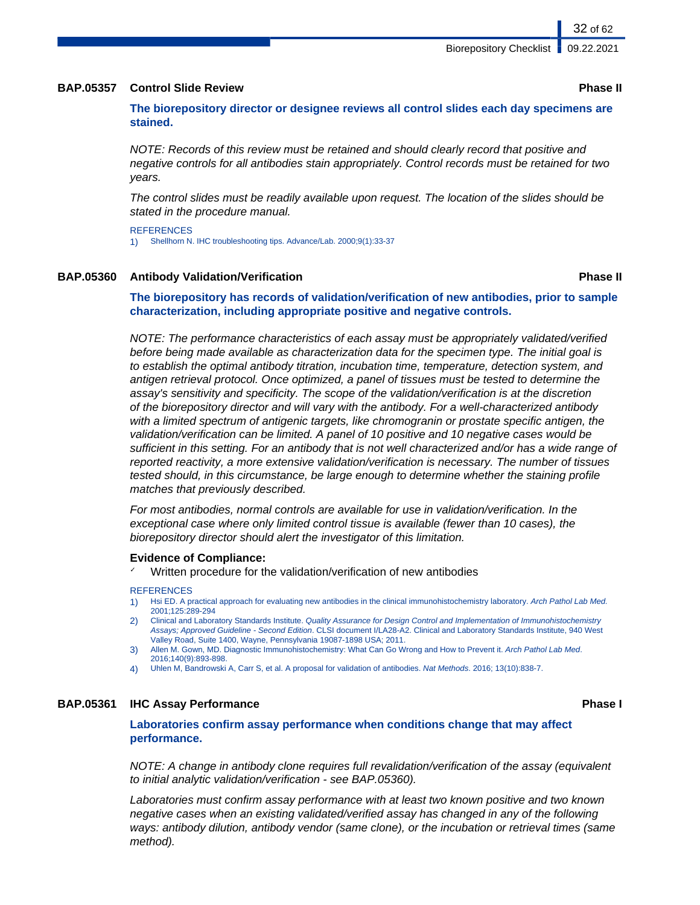### **BAP.05357 Control Slide Review Phase II**

**The biorepository director or designee reviews all control slides each day specimens are stained.**

NOTE: Records of this review must be retained and should clearly record that positive and negative controls for all antibodies stain appropriately. Control records must be retained for two years.

The control slides must be readily available upon request. The location of the slides should be stated in the procedure manual.

**REFERENCES** 1) Shellhorn N. IHC troubleshooting tips. Advance/Lab. 2000;9(1):33-37

## **BAP.05360 Antibody Validation/Verification Phase II**

**The biorepository has records of validation/verification of new antibodies, prior to sample characterization, including appropriate positive and negative controls.**

NOTE: The performance characteristics of each assay must be appropriately validated/verified before being made available as characterization data for the specimen type. The initial goal is to establish the optimal antibody titration, incubation time, temperature, detection system, and antigen retrieval protocol. Once optimized, a panel of tissues must be tested to determine the assay's sensitivity and specificity. The scope of the validation/verification is at the discretion of the biorepository director and will vary with the antibody. For a well-characterized antibody with a limited spectrum of antigenic targets, like chromogranin or prostate specific antigen, the validation/verification can be limited. A panel of 10 positive and 10 negative cases would be sufficient in this setting. For an antibody that is not well characterized and/or has a wide range of reported reactivity, a more extensive validation/verification is necessary. The number of tissues tested should, in this circumstance, be large enough to determine whether the staining profile matches that previously described.

For most antibodies, normal controls are available for use in validation/verification. In the exceptional case where only limited control tissue is available (fewer than 10 cases), the biorepository director should alert the investigator of this limitation.

### **Evidence of Compliance:**

Written procedure for the validation/verification of new antibodies

#### **REFERENCES**

- 1) Hsi ED. A practical approach for evaluating new antibodies in the clinical immunohistochemistry laboratory. Arch Pathol Lab Med. 2001;125:289-294
- 2) Clinical and Laboratory Standards Institute. Quality Assurance for Design Control and Implementation of Immunohistochemistry Assays; Approved Guideline - Second Edition. CLSI document I/LA28-A2. Clinical and Laboratory Standards Institute, 940 West Valley Road, Suite 1400, Wayne, Pennsylvania 19087-1898 USA; 2011.
- 3) Allen M. Gown, MD. Diagnostic Immunohistochemistry: What Can Go Wrong and How to Prevent it. Arch Pathol Lab Med. 2016;140(9):893-898.
- 4) Uhlen M, Bandrowski A, Carr S, et al. A proposal for validation of antibodies. Nat Methods. 2016; 13(10):838-7.

### **BAP.05361 IHC Assay Performance Phase I**

**Laboratories confirm assay performance when conditions change that may affect performance.**

NOTE: A change in antibody clone requires full revalidation/verification of the assay (equivalent to initial analytic validation/verification - see BAP.05360).

Laboratories must confirm assay performance with at least two known positive and two known negative cases when an existing validated/verified assay has changed in any of the following ways: antibody dilution, antibody vendor (same clone), or the incubation or retrieval times (same method).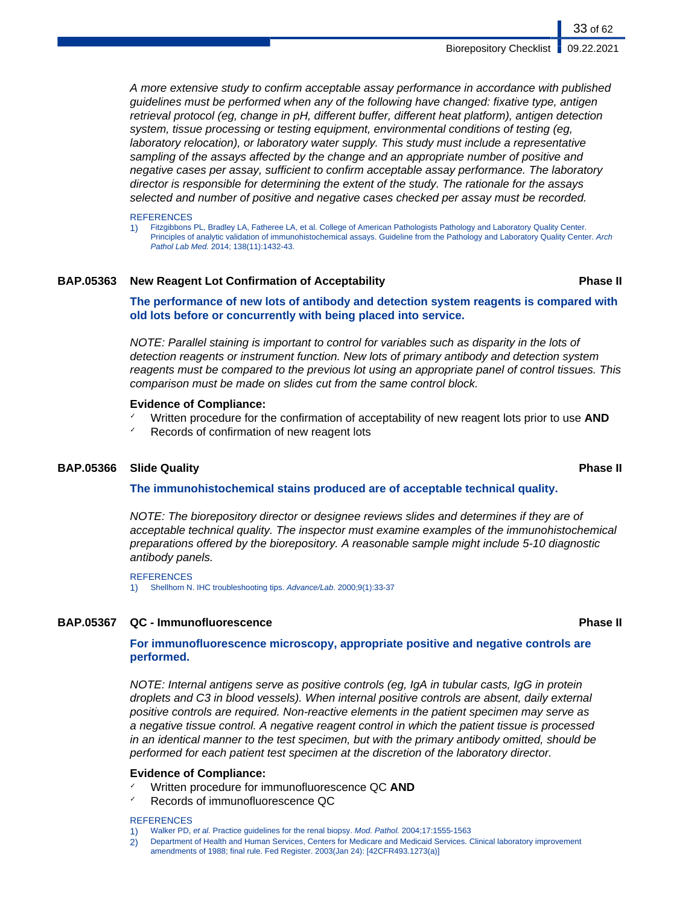A more extensive study to confirm acceptable assay performance in accordance with published guidelines must be performed when any of the following have changed: fixative type, antigen retrieval protocol (eg, change in pH, different buffer, different heat platform), antigen detection system, tissue processing or testing equipment, environmental conditions of testing (eg, laboratory relocation), or laboratory water supply. This study must include a representative sampling of the assays affected by the change and an appropriate number of positive and negative cases per assay, sufficient to confirm acceptable assay performance. The laboratory director is responsible for determining the extent of the study. The rationale for the assays selected and number of positive and negative cases checked per assay must be recorded.

#### **REFERENCES**

1) Fitzgibbons PL, Bradley LA, Fatheree LA, et al. College of American Pathologists Pathology and Laboratory Quality Center. Principles of analytic validation of immunohistochemical assays. Guideline from the Pathology and Laboratory Quality Center. Arch Pathol Lab Med. 2014; 138(11):1432-43.

#### **BAP.05363 New Reagent Lot Confirmation of Acceptability Phase II**

**The performance of new lots of antibody and detection system reagents is compared with old lots before or concurrently with being placed into service.**

NOTE: Parallel staining is important to control for variables such as disparity in the lots of detection reagents or instrument function. New lots of primary antibody and detection system reagents must be compared to the previous lot using an appropriate panel of control tissues. This comparison must be made on slides cut from the same control block.

#### **Evidence of Compliance:**

- ✓ Written procedure for the confirmation of acceptability of new reagent lots prior to use **AND**
- ✓ Records of confirmation of new reagent lots

### **BAP.05366 Slide Quality Phase II**

### **The immunohistochemical stains produced are of acceptable technical quality.**

NOTE: The biorepository director or designee reviews slides and determines if they are of acceptable technical quality. The inspector must examine examples of the immunohistochemical preparations offered by the biorepository. A reasonable sample might include 5-10 diagnostic antibody panels.

**REFERENCES** 

1) Shellhorn N. IHC troubleshooting tips. Advance/Lab. 2000;9(1):33-37

### **BAP.05367 QC - Immunofluorescence Phase II**

## **For immunofluorescence microscopy, appropriate positive and negative controls are performed.**

NOTE: Internal antigens serve as positive controls (eg, IgA in tubular casts, IgG in protein droplets and C3 in blood vessels). When internal positive controls are absent, daily external positive controls are required. Non-reactive elements in the patient specimen may serve as a negative tissue control. A negative reagent control in which the patient tissue is processed in an identical manner to the test specimen, but with the primary antibody omitted, should be performed for each patient test specimen at the discretion of the laboratory director.

#### **Evidence of Compliance:**

- ✓ Written procedure for immunofluorescence QC **AND**
- Records of immunofluorescence QC

#### **REFERENCES**

- 1) Walker PD, et al. Practice guidelines for the renal biopsy. Mod. Pathol. 2004;17:1555-1563
- 2) Department of Health and Human Services, Centers for Medicare and Medicaid Services. Clinical laboratory improvement amendments of 1988; final rule. Fed Register. 2003(Jan 24): [42CFR493.1273(a)]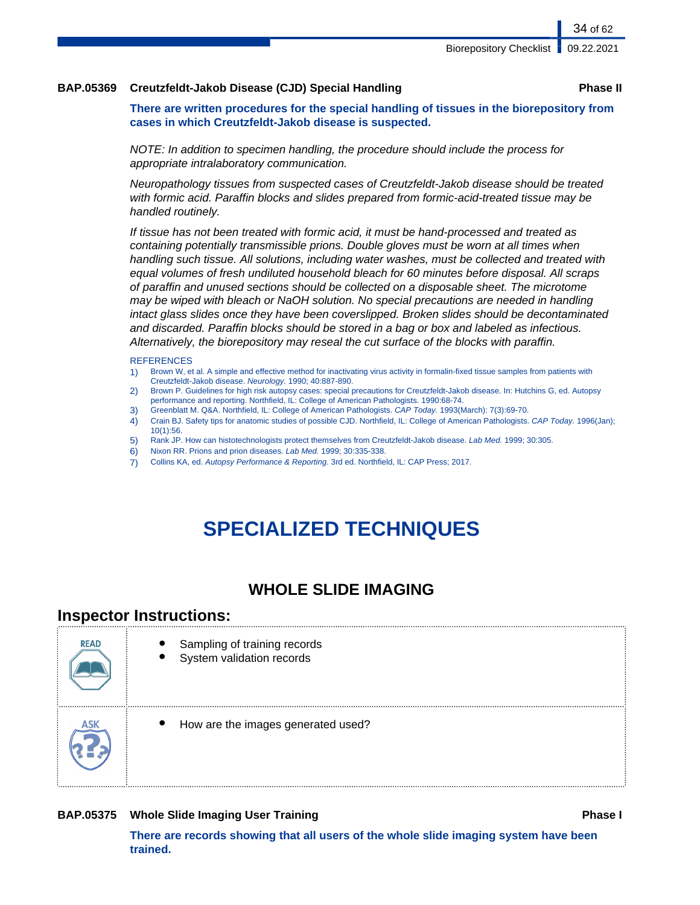### **BAP.05369 Creutzfeldt-Jakob Disease (CJD) Special Handling Phase II**

**There are written procedures for the special handling of tissues in the biorepository from cases in which Creutzfeldt-Jakob disease is suspected.**

NOTE: In addition to specimen handling, the procedure should include the process for appropriate intralaboratory communication.

Neuropathology tissues from suspected cases of Creutzfeldt-Jakob disease should be treated with formic acid. Paraffin blocks and slides prepared from formic-acid-treated tissue may be handled routinely.

If tissue has not been treated with formic acid, it must be hand-processed and treated as containing potentially transmissible prions. Double gloves must be worn at all times when handling such tissue. All solutions, including water washes, must be collected and treated with equal volumes of fresh undiluted household bleach for 60 minutes before disposal. All scraps of paraffin and unused sections should be collected on a disposable sheet. The microtome may be wiped with bleach or NaOH solution. No special precautions are needed in handling intact glass slides once they have been coverslipped. Broken slides should be decontaminated and discarded. Paraffin blocks should be stored in a bag or box and labeled as infectious. Alternatively, the biorepository may reseal the cut surface of the blocks with paraffin.

#### **REFERENCES**

- 1) Brown W, et al. A simple and effective method for inactivating virus activity in formalin-fixed tissue samples from patients with Creutzfeldt-Jakob disease. Neurology. 1990; 40:887-890.
- 2) Brown P. Guidelines for high risk autopsy cases: special precautions for Creutzfeldt-Jakob disease. In: Hutchins G, ed. Autopsy performance and reporting. Northfield, IL: College of American Pathologists. 1990:68-74.
- 3) Greenblatt M. Q&A. Northfield, IL: College of American Pathologists. CAP Today. 1993(March): 7(3):69-70.
- 4) Crain BJ. Safety tips for anatomic studies of possible CJD. Northfield, IL: College of American Pathologists. CAP Today. 1996(Jan); 10(1):56.
- 5) Rank JP. How can histotechnologists protect themselves from Creutzfeldt-Jakob disease. Lab Med. 1999; 30:305.
- 6) Nixon RR. Prions and prion diseases. Lab Med. 1999; 30:335-338.
- 7) Collins KA, ed. Autopsy Performance & Reporting. 3rd ed. Northfield, IL: CAP Press; 2017.

# **SPECIALIZED TECHNIQUES**

# **WHOLE SLIDE IMAGING**

# **Inspector Instructions:**

| <b>READ</b> | Sampling of training records<br>System validation records |
|-------------|-----------------------------------------------------------|
| ASK         | How are the images generated used?                        |

### **BAP.05375** Whole Slide Imaging User Training **Phase I Phase I Phase I**

**There are records showing that all users of the whole slide imaging system have been trained.**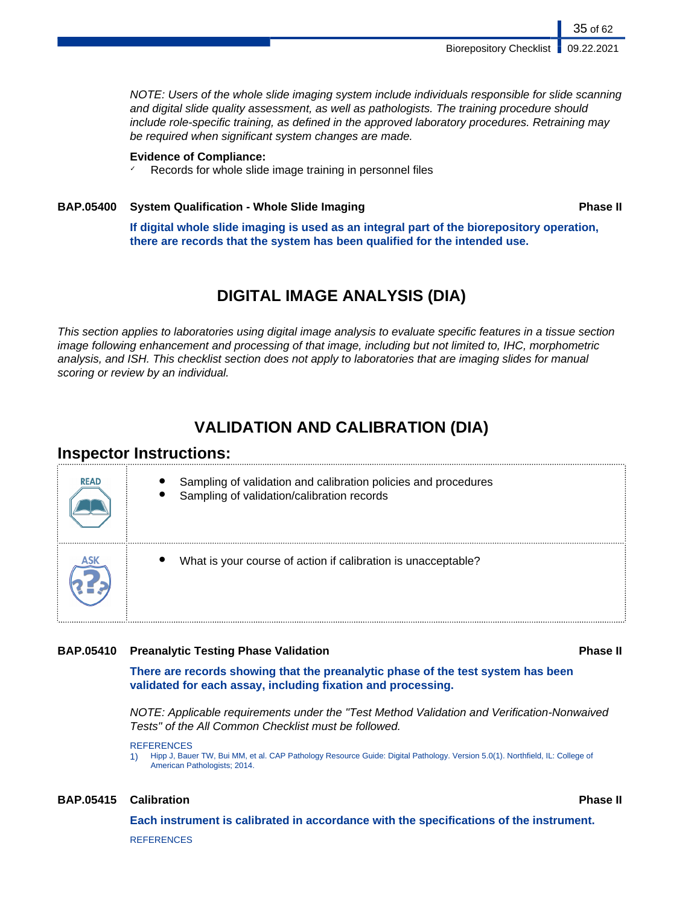NOTE: Users of the whole slide imaging system include individuals responsible for slide scanning and digital slide quality assessment, as well as pathologists. The training procedure should include role-specific training, as defined in the approved laboratory procedures. Retraining may be required when significant system changes are made.

## **Evidence of Compliance:**

✓ Records for whole slide image training in personnel files

# **BAP.05400 System Qualification - Whole Slide Imaging Phase II**

35 of 62

**If digital whole slide imaging is used as an integral part of the biorepository operation, there are records that the system has been qualified for the intended use.**

# **DIGITAL IMAGE ANALYSIS (DIA)**

This section applies to laboratories using digital image analysis to evaluate specific features in a tissue section image following enhancement and processing of that image, including but not limited to, IHC, morphometric analysis, and ISH. This checklist section does not apply to laboratories that are imaging slides for manual scoring or review by an individual.

# **VALIDATION AND CALIBRATION (DIA)**

# **Inspector Instructions:**

| <b>READ</b> | Sampling of validation and calibration policies and procedures<br>Sampling of validation/calibration records |
|-------------|--------------------------------------------------------------------------------------------------------------|
|             | What is your course of action if calibration is unacceptable?                                                |

## **BAP.05410 Preanalytic Testing Phase Validation Phase II**

**There are records showing that the preanalytic phase of the test system has been validated for each assay, including fixation and processing.**

NOTE: Applicable requirements under the "Test Method Validation and Verification-Nonwaived Tests" of the All Common Checklist must be followed.

REFERENCES

1) Hipp J, Bauer TW, Bui MM, et al. CAP Pathology Resource Guide: Digital Pathology. Version 5.0(1). Northfield, IL: College of American Pathologists; 2014.

### **BAP.05415 Calibration Phase II**

**Each instrument is calibrated in accordance with the specifications of the instrument.**

**REFERENCES**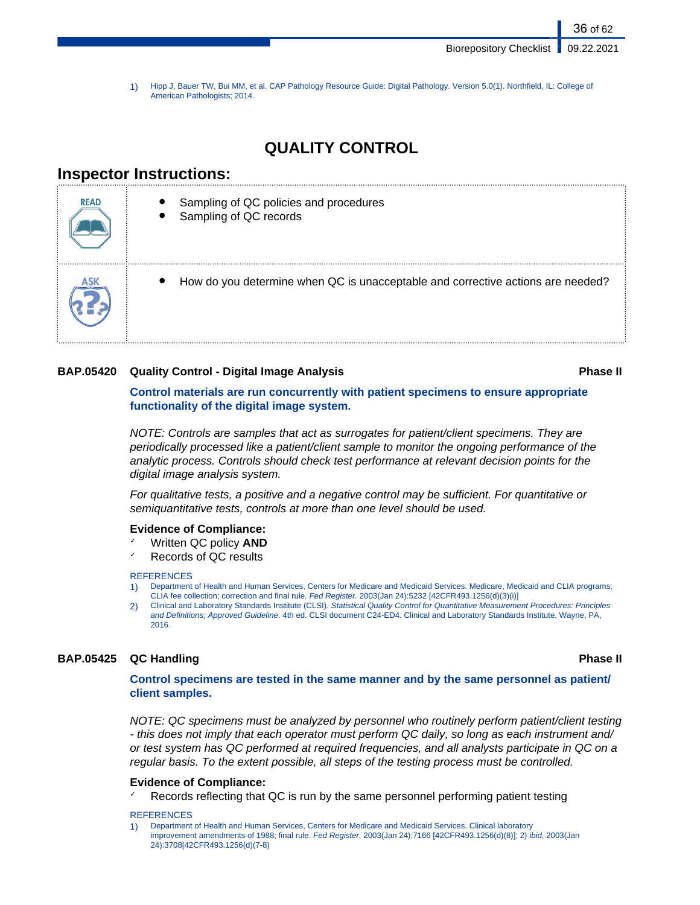36 of 62

1) Hipp J, Bauer TW, Bui MM, et al. CAP Pathology Resource Guide: Digital Pathology. Version 5.0(1). Northfield, IL: College of American Pathologists; 2014.

# **QUALITY CONTROL**

# **Inspector Instructions:**



## **BAP.05420 Quality Control - Digital Image Analysis Phase II**

**Control materials are run concurrently with patient specimens to ensure appropriate functionality of the digital image system.**

NOTE: Controls are samples that act as surrogates for patient/client specimens. They are periodically processed like a patient/client sample to monitor the ongoing performance of the analytic process. Controls should check test performance at relevant decision points for the digital image analysis system.

For qualitative tests, a positive and a negative control may be sufficient. For quantitative or semiquantitative tests, controls at more than one level should be used.

### **Evidence of Compliance:**

- **Written QC policy AND**
- Records of QC results

#### **REFERENCES**

- 1) Department of Health and Human Services, Centers for Medicare and Medicaid Services. Medicare, Medicaid and CLIA programs; CLIA fee collection; correction and final rule. Fed Register. 2003(Jan 24):5232 [42CFR493.1256(d)(3)(i)]
- 2) Clinical and Laboratory Standards Institute (CLSI). Statistical Quality Control for Quantitative Measurement Procedures: Principles and Definitions; Approved Guideline. 4th ed. CLSI document C24-ED4. Clinical and Laboratory Standards Institute, Wayne, PA, 2016.

# **BAP.05425 QC Handling Phase II**

**Control specimens are tested in the same manner and by the same personnel as patient/ client samples.**

NOTE: QC specimens must be analyzed by personnel who routinely perform patient/client testing - this does not imply that each operator must perform QC daily, so long as each instrument and/ or test system has QC performed at required frequencies, and all analysts participate in QC on a regular basis. To the extent possible, all steps of the testing process must be controlled.

### **Evidence of Compliance:**

Records reflecting that QC is run by the same personnel performing patient testing

#### **REFERENCES**

<sup>1)</sup> Department of Health and Human Services, Centers for Medicare and Medicaid Services. Clinical laboratory improvement amendments of 1988; final rule. Fed Register. 2003(Jan 24):7166 [42CFR493.1256(d)(8)]; 2) ibid, 2003(Jan 24):3708[42CFR493.1256(d)(7-8)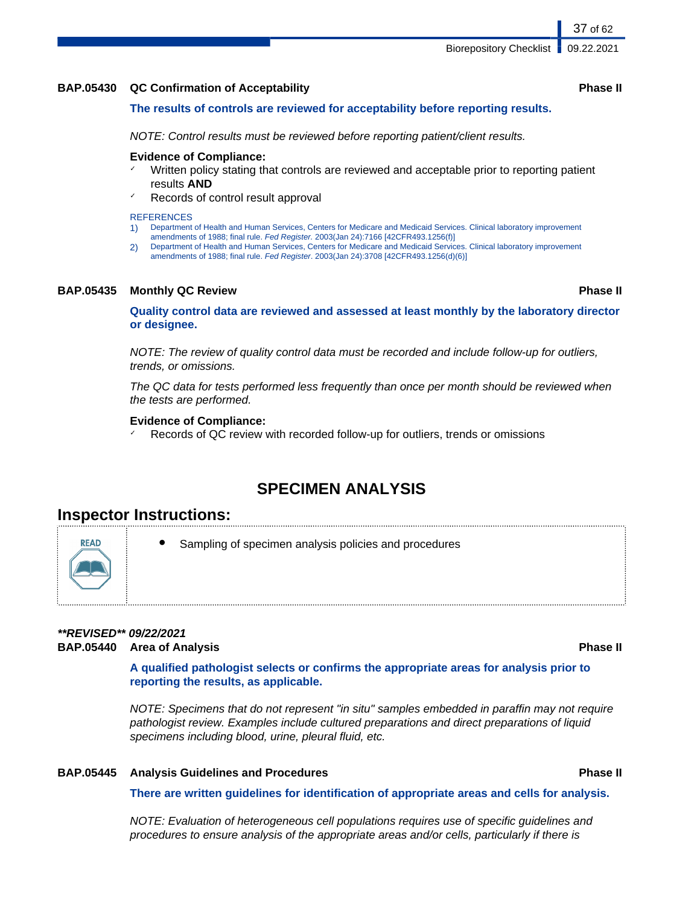**BAP.05430 QC Confirmation of Acceptability Phase II**

**The results of controls are reviewed for acceptability before reporting results.**

NOTE: Control results must be reviewed before reporting patient/client results.

### **Evidence of Compliance:**

- Written policy stating that controls are reviewed and acceptable prior to reporting patient results **AND**
- Records of control result approval

#### **REFERENCES**

- 1) Department of Health and Human Services, Centers for Medicare and Medicaid Services. Clinical laboratory improvement
- amendments of 1988; final rule. Fed Register. 2003(Jan 24):7166 [42CFR493.1256(f)] 2) Department of Health and Human Services, Centers for Medicare and Medicaid Services. Clinical laboratory improvement amendments of 1988; final rule. Fed Register. 2003(Jan 24):3708 [42CFR493.1256(d)(6)]

## **BAP.05435 Monthly QC Review Phase II**

**Quality control data are reviewed and assessed at least monthly by the laboratory director or designee.**

NOTE: The review of quality control data must be recorded and include follow-up for outliers, trends, or omissions.

The QC data for tests performed less frequently than once per month should be reviewed when the tests are performed.

## **Evidence of Compliance:**

Records of QC review with recorded follow-up for outliers, trends or omissions

# **SPECIMEN ANALYSIS**

# **Inspector Instructions:**

**READ** 

Sampling of specimen analysis policies and procedures

# **\*\*REVISED\*\* 09/22/2021 BAP.05440 Area of Analysis Phase II**

**A qualified pathologist selects or confirms the appropriate areas for analysis prior to reporting the results, as applicable.**

NOTE: Specimens that do not represent "in situ" samples embedded in paraffin may not require pathologist review. Examples include cultured preparations and direct preparations of liquid specimens including blood, urine, pleural fluid, etc.

## **BAP.05445 Analysis Guidelines and Procedures Phase II**

**There are written guidelines for identification of appropriate areas and cells for analysis.**

NOTE: Evaluation of heterogeneous cell populations requires use of specific guidelines and procedures to ensure analysis of the appropriate areas and/or cells, particularly if there is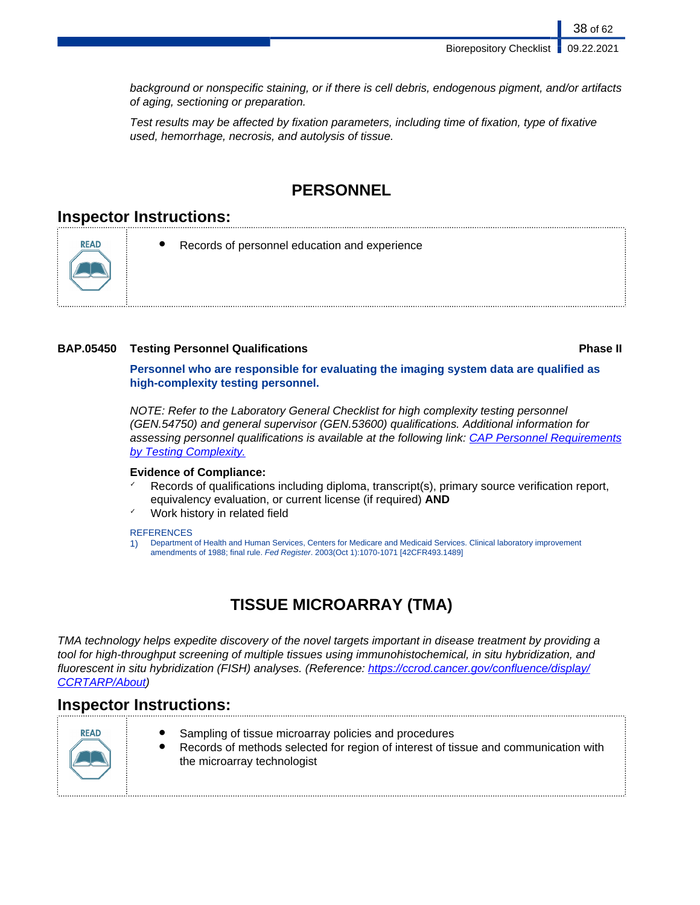38 of 62

background or nonspecific staining, or if there is cell debris, endogenous pigment, and/or artifacts of aging, sectioning or preparation.

Test results may be affected by fixation parameters, including time of fixation, type of fixative used, hemorrhage, necrosis, and autolysis of tissue.

# **PERSONNEL**

# **Inspector Instructions:**

**READ** 



# **BAP.05450 Testing Personnel Qualifications Phase II**

**Personnel who are responsible for evaluating the imaging system data are qualified as high-complexity testing personnel.**

NOTE: Refer to the Laboratory General Checklist for high complexity testing personnel (GEN.54750) and general supervisor (GEN.53600) qualifications. Additional information for assessing personnel qualifications is available at the following link: [CAP Personnel Requirements](http://www.cap.org/apps/docs/laboratory_accreditation/build/pdf/personnel_requirements_by_testing_complexity.pdf) [by Testing Complexity](http://www.cap.org/apps/docs/laboratory_accreditation/build/pdf/personnel_requirements_by_testing_complexity.pdf).

## **Evidence of Compliance:**

- Records of qualifications including diploma, transcript(s), primary source verification report, equivalency evaluation, or current license (if required) **AND**
- Work history in related field

### **REFERENCES**

1) Department of Health and Human Services, Centers for Medicare and Medicaid Services. Clinical laboratory improvement amendments of 1988; final rule. Fed Register. 2003(Oct 1):1070-1071 [42CFR493.1489]

# **TISSUE MICROARRAY (TMA)**

TMA technology helps expedite discovery of the novel targets important in disease treatment by providing a tool for high-throughput screening of multiple tissues using immunohistochemical, in situ hybridization, and fluorescent in situ hybridization (FISH) analyses. (Reference: [https://ccrod.cancer.gov/confluence/display/](https://ccrod.cancer.gov/confluence/display/CCRTARP/About) [CCRTARP/About\)](https://ccrod.cancer.gov/confluence/display/CCRTARP/About)

# **Inspector Instructions:**



- Sampling of tissue microarray policies and procedures
- Records of methods selected for region of interest of tissue and communication with the microarray technologist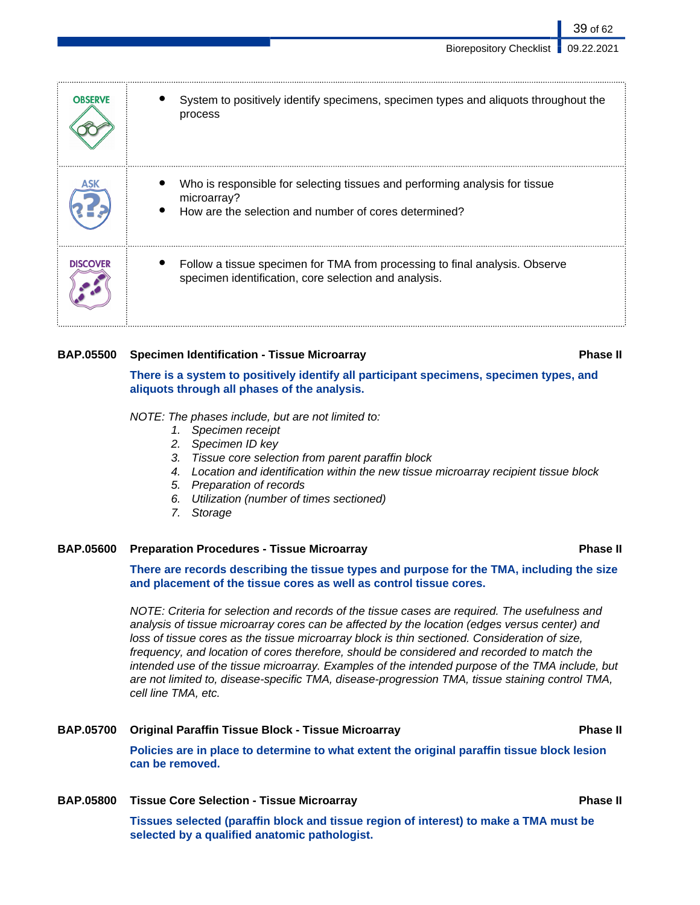39 of 62

| <b>OBSERVE</b>  | System to positively identify specimens, specimen types and aliquots throughout the<br>process                                                      |
|-----------------|-----------------------------------------------------------------------------------------------------------------------------------------------------|
|                 | Who is responsible for selecting tissues and performing analysis for tissue<br>microarray?<br>How are the selection and number of cores determined? |
| <b>DISCOVER</b> | Follow a tissue specimen for TMA from processing to final analysis. Observe<br>specimen identification, core selection and analysis.                |

### **BAP.05500 Specimen Identification - Tissue Microarray Phase II**

**There is a system to positively identify all participant specimens, specimen types, and aliquots through all phases of the analysis.**

NOTE: The phases include, but are not limited to:

- 1. Specimen receipt
- 2. Specimen ID key
- 3. Tissue core selection from parent paraffin block
- 4. Location and identification within the new tissue microarray recipient tissue block
- 5. Preparation of records
- 6. Utilization (number of times sectioned)
- 7. Storage

### **BAP.05600 Preparation Procedures - Tissue Microarray Phase II**

**There are records describing the tissue types and purpose for the TMA, including the size and placement of the tissue cores as well as control tissue cores.**

NOTE: Criteria for selection and records of the tissue cases are required. The usefulness and analysis of tissue microarray cores can be affected by the location (edges versus center) and loss of tissue cores as the tissue microarray block is thin sectioned. Consideration of size, frequency, and location of cores therefore, should be considered and recorded to match the intended use of the tissue microarray. Examples of the intended purpose of the TMA include, but are not limited to, disease-specific TMA, disease-progression TMA, tissue staining control TMA, cell line TMA, etc.

# **BAP.05700 Original Paraffin Tissue Block - Tissue Microarray Phase II Policies are in place to determine to what extent the original paraffin tissue block lesion can be removed.**

**BAP.05800 Tissue Core Selection - Tissue Microarray Phase II Tissues selected (paraffin block and tissue region of interest) to make a TMA must be selected by a qualified anatomic pathologist.**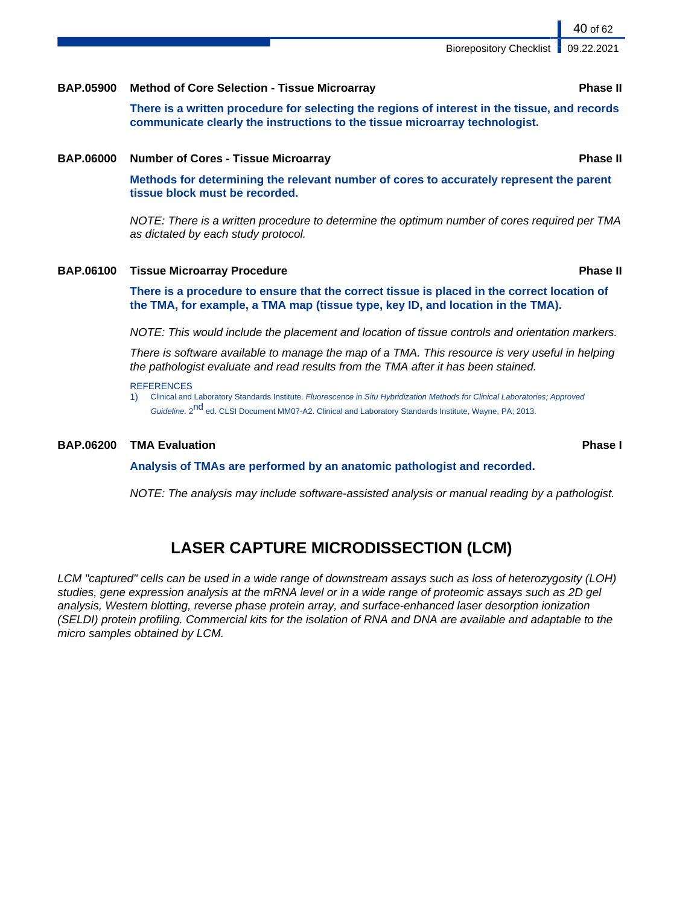## **BAP.05900 Method of Core Selection - Tissue Microarray Phase II**

**There is a written procedure for selecting the regions of interest in the tissue, and records communicate clearly the instructions to the tissue microarray technologist.**

## **BAP.06000 Number of Cores - Tissue Microarray Phase II**

**Methods for determining the relevant number of cores to accurately represent the parent tissue block must be recorded.**

NOTE: There is a written procedure to determine the optimum number of cores required per TMA as dictated by each study protocol.

### **BAP.06100 Tissue Microarray Procedure Phase II**

**There is a procedure to ensure that the correct tissue is placed in the correct location of the TMA, for example, a TMA map (tissue type, key ID, and location in the TMA).**

NOTE: This would include the placement and location of tissue controls and orientation markers.

There is software available to manage the map of a TMA. This resource is very useful in helping the pathologist evaluate and read results from the TMA after it has been stained.

#### **REFERENCES**

1) Clinical and Laboratory Standards Institute. Fluorescence in Situ Hybridization Methods for Clinical Laboratories; Approved Guideline. 2<sup>nd</sup> ed. CLSI Document MM07-A2. Clinical and Laboratory Standards Institute, Wayne, PA; 2013.

#### **BAP.06200 TMA Evaluation Phase I**

**Analysis of TMAs are performed by an anatomic pathologist and recorded.**

NOTE: The analysis may include software-assisted analysis or manual reading by a pathologist.

# **LASER CAPTURE MICRODISSECTION (LCM)**

LCM "captured" cells can be used in a wide range of downstream assays such as loss of heterozygosity (LOH) studies, gene expression analysis at the mRNA level or in a wide range of proteomic assays such as 2D gel analysis, Western blotting, reverse phase protein array, and surface-enhanced laser desorption ionization (SELDI) protein profiling. Commercial kits for the isolation of RNA and DNA are available and adaptable to the micro samples obtained by LCM.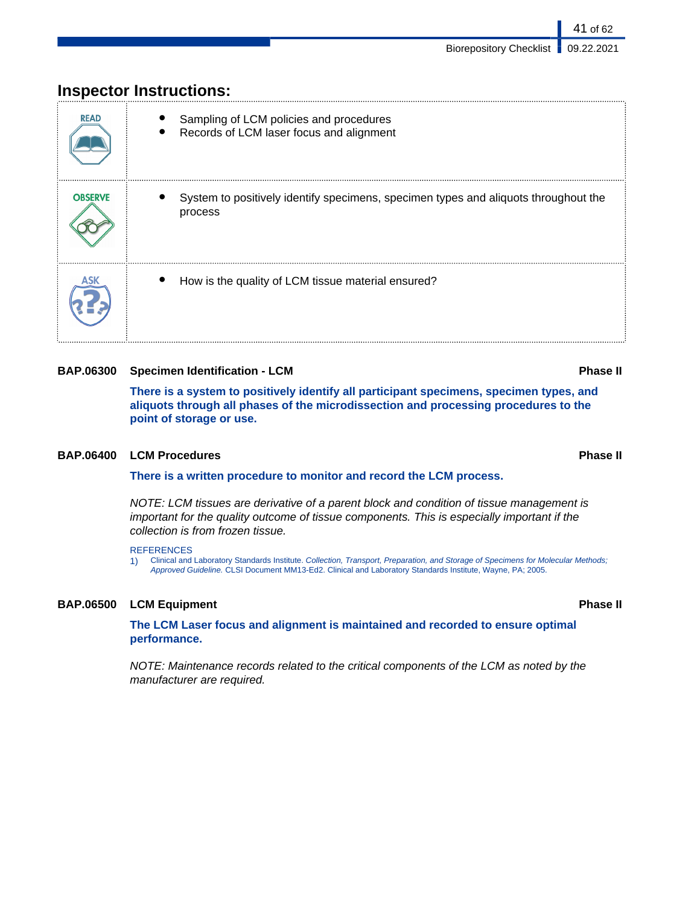| <b>READ</b>    | Sampling of LCM policies and procedures<br>Records of LCM laser focus and alignment            |
|----------------|------------------------------------------------------------------------------------------------|
| <b>OBSERVE</b> | System to positively identify specimens, specimen types and aliquots throughout the<br>process |
|                | How is the quality of LCM tissue material ensured?                                             |

# **Inspector Instructions:**

# **BAP.06300 Specimen Identification - LCM Phase II**

**There is a system to positively identify all participant specimens, specimen types, and aliquots through all phases of the microdissection and processing procedures to the point of storage or use.**

## **BAP.06400 LCM Procedures Phase II**

**There is a written procedure to monitor and record the LCM process.**

NOTE: LCM tissues are derivative of a parent block and condition of tissue management is important for the quality outcome of tissue components. This is especially important if the collection is from frozen tissue.

#### REFERENCES

1) Clinical and Laboratory Standards Institute. Collection, Transport, Preparation, and Storage of Specimens for Molecular Methods; Approved Guideline. CLSI Document MM13-Ed2. Clinical and Laboratory Standards Institute, Wayne, PA; 2005.

# **BAP.06500 LCM Equipment Phase II**

**The LCM Laser focus and alignment is maintained and recorded to ensure optimal performance.**

NOTE: Maintenance records related to the critical components of the LCM as noted by the manufacturer are required.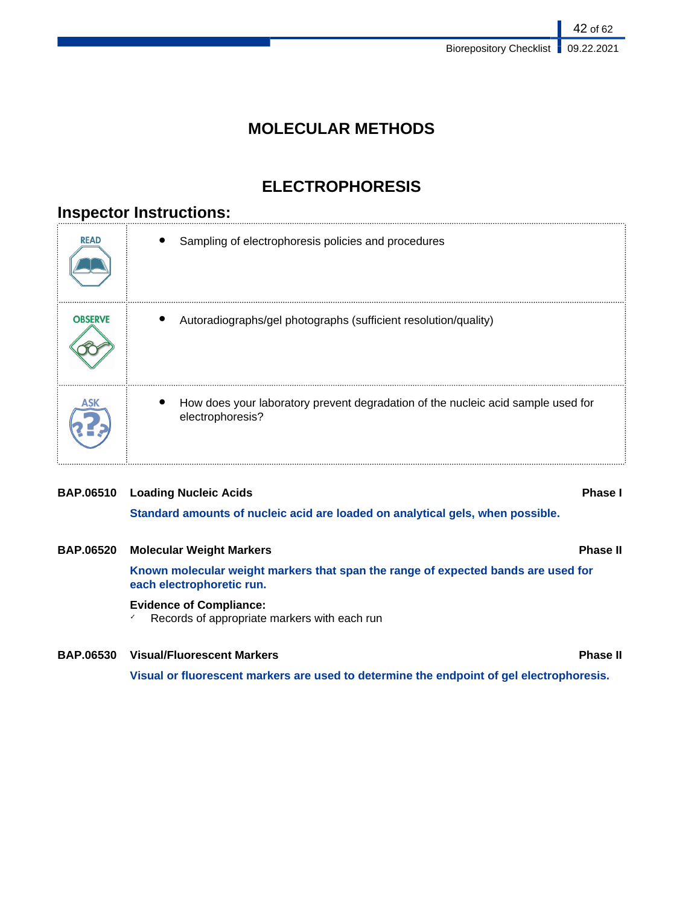# **MOLECULAR METHODS**

# **ELECTROPHORESIS**

# **Inspector Instructions:**

| <b>READ</b>    | Sampling of electrophoresis policies and procedures                                                  |
|----------------|------------------------------------------------------------------------------------------------------|
| <b>OBSERVE</b> | Autoradiographs/gel photographs (sufficient resolution/quality)                                      |
|                | How does your laboratory prevent degradation of the nucleic acid sample used for<br>electrophoresis? |

# **BAP.06510 Loading Nucleic Acids Phase I**

**Standard amounts of nucleic acid are loaded on analytical gels, when possible.**

# **BAP.06520 Molecular Weight Markers Phase II**

**Known molecular weight markers that span the range of expected bands are used for each electrophoretic run.**

# **Evidence of Compliance:**

✓ Records of appropriate markers with each run

# **BAP.06530 Visual/Fluorescent Markers Phase II**

**Visual or fluorescent markers are used to determine the endpoint of gel electrophoresis.**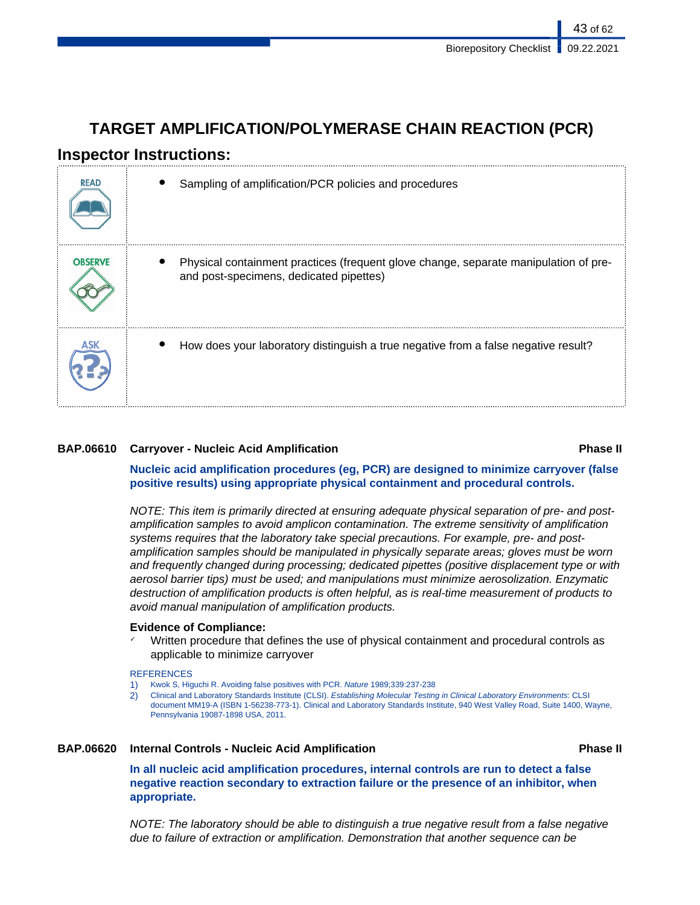# **TARGET AMPLIFICATION/POLYMERASE CHAIN REACTION (PCR)**

# **Inspector Instructions:**

| <b>READ</b>    | Sampling of amplification/PCR policies and procedures                                                                           |
|----------------|---------------------------------------------------------------------------------------------------------------------------------|
| <b>OBSERVE</b> | Physical containment practices (frequent glove change, separate manipulation of pre-<br>and post-specimens, dedicated pipettes) |
|                | How does your laboratory distinguish a true negative from a false negative result?                                              |

# **BAP.06610 Carryover - Nucleic Acid Amplification Phase II**

**Nucleic acid amplification procedures (eg, PCR) are designed to minimize carryover (false positive results) using appropriate physical containment and procedural controls.**

NOTE: This item is primarily directed at ensuring adequate physical separation of pre- and postamplification samples to avoid amplicon contamination. The extreme sensitivity of amplification systems requires that the laboratory take special precautions. For example, pre- and postamplification samples should be manipulated in physically separate areas; gloves must be worn and frequently changed during processing; dedicated pipettes (positive displacement type or with aerosol barrier tips) must be used; and manipulations must minimize aerosolization. Enzymatic destruction of amplification products is often helpful, as is real-time measurement of products to avoid manual manipulation of amplification products.

## **Evidence of Compliance:**

Written procedure that defines the use of physical containment and procedural controls as applicable to minimize carryover

### **REFERENCES**

- 1) Kwok S, Higuchi R. Avoiding false positives with PCR. Nature 1989;339:237-238
- 2) Clinical and Laboratory Standards Institute (CLSI). Establishing Molecular Testing in Clinical Laboratory Environments: CLSI document MM19-A (ISBN 1-56238-773-1). Clinical and Laboratory Standards Institute, 940 West Valley Road, Suite 1400, Wayne, Pennsylvania 19087-1898 USA, 2011.

## **BAP.06620 Internal Controls - Nucleic Acid Amplification Phase II**

**In all nucleic acid amplification procedures, internal controls are run to detect a false negative reaction secondary to extraction failure or the presence of an inhibitor, when appropriate.**

NOTE: The laboratory should be able to distinguish a true negative result from a false negative due to failure of extraction or amplification. Demonstration that another sequence can be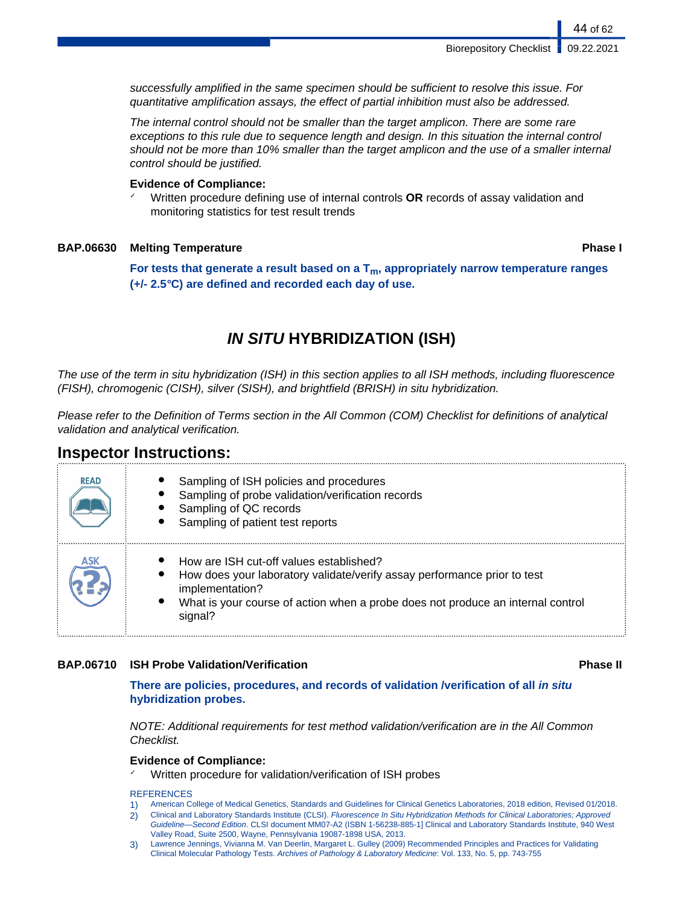successfully amplified in the same specimen should be sufficient to resolve this issue. For quantitative amplification assays, the effect of partial inhibition must also be addressed.

The internal control should not be smaller than the target amplicon. There are some rare exceptions to this rule due to sequence length and design. In this situation the internal control should not be more than 10% smaller than the target amplicon and the use of a smaller internal control should be justified.

### **Evidence of Compliance:**

✓ Written procedure defining use of internal controls **OR** records of assay validation and monitoring statistics for test result trends

## **BAP.06630 Melting Temperature Phase I**

44 of 62

**For tests that generate a result based on a Tm, appropriately narrow temperature ranges (+/- 2.5°C) are defined and recorded each day of use.**

# **IN SITU HYBRIDIZATION (ISH)**

The use of the term in situ hybridization (ISH) in this section applies to all ISH methods, including fluorescence (FISH), chromogenic (CISH), silver (SISH), and brightfield (BRISH) in situ hybridization.

Please refer to the Definition of Terms section in the All Common (COM) Checklist for definitions of analytical validation and analytical verification.

# **Inspector Instructions:**

| <b>READ</b> | Sampling of ISH policies and procedures<br>Sampling of probe validation/verification records<br>Sampling of QC records<br>Sampling of patient test reports                                                                                        |
|-------------|---------------------------------------------------------------------------------------------------------------------------------------------------------------------------------------------------------------------------------------------------|
|             | How are ISH cut-off values established?<br>How does your laboratory validate/verify assay performance prior to test<br>implementation?<br>What is your course of action when a probe does not produce an internal control<br>$\bullet$<br>signal? |

## **BAP.06710 ISH Probe Validation/Verification Phase II**

**There are policies, procedures, and records of validation /verification of all in situ hybridization probes.**

NOTE: Additional requirements for test method validation/verification are in the All Common Checklist.

# **Evidence of Compliance:**

Written procedure for validation/verification of ISH probes

**REFERENCES** 

- 1) American College of Medical Genetics, Standards and Guidelines for Clinical Genetics Laboratories, 2018 edition, Revised 01/2018.
- 2) Clinical and Laboratory Standards Institute (CLSI). Fluorescence In Situ Hybridization Methods for Clinical Laboratories; Approved Guideline—Second Edition. CLSI document MM07-A2 (ISBN 1-56238-885-1] Clinical and Laboratory Standards Institute, 940 West Valley Road, Suite 2500, Wayne, Pennsylvania 19087-1898 USA, 2013.
- 3) Lawrence Jennings, Vivianna M. Van Deerlin, Margaret L. Gulley (2009) Recommended Principles and Practices for Validating Clinical Molecular Pathology Tests. Archives of Pathology & Laboratory Medicine: Vol. 133, No. 5, pp. 743-755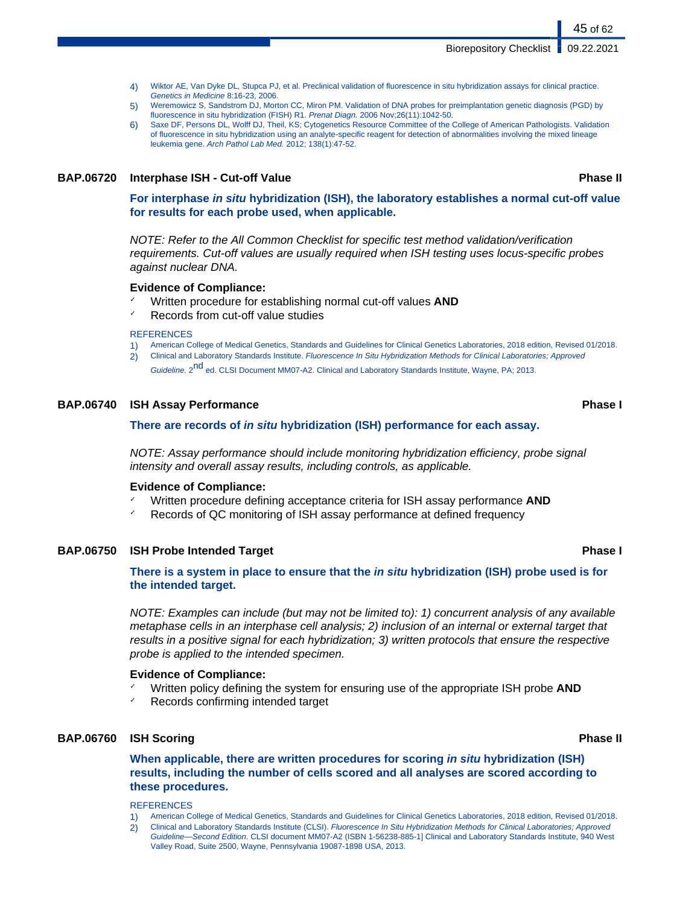- 4) Wiktor AE, Van Dyke DL, Stupca PJ, et al. Preclinical validation of fluorescence in situ hybridization assays for clinical practice. Genetics in Medicine 8:16-23, 2006.
- 5) Weremowicz S, Sandstrom DJ, Morton CC, Miron PM. Validation of DNA probes for preimplantation genetic diagnosis (PGD) by fluorescence in situ hybridization (FISH) R1. Prenat Diagn. 2006 Nov;26(11):1042-50.
- 6) Saxe DF, Persons DL, Wolff DJ, Theil, KS; Cytogenetics Resource Committee of the College of American Pathologists. Validation of fluorescence in situ hybridization using an analyte-specific reagent for detection of abnormalities involving the mixed lineage leukemia gene. Arch Pathol Lab Med. 2012; 138(1):47-52.

## **BAP.06720 Interphase ISH - Cut-off Value Phase II**

**For interphase in situ hybridization (ISH), the laboratory establishes a normal cut-off value for results for each probe used, when applicable.**

NOTE: Refer to the All Common Checklist for specific test method validation/verification requirements. Cut-off values are usually required when ISH testing uses locus-specific probes against nuclear DNA.

### **Evidence of Compliance:**

- ✓ Written procedure for establishing normal cut-off values **AND**
- Records from cut-off value studies

#### **REFERENCES**

- 1) American College of Medical Genetics, Standards and Guidelines for Clinical Genetics Laboratories, 2018 edition, Revised 01/2018.
- 2) Clinical and Laboratory Standards Institute. Fluorescence In Situ Hybridization Methods for Clinical Laboratories; Approved
	- Guideline. 2<sup>nd</sup> ed. CLSI Document MM07-A2. Clinical and Laboratory Standards Institute, Wayne, PA; 2013.

### **BAP.06740 ISH Assay Performance Phase I**

### **There are records of in situ hybridization (ISH) performance for each assay.**

NOTE: Assay performance should include monitoring hybridization efficiency, probe signal intensity and overall assay results, including controls, as applicable.

#### **Evidence of Compliance:**

- ✓ Written procedure defining acceptance criteria for ISH assay performance **AND**
- Records of QC monitoring of ISH assay performance at defined frequency

### **BAP.06750 ISH Probe Intended Target Phase I**

**There is a system in place to ensure that the in situ hybridization (ISH) probe used is for the intended target.**

NOTE: Examples can include (but may not be limited to): 1) concurrent analysis of any available metaphase cells in an interphase cell analysis; 2) inclusion of an internal or external target that results in a positive signal for each hybridization; 3) written protocols that ensure the respective probe is applied to the intended specimen.

#### **Evidence of Compliance:**

- ✓ Written policy defining the system for ensuring use of the appropriate ISH probe **AND**
- Records confirming intended target

### **BAP.06760 ISH Scoring Phase II**

**When applicable, there are written procedures for scoring in situ hybridization (ISH) results, including the number of cells scored and all analyses are scored according to these procedures.**

#### **REFERENCES**

- 1) American College of Medical Genetics, Standards and Guidelines for Clinical Genetics Laboratories, 2018 edition, Revised 01/2018.
- 2) Clinical and Laboratory Standards Institute (CLSI). Fluorescence In Situ Hybridization Methods for Clinical Laboratories; Approved Guideline—Second Edition. CLSI document MM07-A2 (ISBN 1-56238-885-1] Clinical and Laboratory Standards Institute, 940 West Valley Road, Suite 2500, Wayne, Pennsylvania 19087-1898 USA, 2013.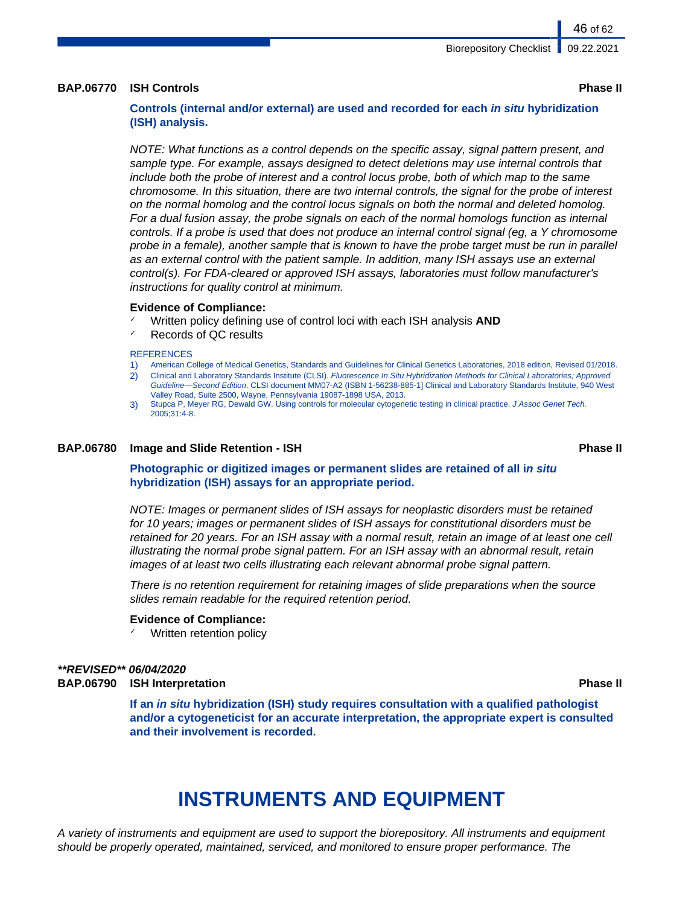### **BAP.06770 ISH Controls Phase II**

# **Controls (internal and/or external) are used and recorded for each in situ hybridization (ISH) analysis.**

NOTE: What functions as a control depends on the specific assay, signal pattern present, and sample type. For example, assays designed to detect deletions may use internal controls that include both the probe of interest and a control locus probe, both of which map to the same chromosome. In this situation, there are two internal controls, the signal for the probe of interest on the normal homolog and the control locus signals on both the normal and deleted homolog. For a dual fusion assay, the probe signals on each of the normal homologs function as internal controls. If a probe is used that does not produce an internal control signal (eg, a Y chromosome probe in a female), another sample that is known to have the probe target must be run in parallel as an external control with the patient sample. In addition, many ISH assays use an external control(s). For FDA-cleared or approved ISH assays, laboratories must follow manufacturer's instructions for quality control at minimum.

#### **Evidence of Compliance:**

- Written policy defining use of control loci with each ISH analysis **AND**
- ✓ Records of QC results

#### **REFERENCES**

- 1) American College of Medical Genetics, Standards and Guidelines for Clinical Genetics Laboratories, 2018 edition, Revised 01/2018.
- 2) Clinical and Laboratory Standards Institute (CLSI). Fluorescence In Situ Hybridization Methods for Clinical Laboratories; Approved Guideline—Second Edition. CLSI document MM07-A2 (ISBN 1-56238-885-1] Clinical and Laboratory Standards Institute, 940 West Valley Road, Suite 2500, Wayne, Pennsylvania 19087-1898 USA, 2013.
- 3) Stupca P, Meyer RG, Dewald GW. Using controls for molecular cytogenetic testing in clinical practice. J Assoc Genet Tech. 2005;31:4-8.

#### **BAP.06780 Image and Slide Retention - ISH Phase II**

**Photographic or digitized images or permanent slides are retained of all in situ hybridization (ISH) assays for an appropriate period.**

NOTE: Images or permanent slides of ISH assays for neoplastic disorders must be retained for 10 years; images or permanent slides of ISH assays for constitutional disorders must be retained for 20 years. For an ISH assay with a normal result, retain an image of at least one cell illustrating the normal probe signal pattern. For an ISH assay with an abnormal result, retain images of at least two cells illustrating each relevant abnormal probe signal pattern.

There is no retention requirement for retaining images of slide preparations when the source slides remain readable for the required retention period.

#### **Evidence of Compliance:**

Written retention policy

#### **\*\*REVISED\*\* 06/04/2020 BAP.06790 ISH Interpretation Phase II**

**If an in situ hybridization (ISH) study requires consultation with a qualified pathologist and/or a cytogeneticist for an accurate interpretation, the appropriate expert is consulted and their involvement is recorded.**

# **INSTRUMENTS AND EQUIPMENT**

A variety of instruments and equipment are used to support the biorepository. All instruments and equipment should be properly operated, maintained, serviced, and monitored to ensure proper performance. The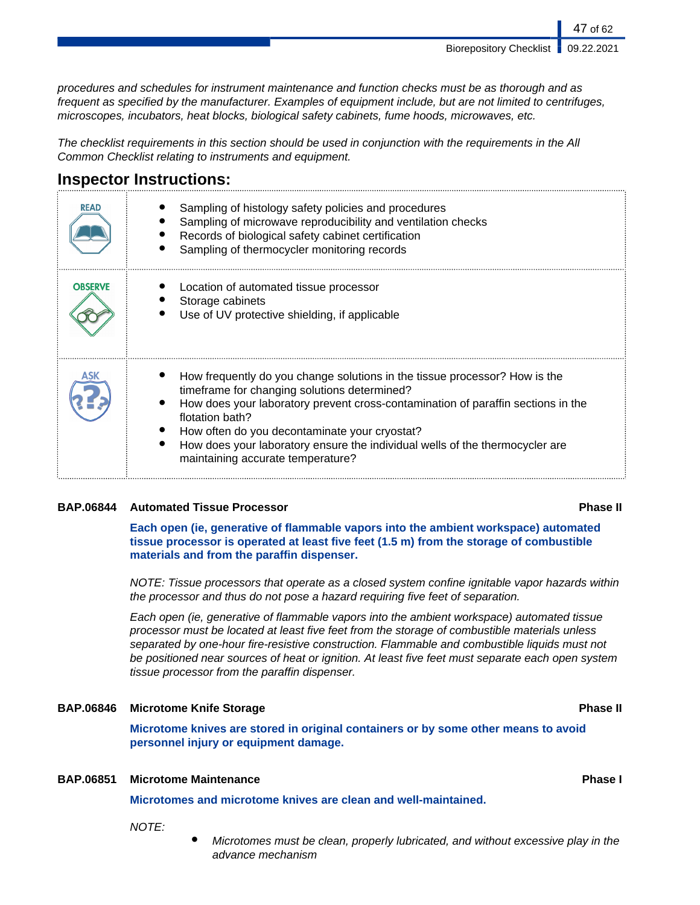procedures and schedules for instrument maintenance and function checks must be as thorough and as frequent as specified by the manufacturer. Examples of equipment include, but are not limited to centrifuges, microscopes, incubators, heat blocks, biological safety cabinets, fume hoods, microwaves, etc.

The checklist requirements in this section should be used in conjunction with the requirements in the All Common Checklist relating to instruments and equipment.

# **Inspector Instructions:**

| <b>READ</b>    | Sampling of histology safety policies and procedures<br>Sampling of microwave reproducibility and ventilation checks<br>Records of biological safety cabinet certification<br>Sampling of thermocycler monitoring records                                                                                                                                                                               |
|----------------|---------------------------------------------------------------------------------------------------------------------------------------------------------------------------------------------------------------------------------------------------------------------------------------------------------------------------------------------------------------------------------------------------------|
| <b>OBSERVE</b> | Location of automated tissue processor<br>Storage cabinets<br>Use of UV protective shielding, if applicable                                                                                                                                                                                                                                                                                             |
| ASK            | How frequently do you change solutions in the tissue processor? How is the<br>timeframe for changing solutions determined?<br>How does your laboratory prevent cross-contamination of paraffin sections in the<br>flotation bath?<br>How often do you decontaminate your cryostat?<br>How does your laboratory ensure the individual wells of the thermocycler are<br>maintaining accurate temperature? |

## **BAP.06844 Automated Tissue Processor Phase II**

**Each open (ie, generative of flammable vapors into the ambient workspace) automated tissue processor is operated at least five feet (1.5 m) from the storage of combustible materials and from the paraffin dispenser.**

NOTE: Tissue processors that operate as a closed system confine ignitable vapor hazards within the processor and thus do not pose a hazard requiring five feet of separation.

Each open (ie, generative of flammable vapors into the ambient workspace) automated tissue processor must be located at least five feet from the storage of combustible materials unless separated by one-hour fire-resistive construction. Flammable and combustible liquids must not be positioned near sources of heat or ignition. At least five feet must separate each open system tissue processor from the paraffin dispenser.

# **BAP.06846 Microtome Knife Storage Phase II**

**Microtome knives are stored in original containers or by some other means to avoid personnel injury or equipment damage.**

# **BAP.06851 Microtome Maintenance Phase I**

**Microtomes and microtome knives are clean and well-maintained.**

NOTE:

Microtomes must be clean, properly lubricated, and without excessive play in the advance mechanism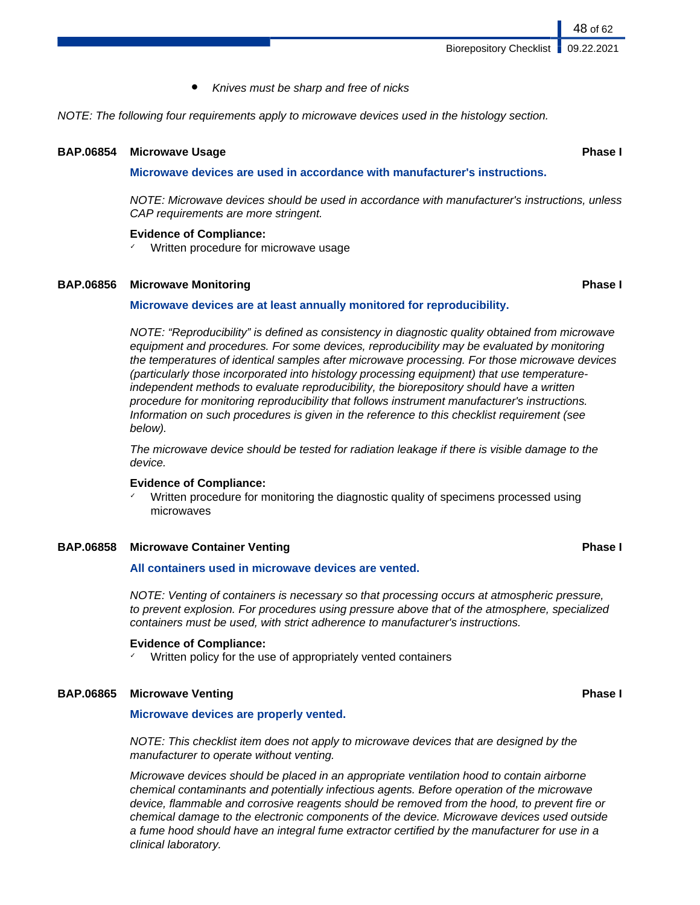Knives must be sharp and free of nicks

NOTE: The following four requirements apply to microwave devices used in the histology section.

#### **BAP.06854 Microwave Usage Phase I**

**Microwave devices are used in accordance with manufacturer's instructions.**

NOTE: Microwave devices should be used in accordance with manufacturer's instructions, unless CAP requirements are more stringent.

#### **Evidence of Compliance:**

Written procedure for microwave usage

### **BAP.06856 Microwave Monitoring Phase I**

### **Microwave devices are at least annually monitored for reproducibility.**

NOTE: "Reproducibility" is defined as consistency in diagnostic quality obtained from microwave equipment and procedures. For some devices, reproducibility may be evaluated by monitoring the temperatures of identical samples after microwave processing. For those microwave devices (particularly those incorporated into histology processing equipment) that use temperatureindependent methods to evaluate reproducibility, the biorepository should have a written procedure for monitoring reproducibility that follows instrument manufacturer's instructions. Information on such procedures is given in the reference to this checklist requirement (see below).

The microwave device should be tested for radiation leakage if there is visible damage to the device.

### **Evidence of Compliance:**

Written procedure for monitoring the diagnostic quality of specimens processed using microwaves

## **BAP.06858 Microwave Container Venting Phase I**

### **All containers used in microwave devices are vented.**

NOTE: Venting of containers is necessary so that processing occurs at atmospheric pressure, to prevent explosion. For procedures using pressure above that of the atmosphere, specialized containers must be used, with strict adherence to manufacturer's instructions.

#### **Evidence of Compliance:**

Written policy for the use of appropriately vented containers

### **BAP.06865 Microwave Venting Phase I**

### **Microwave devices are properly vented.**

NOTE: This checklist item does not apply to microwave devices that are designed by the manufacturer to operate without venting.

Microwave devices should be placed in an appropriate ventilation hood to contain airborne chemical contaminants and potentially infectious agents. Before operation of the microwave device, flammable and corrosive reagents should be removed from the hood, to prevent fire or chemical damage to the electronic components of the device. Microwave devices used outside a fume hood should have an integral fume extractor certified by the manufacturer for use in a clinical laboratory.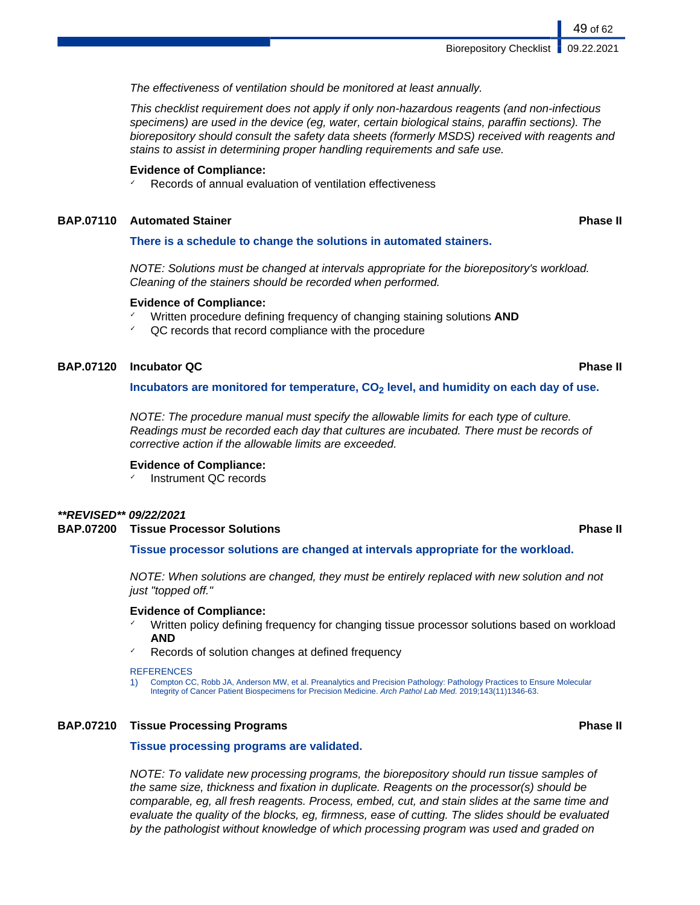The effectiveness of ventilation should be monitored at least annually.

This checklist requirement does not apply if only non-hazardous reagents (and non-infectious specimens) are used in the device (eg, water, certain biological stains, paraffin sections). The biorepository should consult the safety data sheets (formerly MSDS) received with reagents and stains to assist in determining proper handling requirements and safe use.

### **Evidence of Compliance:**

Records of annual evaluation of ventilation effectiveness

#### **BAP.07110 Automated Stainer Phase II**

#### **There is a schedule to change the solutions in automated stainers.**

NOTE: Solutions must be changed at intervals appropriate for the biorepository's workload. Cleaning of the stainers should be recorded when performed.

#### **Evidence of Compliance:**

- ✓ Written procedure defining frequency of changing staining solutions **AND**
- $\sqrt{a}$  QC records that record compliance with the procedure

## **BAP.07120 Incubator QC Phase II**

#### **Incubators are monitored for temperature, CO2 level, and humidity on each day of use.**

NOTE: The procedure manual must specify the allowable limits for each type of culture. Readings must be recorded each day that cultures are incubated. There must be records of corrective action if the allowable limits are exceeded.

#### **Evidence of Compliance:**

Instrument QC records

## **\*\*REVISED\*\* 09/22/2021**

### **BAP.07200 Tissue Processor Solutions Phase II**

### **Tissue processor solutions are changed at intervals appropriate for the workload.**

NOTE: When solutions are changed, they must be entirely replaced with new solution and not just "topped off."

#### **Evidence of Compliance:**

- Written policy defining frequency for changing tissue processor solutions based on workload **AND**
- Records of solution changes at defined frequency

#### **REFERENCES**

1) Compton CC, Robb JA, Anderson MW, et al. Preanalytics and Precision Pathology: Pathology Practices to Ensure Molecular Integrity of Cancer Patient Biospecimens for Precision Medicine. Arch Pathol Lab Med. 2019;143(11)1346-63.

## **BAP.07210 Tissue Processing Programs Phase II**

#### **Tissue processing programs are validated.**

NOTE: To validate new processing programs, the biorepository should run tissue samples of the same size, thickness and fixation in duplicate. Reagents on the processor(s) should be comparable, eg, all fresh reagents. Process, embed, cut, and stain slides at the same time and evaluate the quality of the blocks, eg, firmness, ease of cutting. The slides should be evaluated by the pathologist without knowledge of which processing program was used and graded on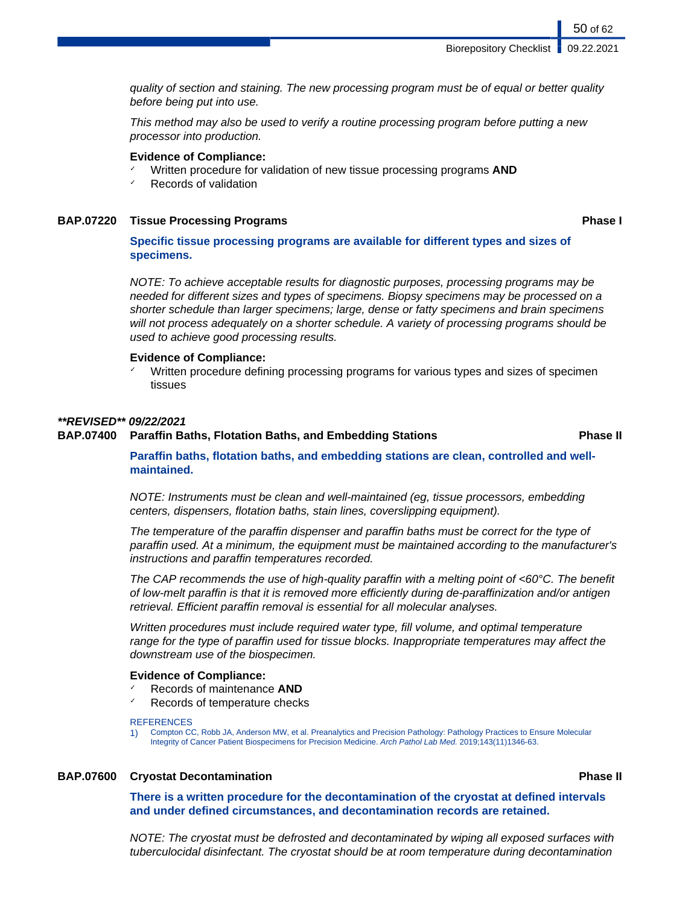quality of section and staining. The new processing program must be of equal or better quality before being put into use.

This method may also be used to verify a routine processing program before putting a new processor into production.

#### **Evidence of Compliance:**

- Written procedure for validation of new tissue processing programs **AND**
- Records of validation

## **BAP.07220 Tissue Processing Programs Phase I**

50 of 62

**Specific tissue processing programs are available for different types and sizes of specimens.**

NOTE: To achieve acceptable results for diagnostic purposes, processing programs may be needed for different sizes and types of specimens. Biopsy specimens may be processed on a shorter schedule than larger specimens; large, dense or fatty specimens and brain specimens will not process adequately on a shorter schedule. A variety of processing programs should be used to achieve good processing results.

# **Evidence of Compliance:**

Written procedure defining processing programs for various types and sizes of specimen tissues

### **\*\*REVISED\*\* 09/22/2021**

## **BAP.07400 Paraffin Baths, Flotation Baths, and Embedding Stations Phase II**

**Paraffin baths, flotation baths, and embedding stations are clean, controlled and wellmaintained.**

NOTE: Instruments must be clean and well-maintained (eg, tissue processors, embedding centers, dispensers, flotation baths, stain lines, coverslipping equipment).

The temperature of the paraffin dispenser and paraffin baths must be correct for the type of paraffin used. At a minimum, the equipment must be maintained according to the manufacturer's instructions and paraffin temperatures recorded.

The CAP recommends the use of high-quality paraffin with a melting point of  $<60^{\circ}$ C. The benefit of low-melt paraffin is that it is removed more efficiently during de-paraffinization and/or antigen retrieval. Efficient paraffin removal is essential for all molecular analyses.

Written procedures must include required water type, fill volume, and optimal temperature range for the type of paraffin used for tissue blocks. Inappropriate temperatures may affect the downstream use of the biospecimen.

#### **Evidence of Compliance:**

- ✓ Records of maintenance **AND**
- Records of temperature checks

#### **REFERENCES**

1) Compton CC, Robb JA, Anderson MW, et al. Preanalytics and Precision Pathology: Pathology Practices to Ensure Molecular Integrity of Cancer Patient Biospecimens for Precision Medicine. Arch Pathol Lab Med. 2019;143(11)1346-63.

### **BAP.07600 Cryostat Decontamination Phase II**

**There is a written procedure for the decontamination of the cryostat at defined intervals and under defined circumstances, and decontamination records are retained.**

NOTE: The cryostat must be defrosted and decontaminated by wiping all exposed surfaces with tuberculocidal disinfectant. The cryostat should be at room temperature during decontamination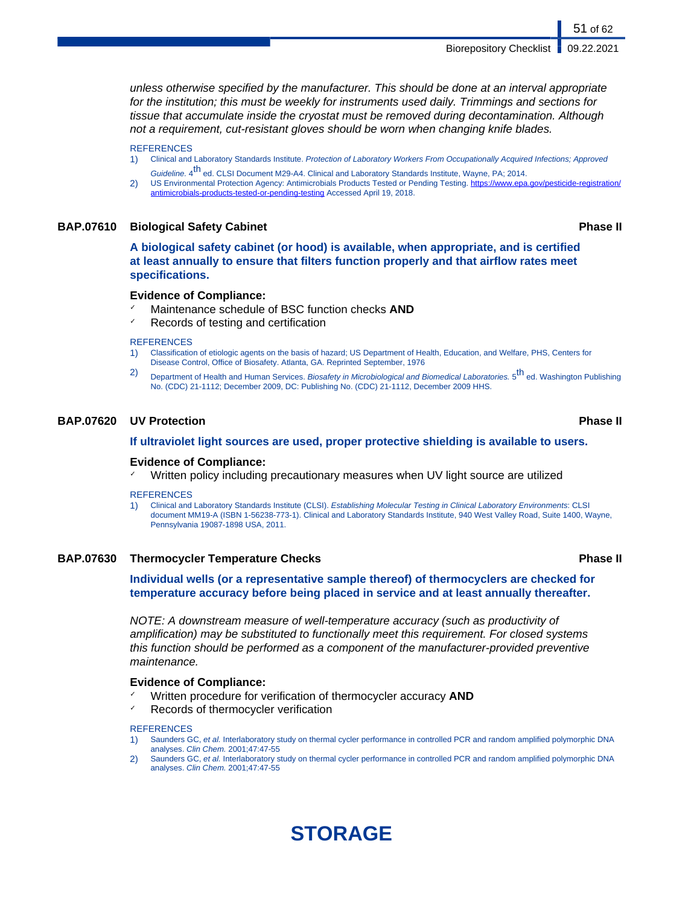unless otherwise specified by the manufacturer. This should be done at an interval appropriate for the institution; this must be weekly for instruments used daily. Trimmings and sections for tissue that accumulate inside the cryostat must be removed during decontamination. Although not a requirement, cut-resistant gloves should be worn when changing knife blades.

#### **REFERENCES**

- 1) Clinical and Laboratory Standards Institute. Protection of Laboratory Workers From Occupationally Acquired Infections; Approved Guideline. 4<sup>th</sup> ed. CLSI Document M29-A4. Clinical and Laboratory Standards Institute, Wayne, PA; 2014.
- 2) US Environmental Protection Agency: Antimicrobials Products Tested or Pending Testing. [https://www.epa.gov/pesticide-registration/](https://www.epa.gov/pesticide-registration/antimicrobials-products-tested-or-pending-testing) [antimicrobials-products-tested-or-pending-testing](https://www.epa.gov/pesticide-registration/antimicrobials-products-tested-or-pending-testing) Accessed April 19, 2018.

#### **BAP.07610 Biological Safety Cabinet Phase II**

**A biological safety cabinet (or hood) is available, when appropriate, and is certified at least annually to ensure that filters function properly and that airflow rates meet specifications.**

#### **Evidence of Compliance:**

- Maintenance schedule of BSC function checks **AND**
- Records of testing and certification

#### **REFERENCES**

- 1) Classification of etiologic agents on the basis of hazard; US Department of Health, Education, and Welfare, PHS, Centers for Disease Control, Office of Biosafety. Atlanta, GA. Reprinted September, 1976
- 2) Department of Health and Human Services. Biosafety in Microbiological and Biomedical Laboratories. 5<sup>th</sup> ed. Washington Publishing No. (CDC) 21-1112; December 2009, DC: Publishing No. (CDC) 21-1112, December 2009 HHS.

## **BAP.07620 UV Protection Phase II**

#### **If ultraviolet light sources are used, proper protective shielding is available to users.**

#### **Evidence of Compliance:**

Written policy including precautionary measures when UV light source are utilized

#### **REFERENCES**

1) Clinical and Laboratory Standards Institute (CLSI). Establishing Molecular Testing in Clinical Laboratory Environments: CLSI document MM19-A (ISBN 1-56238-773-1). Clinical and Laboratory Standards Institute, 940 West Valley Road, Suite 1400, Wayne, Pennsylvania 19087-1898 USA, 2011.

## **BAP.07630 Thermocycler Temperature Checks Phase II**

**Individual wells (or a representative sample thereof) of thermocyclers are checked for temperature accuracy before being placed in service and at least annually thereafter.**

NOTE: A downstream measure of well-temperature accuracy (such as productivity of amplification) may be substituted to functionally meet this requirement. For closed systems this function should be performed as a component of the manufacturer-provided preventive maintenance.

#### **Evidence of Compliance:**

- ✓ Written procedure for verification of thermocycler accuracy **AND**
- Records of thermocycler verification

#### **REFERENCES**

- 1) Saunders GC, et al. Interlaboratory study on thermal cycler performance in controlled PCR and random amplified polymorphic DNA analyses. Clin Chem. 2001;47:47-55
- Saunders GC, et al. Interlaboratory study on thermal cycler performance in controlled PCR and random amplified polymorphic DNA analyses. Clin Chem. 2001;47:47-55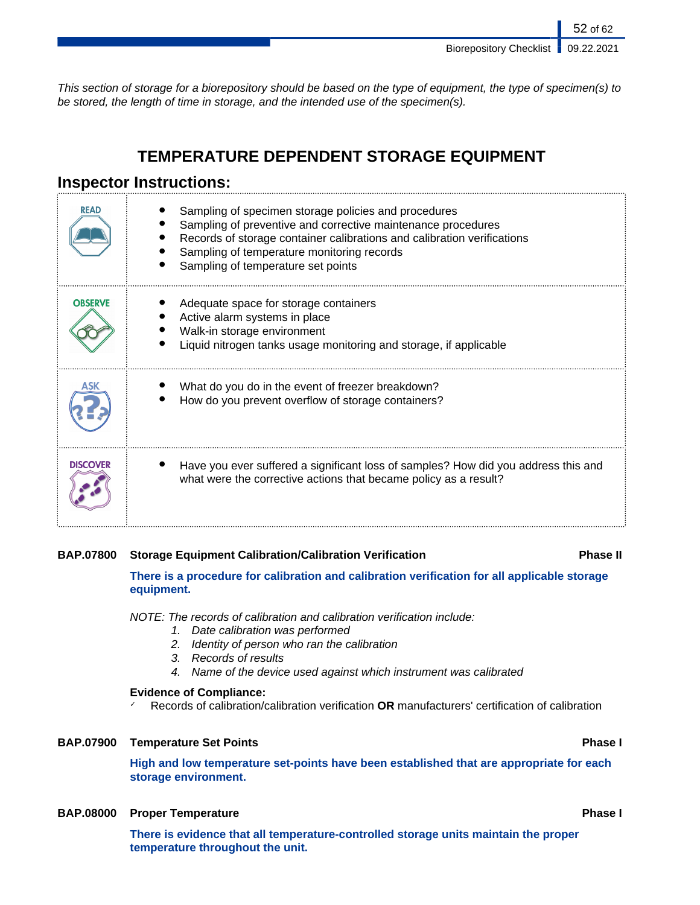52 of 62

This section of storage for a biorepository should be based on the type of equipment, the type of specimen(s) to be stored, the length of time in storage, and the intended use of the specimen(s).

# **TEMPERATURE DEPENDENT STORAGE EQUIPMENT**

# **Inspector Instructions:**

| READ            | Sampling of specimen storage policies and procedures<br>Sampling of preventive and corrective maintenance procedures<br>Records of storage container calibrations and calibration verifications<br>Sampling of temperature monitoring records<br>Sampling of temperature set points |
|-----------------|-------------------------------------------------------------------------------------------------------------------------------------------------------------------------------------------------------------------------------------------------------------------------------------|
| <b>OBSERVE</b>  | Adequate space for storage containers<br>Active alarm systems in place<br>Walk-in storage environment<br>Liquid nitrogen tanks usage monitoring and storage, if applicable                                                                                                          |
|                 | What do you do in the event of freezer breakdown?<br>How do you prevent overflow of storage containers?                                                                                                                                                                             |
| <b>DISCOVER</b> | Have you ever suffered a significant loss of samples? How did you address this and<br>what were the corrective actions that became policy as a result?                                                                                                                              |

# **BAP.07800 Storage Equipment Calibration/Calibration Verification Phase II**

**There is a procedure for calibration and calibration verification for all applicable storage equipment.**

NOTE: The records of calibration and calibration verification include:

- 1. Date calibration was performed
- 2. Identity of person who ran the calibration
- 3. Records of results
- 4. Name of the device used against which instrument was calibrated

## **Evidence of Compliance:**

✓ Records of calibration/calibration verification **OR** manufacturers' certification of calibration

## **BAP.07900 Temperature Set Points Phase I**

**High and low temperature set-points have been established that are appropriate for each storage environment.**

# **BAP.08000 Proper Temperature Phase I**

**There is evidence that all temperature-controlled storage units maintain the proper temperature throughout the unit.**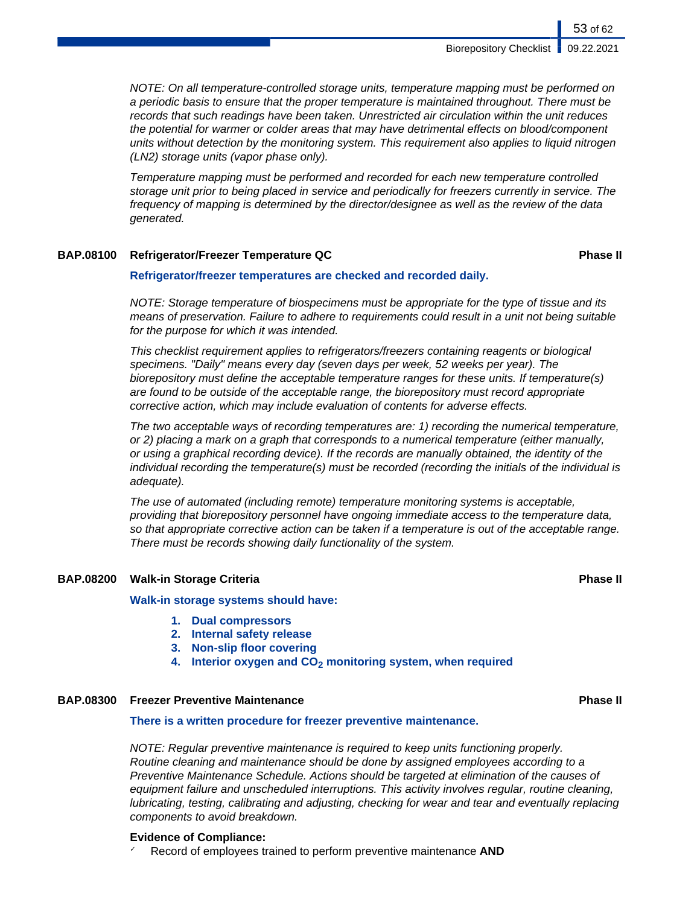NOTE: On all temperature-controlled storage units, temperature mapping must be performed on a periodic basis to ensure that the proper temperature is maintained throughout. There must be records that such readings have been taken. Unrestricted air circulation within the unit reduces the potential for warmer or colder areas that may have detrimental effects on blood/component units without detection by the monitoring system. This requirement also applies to liquid nitrogen (LN2) storage units (vapor phase only).

Temperature mapping must be performed and recorded for each new temperature controlled storage unit prior to being placed in service and periodically for freezers currently in service. The frequency of mapping is determined by the director/designee as well as the review of the data generated.

## **BAP.08100 Refrigerator/Freezer Temperature QC Phase II**

### **Refrigerator/freezer temperatures are checked and recorded daily.**

NOTE: Storage temperature of biospecimens must be appropriate for the type of tissue and its means of preservation. Failure to adhere to requirements could result in a unit not being suitable for the purpose for which it was intended.

This checklist requirement applies to refrigerators/freezers containing reagents or biological specimens. "Daily" means every day (seven days per week, 52 weeks per year). The biorepository must define the acceptable temperature ranges for these units. If temperature(s) are found to be outside of the acceptable range, the biorepository must record appropriate corrective action, which may include evaluation of contents for adverse effects.

The two acceptable ways of recording temperatures are: 1) recording the numerical temperature, or 2) placing a mark on a graph that corresponds to a numerical temperature (either manually, or using a graphical recording device). If the records are manually obtained, the identity of the individual recording the temperature(s) must be recorded (recording the initials of the individual is adequate).

The use of automated (including remote) temperature monitoring systems is acceptable, providing that biorepository personnel have ongoing immediate access to the temperature data, so that appropriate corrective action can be taken if a temperature is out of the acceptable range. There must be records showing daily functionality of the system.

### **BAP.08200 Walk-in Storage Criteria Phase II**

### **Walk-in storage systems should have:**

- **1. Dual compressors**
- **2. Internal safety release**
- **3. Non-slip floor covering**
- **4. Interior oxygen and CO2 monitoring system, when required**

## **BAP.08300 Freezer Preventive Maintenance Phase II**

#### **There is a written procedure for freezer preventive maintenance.**

NOTE: Regular preventive maintenance is required to keep units functioning properly. Routine cleaning and maintenance should be done by assigned employees according to a Preventive Maintenance Schedule. Actions should be targeted at elimination of the causes of equipment failure and unscheduled interruptions. This activity involves regular, routine cleaning, lubricating, testing, calibrating and adjusting, checking for wear and tear and eventually replacing components to avoid breakdown.

### **Evidence of Compliance:**

✓ Record of employees trained to perform preventive maintenance **AND**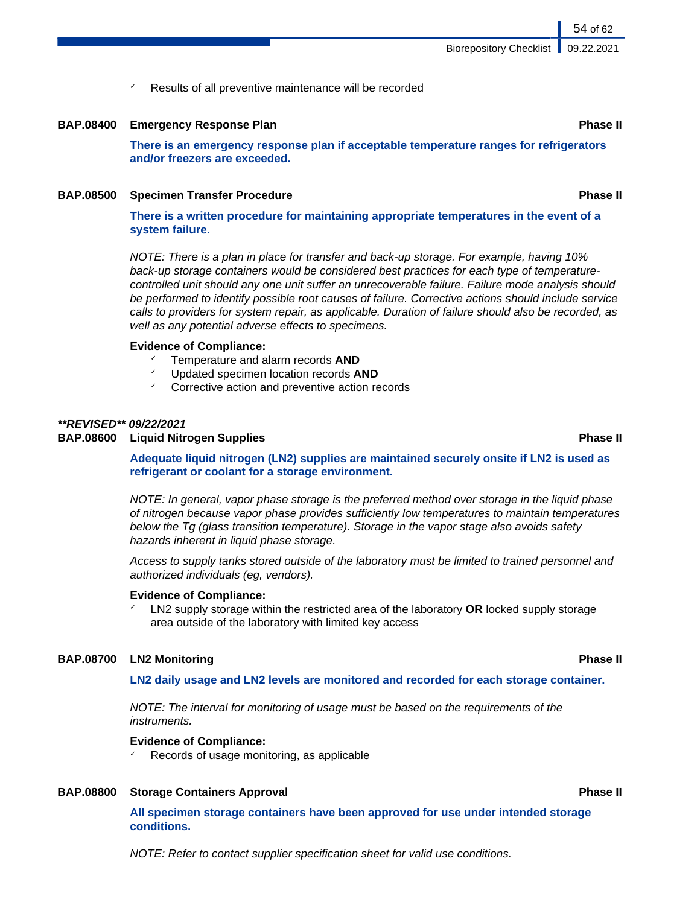Results of all preventive maintenance will be recorded

#### **BAP.08400 Emergency Response Plan Phase II**

**There is an emergency response plan if acceptable temperature ranges for refrigerators and/or freezers are exceeded.**

#### **BAP.08500 Specimen Transfer Procedure Phase II**

**There is a written procedure for maintaining appropriate temperatures in the event of a system failure.**

NOTE: There is a plan in place for transfer and back-up storage. For example, having 10% back-up storage containers would be considered best practices for each type of temperaturecontrolled unit should any one unit suffer an unrecoverable failure. Failure mode analysis should be performed to identify possible root causes of failure. Corrective actions should include service calls to providers for system repair, as applicable. Duration of failure should also be recorded, as well as any potential adverse effects to specimens.

### **Evidence of Compliance:**

- ✓ Temperature and alarm records **AND**
- ✓ Updated specimen location records **AND**
- Corrective action and preventive action records

## **\*\*REVISED\*\* 09/22/2021**

#### **BAP.08600 Liquid Nitrogen Supplies Phase II**

**Adequate liquid nitrogen (LN2) supplies are maintained securely onsite if LN2 is used as refrigerant or coolant for a storage environment.**

NOTE: In general, vapor phase storage is the preferred method over storage in the liquid phase of nitrogen because vapor phase provides sufficiently low temperatures to maintain temperatures below the Tg (glass transition temperature). Storage in the vapor stage also avoids safety hazards inherent in liquid phase storage.

Access to supply tanks stored outside of the laboratory must be limited to trained personnel and authorized individuals (eg, vendors).

#### **Evidence of Compliance:**

✓ LN2 supply storage within the restricted area of the laboratory **OR** locked supply storage area outside of the laboratory with limited key access

## **BAP.08700 LN2 Monitoring Phase II**

**LN2 daily usage and LN2 levels are monitored and recorded for each storage container.**

NOTE: The interval for monitoring of usage must be based on the requirements of the instruments.

## **Evidence of Compliance:**

Records of usage monitoring, as applicable

# **BAP.08800 Storage Containers Approval <b>Phase II Phase II Phase II**

**All specimen storage containers have been approved for use under intended storage conditions.**

NOTE: Refer to contact supplier specification sheet for valid use conditions.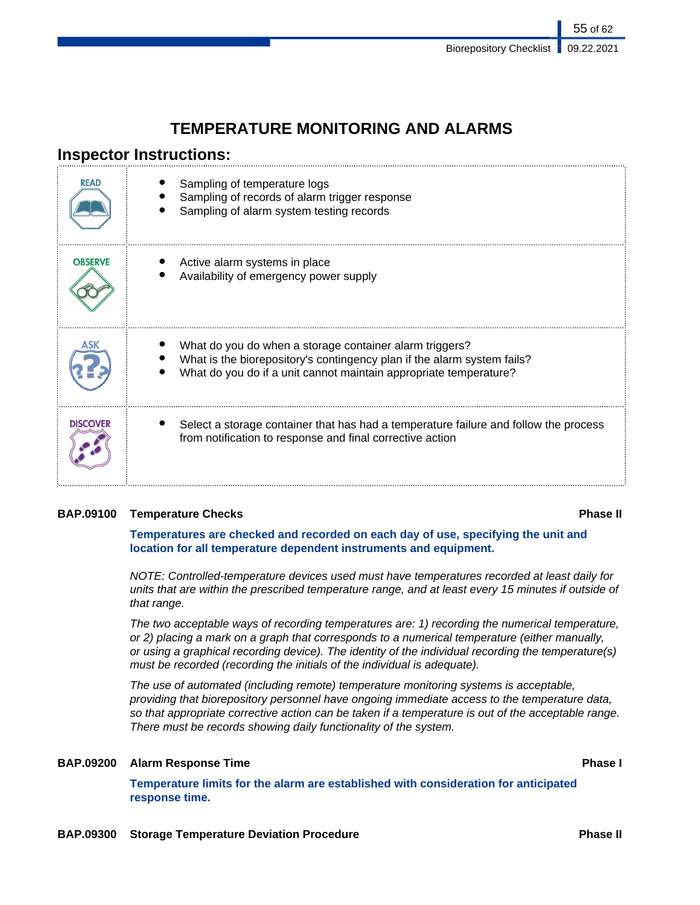55 of 62

# **TEMPERATURE MONITORING AND ALARMS**

# **Inspector Instructions:**

| <b>READ</b>     | Sampling of temperature logs<br>Sampling of records of alarm trigger response<br>Sampling of alarm system testing records                                                                               |
|-----------------|---------------------------------------------------------------------------------------------------------------------------------------------------------------------------------------------------------|
| <b>OBSERVE</b>  | Active alarm systems in place<br>Availability of emergency power supply                                                                                                                                 |
|                 | What do you do when a storage container alarm triggers?<br>What is the biorepository's contingency plan if the alarm system fails?<br>What do you do if a unit cannot maintain appropriate temperature? |
| <b>DISCOVER</b> | Select a storage container that has had a temperature failure and follow the process<br>from notification to response and final corrective action                                                       |

# **BAP.09100 Temperature Checks Phase II**

**Temperatures are checked and recorded on each day of use, specifying the unit and location for all temperature dependent instruments and equipment.**

NOTE: Controlled-temperature devices used must have temperatures recorded at least daily for units that are within the prescribed temperature range, and at least every 15 minutes if outside of that range.

The two acceptable ways of recording temperatures are: 1) recording the numerical temperature, or 2) placing a mark on a graph that corresponds to a numerical temperature (either manually, or using a graphical recording device). The identity of the individual recording the temperature(s) must be recorded (recording the initials of the individual is adequate).

The use of automated (including remote) temperature monitoring systems is acceptable, providing that biorepository personnel have ongoing immediate access to the temperature data, so that appropriate corrective action can be taken if a temperature is out of the acceptable range. There must be records showing daily functionality of the system.

# **BAP.09200 Alarm Response Time Phase I**

**Temperature limits for the alarm are established with consideration for anticipated response time.**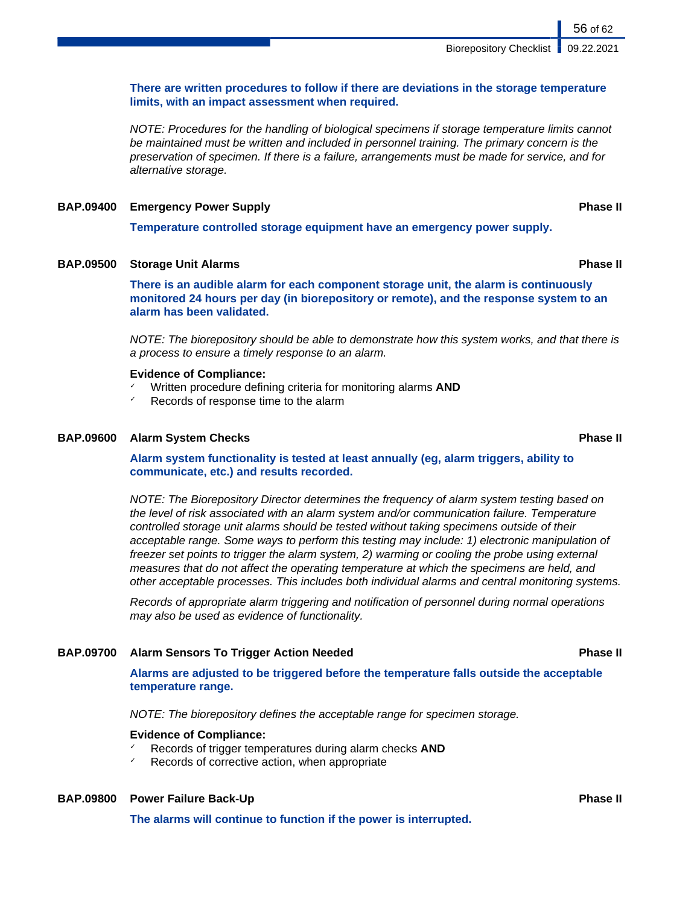## **There are written procedures to follow if there are deviations in the storage temperature limits, with an impact assessment when required.**

NOTE: Procedures for the handling of biological specimens if storage temperature limits cannot be maintained must be written and included in personnel training. The primary concern is the preservation of specimen. If there is a failure, arrangements must be made for service, and for alternative storage.

## **BAP.09400 Emergency Power Supply Phase II**

**Temperature controlled storage equipment have an emergency power supply.**

# **BAP.09500 Storage Unit Alarms Phase II**

**There is an audible alarm for each component storage unit, the alarm is continuously monitored 24 hours per day (in biorepository or remote), and the response system to an alarm has been validated.**

NOTE: The biorepository should be able to demonstrate how this system works, and that there is a process to ensure a timely response to an alarm.

#### **Evidence of Compliance:**

- ✓ Written procedure defining criteria for monitoring alarms **AND**
- $\checkmark$  Records of response time to the alarm

#### **BAP.09600 Alarm System Checks Phase II**

**Alarm system functionality is tested at least annually (eg, alarm triggers, ability to communicate, etc.) and results recorded.**

NOTE: The Biorepository Director determines the frequency of alarm system testing based on the level of risk associated with an alarm system and/or communication failure. Temperature controlled storage unit alarms should be tested without taking specimens outside of their acceptable range. Some ways to perform this testing may include: 1) electronic manipulation of freezer set points to trigger the alarm system, 2) warming or cooling the probe using external measures that do not affect the operating temperature at which the specimens are held, and other acceptable processes. This includes both individual alarms and central monitoring systems.

Records of appropriate alarm triggering and notification of personnel during normal operations may also be used as evidence of functionality.

#### **BAP.09700 Alarm Sensors To Trigger Action Needed Phase II**

**Alarms are adjusted to be triggered before the temperature falls outside the acceptable temperature range.**

NOTE: The biorepository defines the acceptable range for specimen storage.

## **Evidence of Compliance:**

- ✓ Records of trigger temperatures during alarm checks **AND**
- Records of corrective action, when appropriate

## **BAP.09800 Power Failure Back-Up Phase II**

**The alarms will continue to function if the power is interrupted.**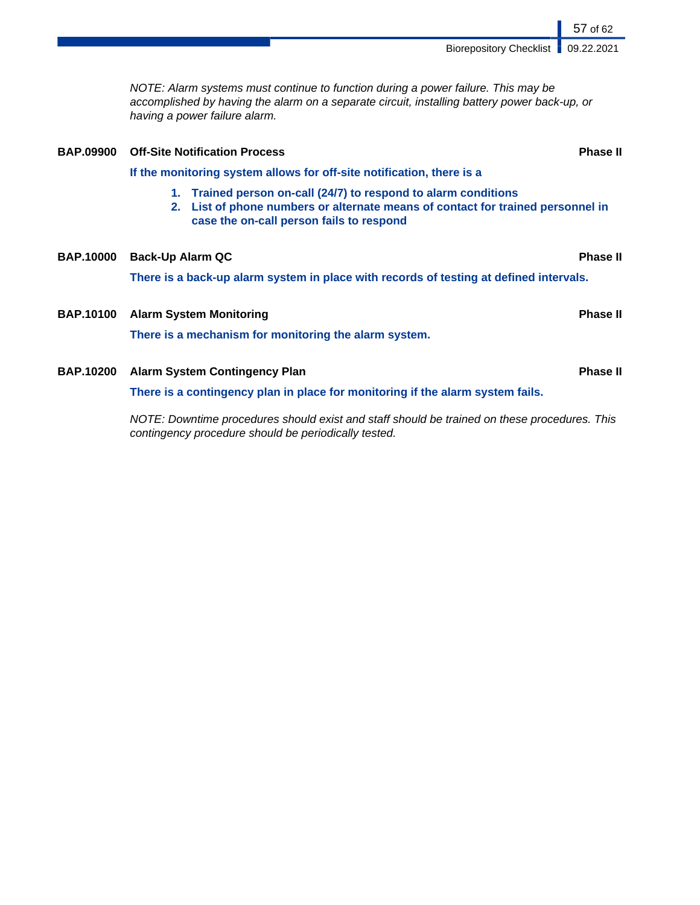NOTE: Alarm systems must continue to function during a power failure. This may be accomplished by having the alarm on a separate circuit, installing battery power back-up, or having a power failure alarm. **BAP.09900 Off-Site Notification Process Phase II If the monitoring system allows for off-site notification, there is a 1. Trained person on-call (24/7) to respond to alarm conditions 2. List of phone numbers or alternate means of contact for trained personnel in case the on-call person fails to respond BAP.10000 Back-Up Alarm QC Phase II There is a back-up alarm system in place with records of testing at defined intervals. BAP.10100 Alarm System Monitoring Phase II There is a mechanism for monitoring the alarm system. BAP.10200 Alarm System Contingency Plan Phase II There is a contingency plan in place for monitoring if the alarm system fails.** NOTE: Downtime procedures should exist and staff should be trained on these procedures. This contingency procedure should be periodically tested.

57 of 62

Biorepository Checklist | 09.22.2021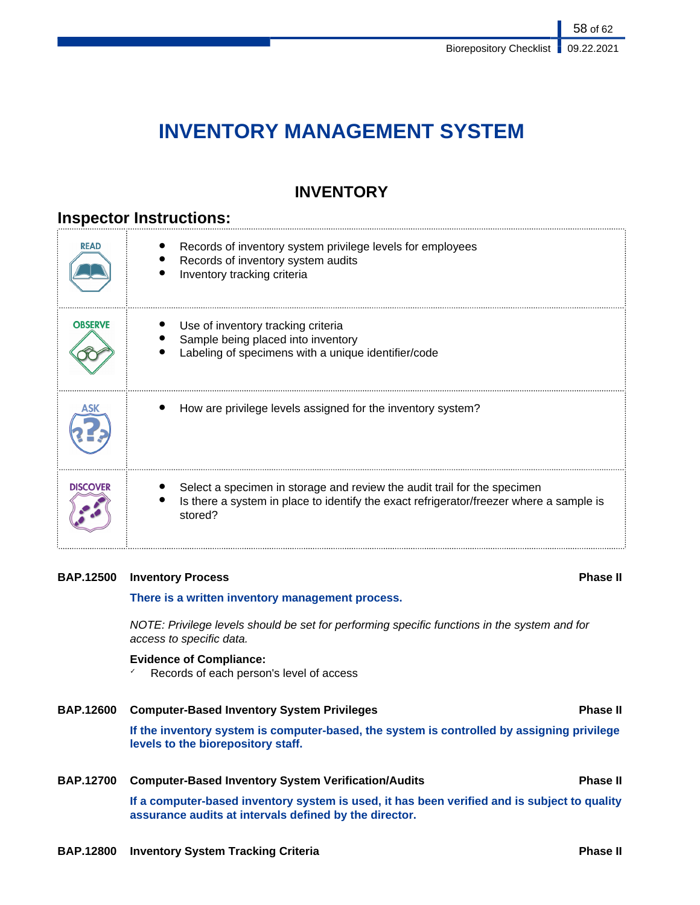58 of 62

# **INVENTORY MANAGEMENT SYSTEM**

# **INVENTORY**

# **Inspector Instructions:**

| <b>READ</b>     | Records of inventory system privilege levels for employees<br>Records of inventory system audits<br>Inventory tracking criteria                                                |
|-----------------|--------------------------------------------------------------------------------------------------------------------------------------------------------------------------------|
| <b>OBSERVE</b>  | Use of inventory tracking criteria<br>Sample being placed into inventory<br>Labeling of specimens with a unique identifier/code                                                |
|                 | How are privilege levels assigned for the inventory system?                                                                                                                    |
| <b>DISCOVER</b> | Select a specimen in storage and review the audit trail for the specimen<br>Is there a system in place to identify the exact refrigerator/freezer where a sample is<br>stored? |

# **BAP.12500 Inventory Process Phase II**

## **There is a written inventory management process.**

NOTE: Privilege levels should be set for performing specific functions in the system and for access to specific data.

# **Evidence of Compliance:**

Records of each person's level of access

# **BAP.12600 Computer-Based Inventory System Privileges Phase II If the inventory system is computer-based, the system is controlled by assigning privilege levels to the biorepository staff.**

## **BAP.12700 Computer-Based Inventory System Verification/Audits Phase II**

**If a computer-based inventory system is used, it has been verified and is subject to quality assurance audits at intervals defined by the director.**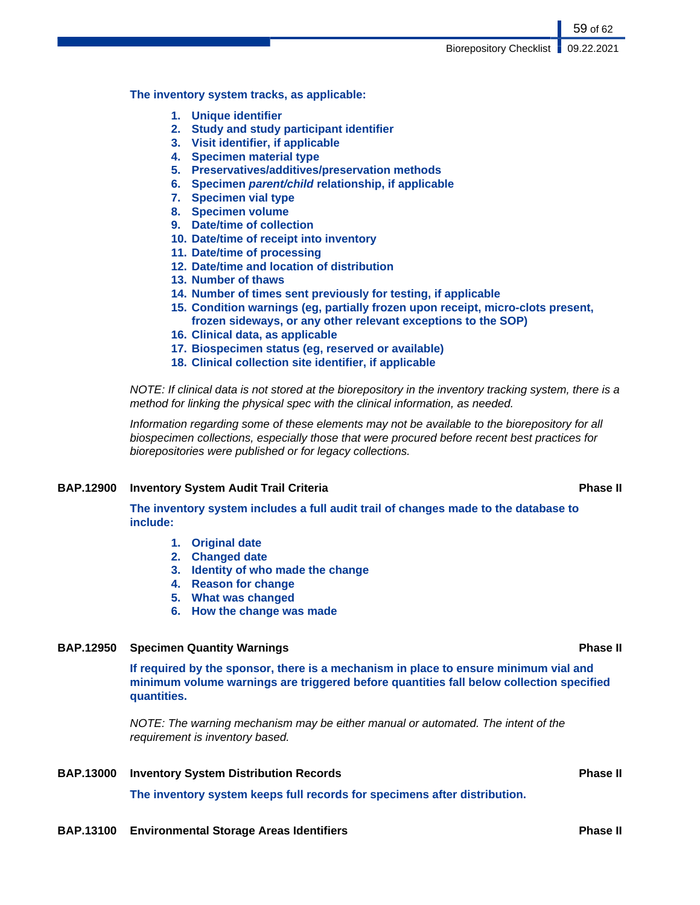**The inventory system tracks, as applicable:**

- **1. Unique identifier**
- **2. Study and study participant identifier**
- **3. Visit identifier, if applicable**
- **4. Specimen material type**
- **5. Preservatives/additives/preservation methods**
- **6. Specimen parent/child relationship, if applicable**
- **7. Specimen vial type**
- **8. Specimen volume**
- **9. Date/time of collection**
- **10. Date/time of receipt into inventory**
- **11. Date/time of processing**
- **12. Date/time and location of distribution**
- **13. Number of thaws**
- **14. Number of times sent previously for testing, if applicable**
- **15. Condition warnings (eg, partially frozen upon receipt, micro-clots present, frozen sideways, or any other relevant exceptions to the SOP)**
- **16. Clinical data, as applicable**
- **17. Biospecimen status (eg, reserved or available)**
- **18. Clinical collection site identifier, if applicable**

NOTE: If clinical data is not stored at the biorepository in the inventory tracking system, there is a method for linking the physical spec with the clinical information, as needed.

Information regarding some of these elements may not be available to the biorepository for all biospecimen collections, especially those that were procured before recent best practices for biorepositories were published or for legacy collections.

### **BAP.12900 Inventory System Audit Trail Criteria Phase II**

**The inventory system includes a full audit trail of changes made to the database to include:**

- **1. Original date**
- **2. Changed date**
- **3. Identity of who made the change**
- **4. Reason for change**
- **5. What was changed**
- **6. How the change was made**

## **BAP.12950 Specimen Quantity Warnings Phase II**

**If required by the sponsor, there is a mechanism in place to ensure minimum vial and minimum volume warnings are triggered before quantities fall below collection specified quantities.**

NOTE: The warning mechanism may be either manual or automated. The intent of the requirement is inventory based.

**BAP.13000** Inventory System Distribution Records **Phase II Phase II** 

**The inventory system keeps full records for specimens after distribution.**

**BAP.13100 Environmental Storage Areas Identifiers Phase II**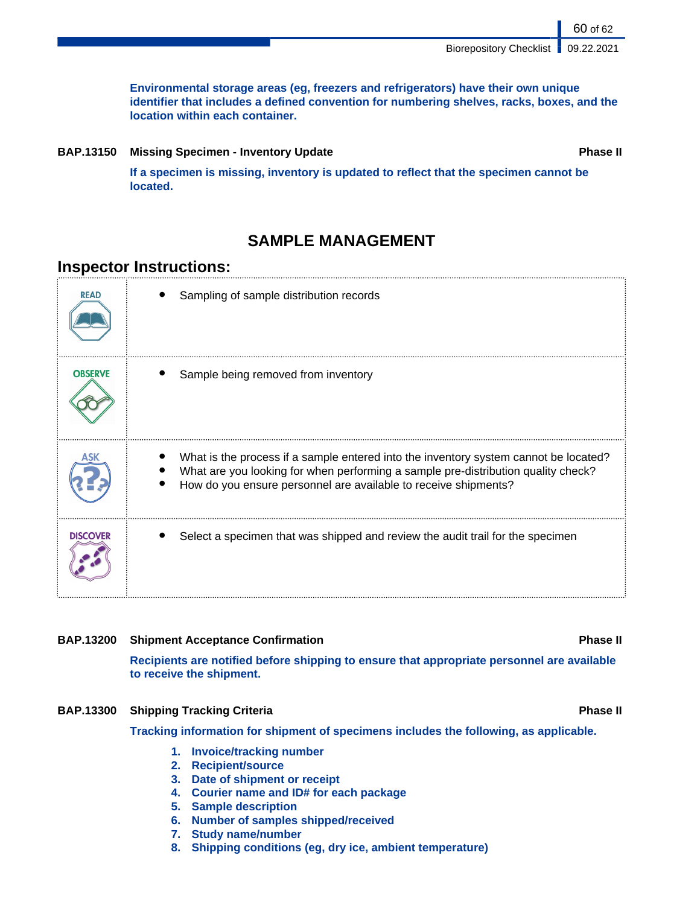**Environmental storage areas (eg, freezers and refrigerators) have their own unique identifier that includes a defined convention for numbering shelves, racks, boxes, and the location within each container.**

**BAP.13150 Missing Specimen - Inventory Update Phase II**

60 of 62

**If a specimen is missing, inventory is updated to reflect that the specimen cannot be located.**

# **SAMPLE MANAGEMENT**

# **Inspector Instructions:**

| <b>READ</b>     | Sampling of sample distribution records                                                                                                                                                                                                      |
|-----------------|----------------------------------------------------------------------------------------------------------------------------------------------------------------------------------------------------------------------------------------------|
| <b>OBSERVE</b>  | Sample being removed from inventory                                                                                                                                                                                                          |
| ASK             | What is the process if a sample entered into the inventory system cannot be located?<br>What are you looking for when performing a sample pre-distribution quality check?<br>How do you ensure personnel are available to receive shipments? |
| <b>DISCOVER</b> | Select a specimen that was shipped and review the audit trail for the specimen                                                                                                                                                               |

**BAP.13200 Shipment Acceptance Confirmation Phase II**

**Recipients are notified before shipping to ensure that appropriate personnel are available to receive the shipment.**

# **BAP.13300 Shipping Tracking Criteria Phase II Phase II Phase II**

**Tracking information for shipment of specimens includes the following, as applicable.**

- **1. Invoice/tracking number**
- **2. Recipient/source**
- **3. Date of shipment or receipt**
- **4. Courier name and ID# for each package**
- **5. Sample description**
- **6. Number of samples shipped/received**
- **7. Study name/number**
- **8. Shipping conditions (eg, dry ice, ambient temperature)**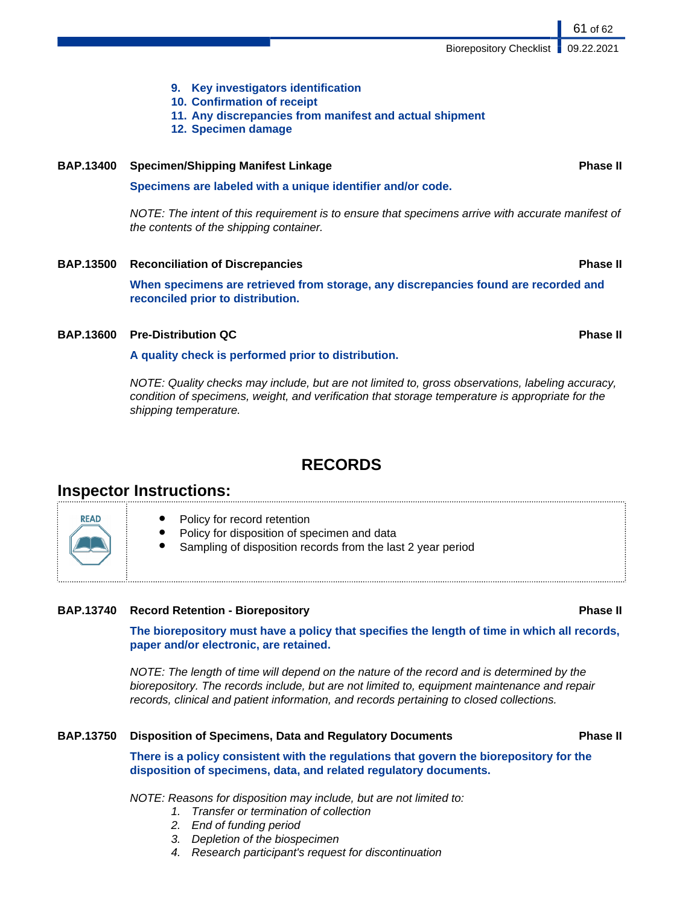- **9. Key investigators identification**
- **10. Confirmation of receipt**
- **11. Any discrepancies from manifest and actual shipment**
- **12. Specimen damage**

# **BAP.13400 Specimen/Shipping Manifest Linkage Phase II**

**Specimens are labeled with a unique identifier and/or code.**

NOTE: The intent of this requirement is to ensure that specimens arrive with accurate manifest of the contents of the shipping container.

# **BAP.13500 Reconciliation of Discrepancies Phase II**

**When specimens are retrieved from storage, any discrepancies found are recorded and reconciled prior to distribution.**

# **BAP.13600 Pre-Distribution QC Phase II**

**A quality check is performed prior to distribution.**

NOTE: Quality checks may include, but are not limited to, gross observations, labeling accuracy, condition of specimens, weight, and verification that storage temperature is appropriate for the shipping temperature.

# **RECORDS**

# **Inspector Instructions:**

**READ** 

Policy for record retention Policy for disposition of specimen and data Sampling of disposition records from the last 2 year period

# **BAP.13740 Record Retention - Biorepository Phase II**

**The biorepository must have a policy that specifies the length of time in which all records, paper and/or electronic, are retained.**

NOTE: The length of time will depend on the nature of the record and is determined by the biorepository. The records include, but are not limited to, equipment maintenance and repair records, clinical and patient information, and records pertaining to closed collections.

## **BAP.13750 Disposition of Specimens, Data and Regulatory Documents Phase II**

**There is a policy consistent with the regulations that govern the biorepository for the disposition of specimens, data, and related regulatory documents.**

NOTE: Reasons for disposition may include, but are not limited to:

- 1. Transfer or termination of collection
- 2. End of funding period
- 3. Depletion of the biospecimen
- 4. Research participant's request for discontinuation